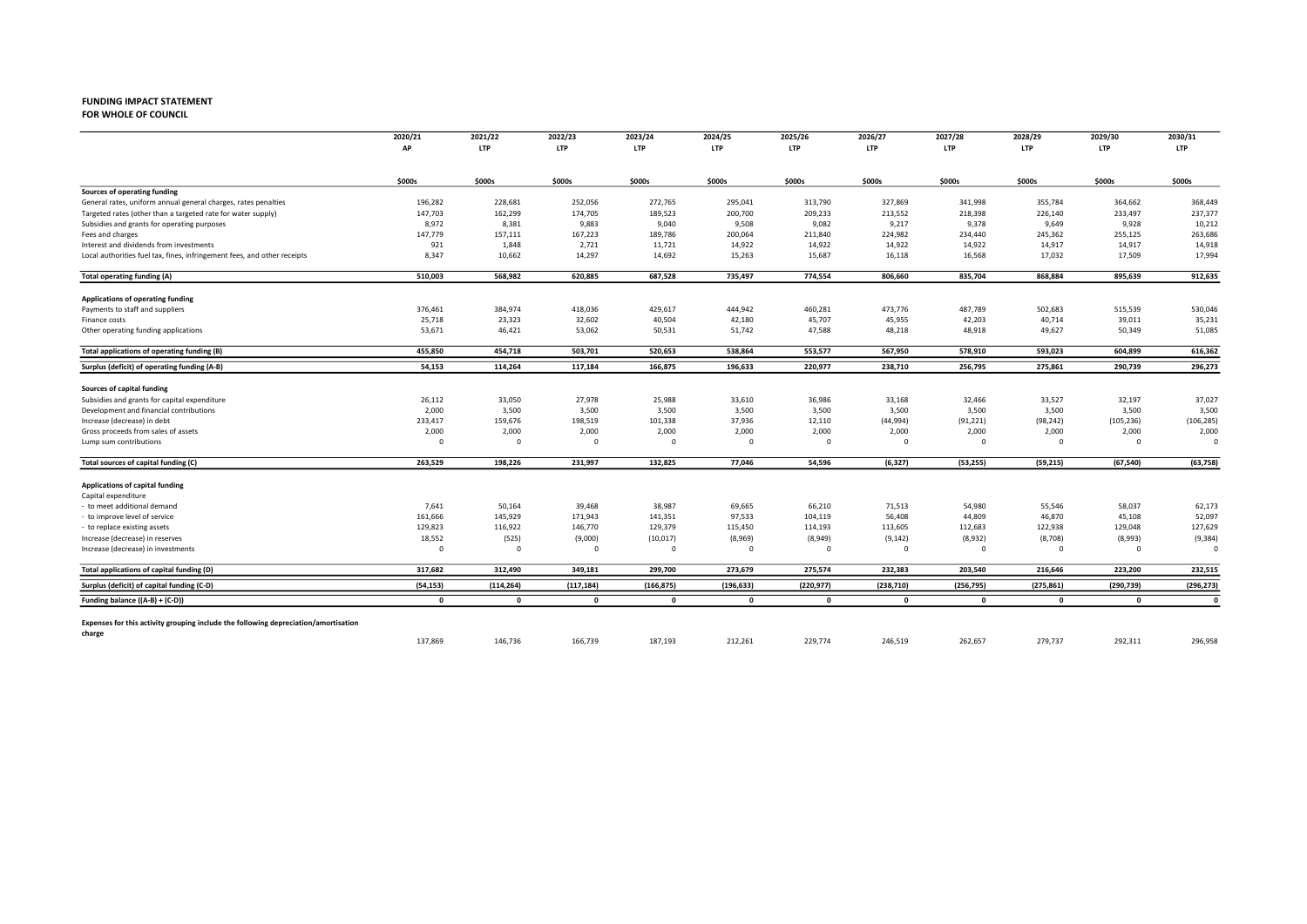### FUNDING IMPACT STATEMENT<br>FOR WHOLE OF COUNCIL

FOR WHOLE OF COUNCIL 2022 2023 2024 2025 2026 2027 2028 2029 2030

|                                                                                         | 2020/21                 | 2021/22                 | 2022/23         | 2023/24         | 2024/25         | 2025/26         | 2026/27         | 2027/28         | 2028/29         | 2029/30         | 2030/31         |
|-----------------------------------------------------------------------------------------|-------------------------|-------------------------|-----------------|-----------------|-----------------|-----------------|-----------------|-----------------|-----------------|-----------------|-----------------|
|                                                                                         | AP                      | <b>LTP</b>              | <b>LTP</b>      | <b>LTP</b>      | LTP             | <b>LTP</b>      | <b>LTP</b>      | <b>LTP</b>      | <b>LTP</b>      | <b>LTP</b>      | <b>LTP</b>      |
|                                                                                         | \$000s                  | \$000s                  | \$000s          | \$000s          | \$000s          | \$000s          | \$000s          | \$000s          | \$000s          | \$000s          | \$000s          |
| Sources of operating funding                                                            |                         |                         |                 |                 |                 |                 |                 |                 |                 |                 |                 |
| General rates, uniform annual general charges, rates penalties                          | 196,282                 | 228,681                 | 252,056         | 272,765         | 295,041         | 313,790         | 327,869         | 341,998         | 355,784         | 364,662         | 368,449         |
| Targeted rates (other than a targeted rate for water supply)                            | 147,703                 | 162,299                 | 174,705         | 189,523         | 200,700         | 209,233         | 213,552         | 218,398         | 226,140         | 233,497         | 237,377         |
| Subsidies and grants for operating purposes                                             | 8,972                   | 8,381                   | 9,883           | 9,040           | 9,508           | 9,082           | 9,217           | 9,378           | 9,649           | 9,928           | 10,212          |
| Fees and charges                                                                        | 147,779                 | 157,111                 | 167,223         | 189,786         | 200,064         | 211,840         | 224,982         | 234,440         | 245,362         | 255,125         | 263,686         |
| Interest and dividends from investments                                                 | 921                     | 1,848                   | 2,721           | 11,721          | 14,922          | 14,922          | 14,922          | 14,922          | 14,917          | 14,917          | 14,918          |
| Local authorities fuel tax, fines, infringement fees, and other receipts                | 8,347                   | 10,662                  | 14,297          | 14,692          | 15,263          | 15,687          | 16,118          | 16,568          | 17,032          | 17,509          | 17,994          |
| <b>Total operating funding (A)</b>                                                      | 510,003                 | 568,982                 | 620,885         | 687,528         | 735,497         | 774,554         | 806,660         | 835,704         | 868,884         | 895,639         | 912,635         |
| Applications of operating funding                                                       |                         |                         |                 |                 |                 |                 |                 |                 |                 |                 |                 |
| Payments to staff and suppliers                                                         | 376,461                 | 384,974                 | 418,036         | 429,617         | 444,942         | 460,281         | 473,776         | 487,789         | 502,683         | 515,539         | 530,046         |
| Finance costs                                                                           | 25,718                  | 23,323                  | 32,602          | 40,504          | 42,180          | 45,707          | 45,955          | 42,203          | 40,714          | 39,011          | 35,231          |
| Other operating funding applications                                                    | 53,671                  | 46,421                  | 53,062          | 50,531          | 51,742          | 47,588          | 48,218          | 48,918          | 49,627          | 50,349          | 51,085          |
| Total applications of operating funding (B)                                             | 455,850                 | 454,718                 | 503,701         | 520,653         | 538,864         | 553,577         | 567,950         | 578,910         | 593,023         | 604,899         | 616,362         |
| Surplus (deficit) of operating funding (A-B)                                            | 54,153                  | 114,264                 | 117,184         | 166,875         | 196,633         | 220,977         | 238,710         | 256,795         | 275,861         | 290,739         | 296,273         |
|                                                                                         |                         |                         |                 |                 |                 |                 |                 |                 |                 |                 |                 |
| Sources of capital funding                                                              |                         |                         |                 |                 |                 |                 |                 |                 |                 |                 |                 |
| Subsidies and grants for capital expenditure<br>Development and financial contributions | 26,112<br>2,000         | 33,050<br>3,500         | 27,978<br>3,500 | 25,988<br>3,500 | 33,610<br>3,500 | 36,986<br>3,500 | 33,168<br>3,500 | 32,466<br>3,500 | 33,527<br>3,500 | 32,197<br>3,500 | 37,027<br>3,500 |
| Increase (decrease) in debt                                                             | 233,417                 | 159,676                 | 198,519         | 101,338         | 37,936          | 12,110          | (44,994)        | (91, 221)       | (98, 242)       | (105, 236)      | (106, 285)      |
| Gross proceeds from sales of assets                                                     | 2,000                   | 2,000                   | 2,000           | 2,000           | 2,000           | 2,000           | 2,000           | 2,000           | 2,000           | 2,000           | 2,000           |
| Lump sum contributions                                                                  | $\Omega$                | $\overline{\mathbf{0}}$ | $\Omega$        | $\Omega$        | $\Omega$        | $\mathbf 0$     | $\mathbf 0$     | $\mathbf 0$     | $\overline{0}$  | $^{\circ}$      | $\Omega$        |
| Total sources of capital funding (C)                                                    | 263,529                 | 198,226                 | 231,997         | 132,825         | 77,046          | 54,596          | (6, 327)        | (53, 255)       | (59, 215)       | (67, 540)       | (63, 758)       |
|                                                                                         |                         |                         |                 |                 |                 |                 |                 |                 |                 |                 |                 |
| Applications of capital funding<br>Capital expenditure                                  |                         |                         |                 |                 |                 |                 |                 |                 |                 |                 |                 |
| - to meet additional demand                                                             | 7,641                   | 50,164                  | 39,468          | 38,987          | 69,665          | 66,210          | 71,513          | 54,980          | 55,546          | 58,037          | 62,173          |
| to improve level of service                                                             | 161,666                 | 145,929                 | 171,943         | 141,351         | 97,533          | 104,119         | 56,408          | 44,809          | 46,870          | 45,108          | 52,097          |
| to replace existing assets                                                              | 129,823                 | 116,922                 | 146,770         | 129,379         | 115,450         | 114,193         | 113,605         | 112,683         | 122,938         | 129,048         | 127,629         |
| Increase (decrease) in reserves                                                         | 18,552                  | (525)                   | (9,000)         | (10, 017)       | (8,969)         | (8,949)         | (9, 142)        | (8,932)         | (8,708)         | (8,993)         | (9, 384)        |
| Increase (decrease) in investments                                                      | $\overline{\mathbf{0}}$ | - 0                     | $^{\circ}$      | $\Omega$        | 0               | 0               | $\mathbf 0$     | $^{\circ}$      | $^{\circ}$      | $\mathbf 0$     | $\Omega$        |
| Total applications of capital funding (D)                                               | 317,682                 | 312,490                 | 349,181         | 299,700         | 273,679         | 275,574         | 232,383         | 203,540         | 216,646         | 223,200         | 232,515         |
| Surplus (deficit) of capital funding (C-D)                                              | (54, 153)               | (114, 264)              | (117, 184)      | (166, 875)      | (196, 633)      | (220, 977)      | (238, 710)      | (256, 795)      | (275, 861)      | (290, 739)      | (296, 273)      |
| Funding balance ((A-B) + (C-D))                                                         | $\Omega$                | $\mathbf 0$             | $\mathbf{o}$    | $\Omega$        | $\Omega$        | $\mathbf 0$     | $\mathbf 0$     | $\Omega$        | $\mathbf 0$     | $\mathbf 0$     | $\mathbf{0}$    |
| Expenses for this activity grouping include the following depreciation/amortisation     |                         |                         |                 |                 |                 |                 |                 |                 |                 |                 |                 |
| charge                                                                                  | 137,869                 | 146,736                 | 166,739         | 187,193         | 212,261         | 229,774         | 246,519         | 262,657         | 279,737         | 292,311         | 296,958         |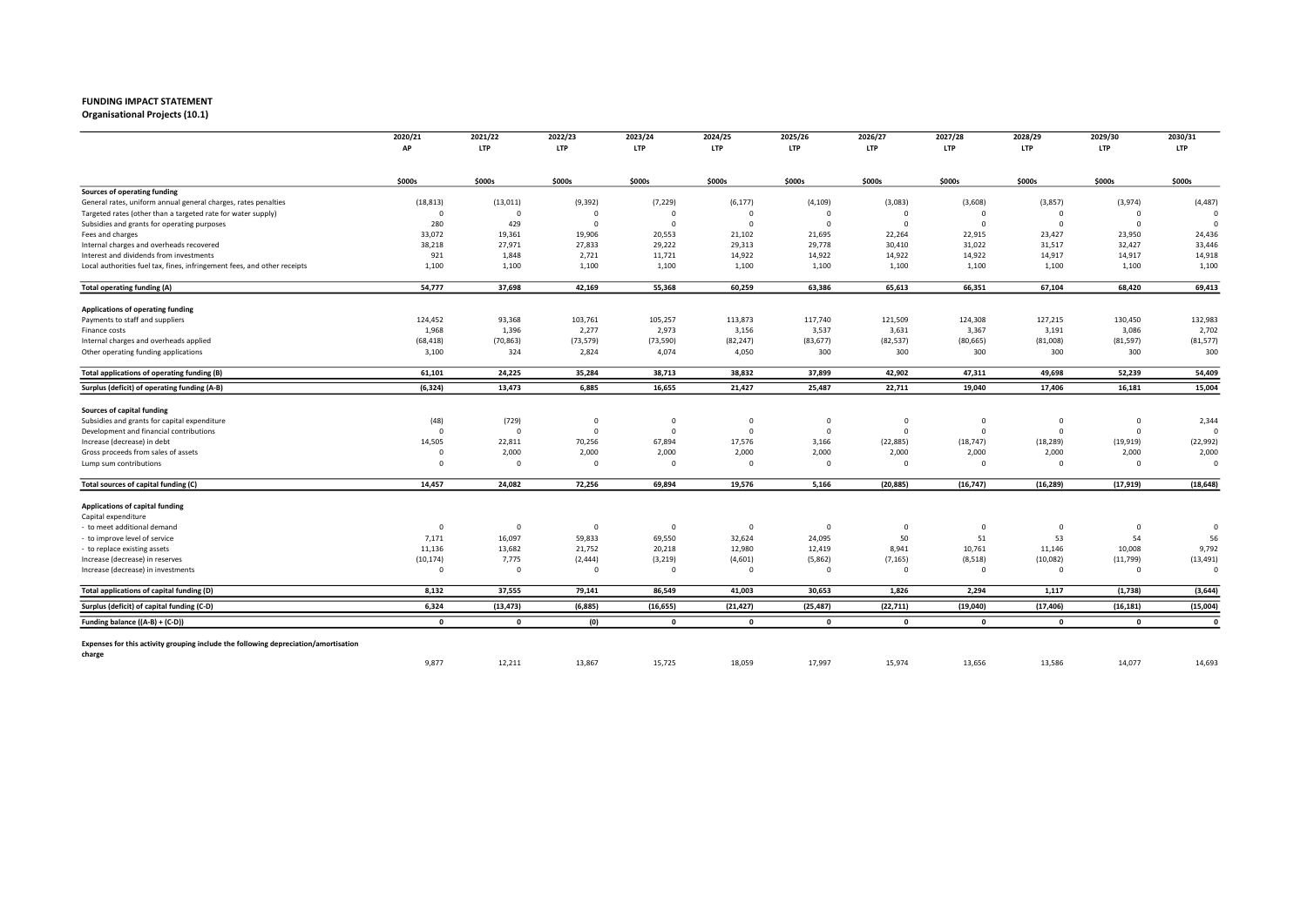Organisational Projects (10.1)

|                                                                                     | 2020/21                 | 2021/22                 | 2022/23     | 2023/24     | 2024/25      | 2025/26      | 2026/27     | 2027/28      | 2028/29      | 2029/30        | 2030/31      |
|-------------------------------------------------------------------------------------|-------------------------|-------------------------|-------------|-------------|--------------|--------------|-------------|--------------|--------------|----------------|--------------|
|                                                                                     | AP                      | <b>LTP</b>              | <b>LTP</b>  | <b>LTP</b>  | <b>LTP</b>   | <b>LTP</b>   | <b>LTP</b>  | <b>LTP</b>   | <b>LTP</b>   | <b>LTP</b>     | <b>LTP</b>   |
|                                                                                     | \$000s                  | \$000s                  | \$000s      | \$000s      | \$000s       | \$000s       | \$000s      | \$000s       | \$000s       | \$000s         | \$000s       |
| Sources of operating funding                                                        |                         |                         |             |             |              |              |             |              |              |                |              |
| General rates, uniform annual general charges, rates penalties                      | (18, 813)               | (13, 011)               | (9, 392)    | (7, 229)    | (6, 177)     | (4, 109)     | (3,083)     | (3,608)      | (3,857)      | (3,974)        | (4, 487)     |
| Targeted rates (other than a targeted rate for water supply)                        | $\overline{0}$          | $\mathbf 0$             | $\Omega$    | $\Omega$    | $\Omega$     | $\mathbf 0$  | $\Omega$    | $\Omega$     | $\Omega$     | $\overline{0}$ | $\Omega$     |
| Subsidies and grants for operating purposes                                         | 280                     | 429                     | $\Omega$    | $\Omega$    | $\Omega$     | $\mathbf 0$  | $\Omega$    | $\Omega$     | $\Omega$     | $\overline{0}$ |              |
| Fees and charges                                                                    | 33,072                  | 19,361                  | 19,906      | 20,553      | 21,102       | 21,695       | 22,264      | 22,915       | 23,427       | 23,950         | 24,436       |
| Internal charges and overheads recovered                                            | 38,218                  | 27,971                  | 27,833      | 29,222      | 29,313       | 29,778       | 30,410      | 31,022       | 31,517       | 32,427         | 33,446       |
| Interest and dividends from investments                                             | 921                     | 1,848                   | 2,721       | 11,721      | 14,922       | 14,922       | 14,922      | 14,922       | 14,917       | 14,917         | 14,918       |
| Local authorities fuel tax, fines, infringement fees, and other receipts            | 1,100                   | 1,100                   | 1,100       | 1,100       | 1,100        | 1,100        | 1,100       | 1,100        | 1,100        | 1,100          | 1,100        |
| <b>Total operating funding (A)</b>                                                  | 54,777                  | 37,698                  | 42,169      | 55,368      | 60,259       | 63,386       | 65,613      | 66,351       | 67,104       | 68,420         | 69,413       |
| Applications of operating funding                                                   |                         |                         |             |             |              |              |             |              |              |                |              |
| Payments to staff and suppliers                                                     | 124,452                 | 93,368                  | 103,761     | 105,257     | 113,873      | 117,740      | 121,509     | 124,308      | 127,215      | 130,450        | 132,983      |
| Finance costs                                                                       | 1,968                   | 1,396                   | 2,277       | 2,973       | 3,156        | 3,537        | 3,631       | 3,367        | 3,191        | 3,086          | 2,702        |
| Internal charges and overheads applied                                              | (68, 418)               | (70, 863)               | (73, 579)   | (73, 590)   | (82, 247)    | (83, 677)    | (82, 537)   | (80, 665)    | (81,008)     | (81, 597)      | (81, 577)    |
| Other operating funding applications                                                | 3,100                   | 324                     | 2,824       | 4,074       | 4,050        | 300          | 300         | 300          | 300          | 300            | 300          |
| Total applications of operating funding (B)                                         | 61,101                  | 24,225                  | 35,284      | 38,713      | 38,832       | 37,899       | 42,902      | 47,311       | 49,698       | 52,239         | 54,409       |
| Surplus (deficit) of operating funding (A-B)                                        | (6, 324)                | 13,473                  | 6,885       | 16,655      | 21,427       | 25,487       | 22,711      | 19,040       | 17,406       | 16,181         | 15,004       |
| Sources of capital funding                                                          |                         |                         |             |             |              |              |             |              |              |                |              |
| Subsidies and grants for capital expenditure                                        | (48)                    | (729)                   | $\circ$     | $\Omega$    | $\mathbf 0$  | $\mathbf 0$  | $\mathbf 0$ | $^{\circ}$   | $^{\circ}$   | $\mathbf 0$    | 2,344        |
| Development and financial contributions                                             | $\Omega$                | $\overline{0}$          | $\mathbf 0$ | $\Omega$    | $\mathbf 0$  | $\mathbf 0$  | $\mathbf 0$ | $\Omega$     | $^{\circ}$   | $\mathbf 0$    | $\Omega$     |
| Increase (decrease) in debt                                                         | 14,505                  | 22,811                  | 70,256      | 67,894      | 17,576       | 3,166        | (22, 885)   | (18, 747)    | (18, 289)    | (19, 919)      | (22, 992)    |
| Gross proceeds from sales of assets                                                 | $\Omega$                | 2,000                   | 2,000       | 2,000       | 2,000        | 2,000        | 2,000       | 2,000        | 2,000        | 2,000          | 2,000        |
| Lump sum contributions                                                              | $\Omega$                | $\overline{\mathbf{0}}$ | $^{\circ}$  | $\Omega$    | $\Omega$     | $\mathbf 0$  | 0           | $\mathbf 0$  | $^{\circ}$   | $^{\circ}$     | $\Omega$     |
| Total sources of capital funding (C)                                                | 14,457                  | 24,082                  | 72,256      | 69,894      | 19,576       | 5,166        | (20, 885)   | (16, 747)    | (16, 289)    | (17, 919)      | (18, 648)    |
| Applications of capital funding                                                     |                         |                         |             |             |              |              |             |              |              |                |              |
| Capital expenditure                                                                 |                         |                         |             |             |              |              |             |              |              |                |              |
| - to meet additional demand                                                         | $\overline{\mathbf{0}}$ | $\overline{\mathbf{0}}$ | $\Omega$    | $\Omega$    | $\Omega$     | $\Omega$     | $^{\circ}$  | $\Omega$     | $^{\circ}$   | $\mathbf 0$    | $\circ$      |
| to improve level of service                                                         | 7,171                   | 16,097                  | 59,833      | 69,550      | 32,624       | 24,095       | 50          | 51           | 53           | 54             | 56           |
| - to replace existing assets                                                        | 11,136                  | 13,682                  | 21,752      | 20,218      | 12,980       | 12,419       | 8,941       | 10,761       | 11,146       | 10,008         | 9,792        |
| Increase (decrease) in reserves                                                     | (10, 174)               | 7,775                   | (2, 444)    | (3, 219)    | (4,601)      | (5,862)      | (7, 165)    | (8,518)      | (10,082)     | (11, 799)      | (13, 491)    |
| Increase (decrease) in investments                                                  | $\Omega$                | $\mathbf 0$             | $\Omega$    | $\Omega$    | $\Omega$     | $\mathbf 0$  | 0           | $\Omega$     | $\Omega$     | $^{\circ}$     | $\Omega$     |
| Total applications of capital funding (D)                                           | 8,132                   | 37,555                  | 79,141      | 86,549      | 41,003       | 30,653       | 1,826       | 2,294        | 1,117        | (1,738)        | (3, 644)     |
| Surplus (deficit) of capital funding (C-D)                                          | 6,324                   | (13, 473)               | (6,885)     | (16, 655)   | (21, 427)    | (25, 487)    | (22, 711)   | (19,040)     | (17, 406)    | (16, 181)      | (15,004)     |
| Funding balance ((A-B) + (C-D))                                                     | $\mathbf{0}$            | $\mathbf{0}$            | (0)         | $\mathbf 0$ | $\mathbf{0}$ | $\mathbf{0}$ | $\mathbf 0$ | $\mathbf{0}$ | $\mathbf{0}$ | $\mathbf{0}$   | $\mathbf{0}$ |
|                                                                                     |                         |                         |             |             |              |              |             |              |              |                |              |
| Expenses for this activity grouping include the following depreciation/amortisation |                         |                         |             |             |              |              |             |              |              |                |              |
| charge                                                                              | 9,877                   | 12,211                  | 13,867      | 15,725      | 18,059       | 17,997       | 15,974      | 13,656       | 13,586       | 14,077         | 14,693       |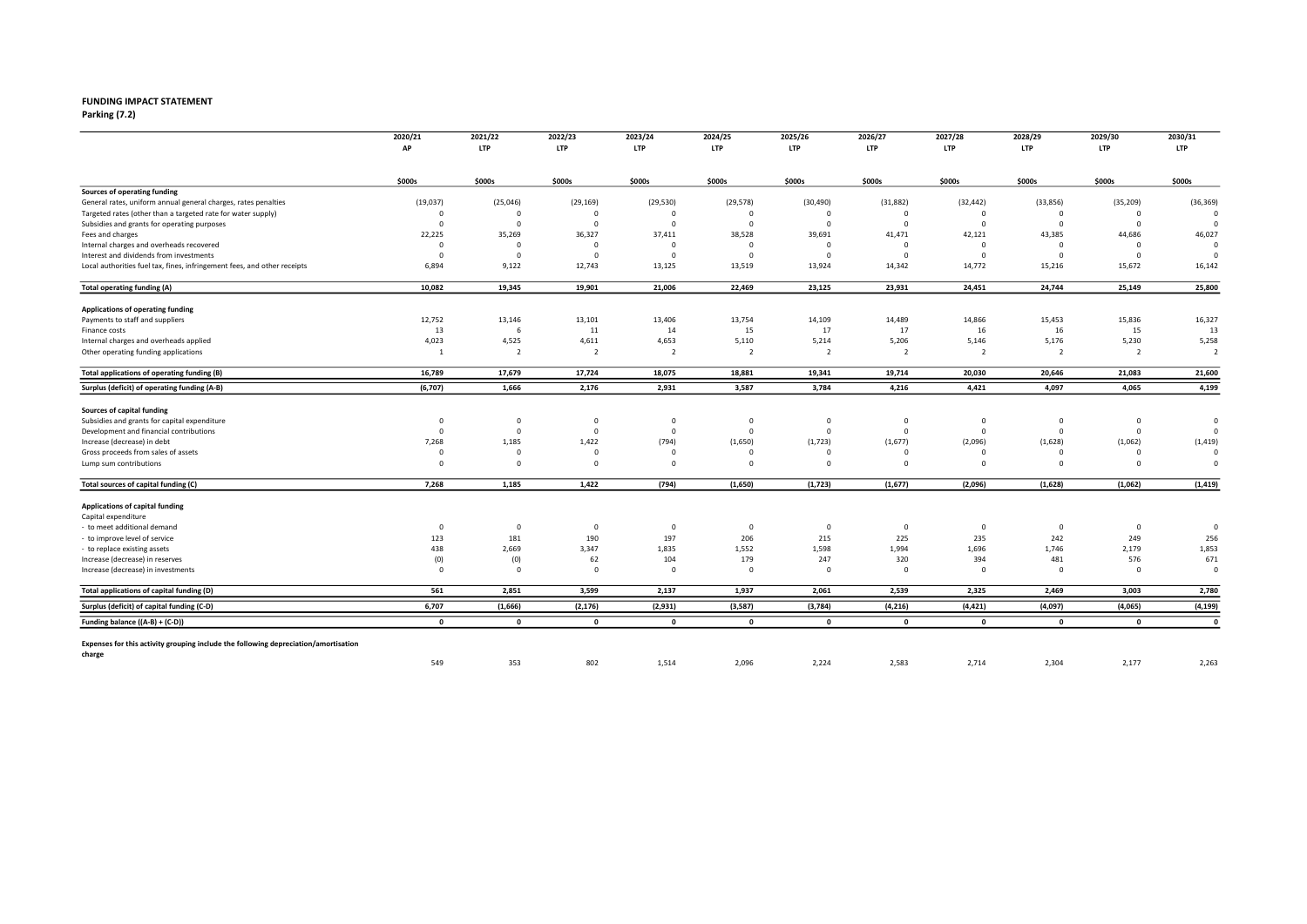# FUNDING IMPACT STATEMENT<br>Parking (7.2)

Parking (7.2) 2022 2023 2022 2023 2022 2023 2024 2022 2023 2022 2023 2024 2025 2027 2028 2027 2029 2029 2027 20

|                                                                                     | 2020/21<br>AP           | 2021/22<br><b>LTP</b>   | 2022/23<br><b>LTP</b> | 2023/24<br><b>LTP</b> | 2024/25<br><b>LTP</b> | 2025/26<br><b>LTP</b> | 2026/27<br><b>LTP</b> | 2027/28<br><b>LTP</b> | 2028/29<br><b>LTP</b> | 2029/30<br><b>LTP</b> | 2030/31<br><b>LTP</b> |
|-------------------------------------------------------------------------------------|-------------------------|-------------------------|-----------------------|-----------------------|-----------------------|-----------------------|-----------------------|-----------------------|-----------------------|-----------------------|-----------------------|
|                                                                                     |                         |                         |                       |                       |                       |                       |                       |                       |                       |                       |                       |
|                                                                                     | \$000s                  | \$000s                  | \$000s                | \$000s                | \$000s                | \$000s                | \$000s                | \$000s                | \$000s                | \$000s                | \$000s                |
| Sources of operating funding                                                        |                         |                         |                       |                       |                       |                       |                       |                       |                       |                       |                       |
| General rates, uniform annual general charges, rates penalties                      | (19, 037)               | (25,046)                | (29, 169)             | (29, 530)             | (29, 578)             | (30, 490)             | (31, 882)             | (32, 442)             | (33,856)              | (35, 209)             | (36, 369)             |
| Targeted rates (other than a targeted rate for water supply)                        | $\Omega$                | $\Omega$                | $\Omega$              | $\Omega$              | $\Omega$              | $\mathbf 0$           | $\Omega$              | $\Omega$              | $\Omega$              | $\mathbf 0$           |                       |
| Subsidies and grants for operating purposes                                         | $\overline{\mathbf{0}}$ | $\overline{\mathbf{0}}$ | $\Omega$              | $\Omega$              | $\Omega$              | $\mathbf 0$           | $\Omega$              | $\Omega$              | $\Omega$              | $\mathbf 0$           |                       |
| Fees and charges                                                                    | 22,225                  | 35,269                  | 36,327                | 37,411                | 38,528                | 39,691                | 41,471                | 42,121                | 43,385                | 44,686                | 46,027                |
| Internal charges and overheads recovered                                            | $\overline{\mathbf{0}}$ | $\overline{\mathbf{0}}$ | $\Omega$              | $\Omega$              | $\Omega$              | $\mathbf 0$           | $\mathbf 0$           | $\Omega$              | $\mathbf 0$           | $\overline{0}$        | $\Omega$              |
| Interest and dividends from investments                                             | $\Omega$                | $\overline{\mathbf{0}}$ | $\Omega$              | $\Omega$              | $\Omega$              | $\mathbf 0$           | $\mathbf 0$           | $\Omega$              | $\Omega$              | $\mathbf 0$           |                       |
| Local authorities fuel tax, fines, infringement fees, and other receipts            | 6,894                   | 9,122                   | 12,743                | 13,125                | 13,519                | 13,924                | 14,342                | 14,772                | 15,216                | 15,672                | 16,142                |
| Total operating funding (A)                                                         | 10,082                  | 19,345                  | 19,901                | 21,006                | 22,469                | 23,125                | 23,931                | 24,451                | 24,744                | 25,149                | 25,800                |
| Applications of operating funding                                                   |                         |                         |                       |                       |                       |                       |                       |                       |                       |                       |                       |
| Payments to staff and suppliers                                                     | 12,752                  | 13,146                  | 13,101                | 13,406                | 13,754                | 14,109                | 14,489                | 14,866                | 15,453                | 15,836                | 16,327                |
| Finance costs                                                                       | 13                      | 6                       | 11                    | 14                    | 15                    | 17                    | 17                    | 16                    | 16                    | 15                    | 13                    |
| Internal charges and overheads applied                                              | 4,023                   | 4,525                   | 4,611                 | 4,653                 | 5,110                 | 5,214                 | 5,206                 | 5,146                 | 5,176                 | 5,230                 | 5,258                 |
| Other operating funding applications                                                | -1                      | $\overline{2}$          | $\overline{2}$        | $\overline{2}$        | $\overline{2}$        | $\overline{2}$        | $\overline{2}$        | $\overline{2}$        | $\overline{2}$        | $\overline{2}$        | $\overline{2}$        |
| Total applications of operating funding (B)                                         | 16,789                  | 17,679                  | 17,724                | 18,075                | 18,881                | 19,341                | 19,714                | 20,030                | 20,646                | 21,083                | 21,600                |
| Surplus (deficit) of operating funding (A-B)                                        | (6,707)                 | 1,666                   | 2,176                 | 2,931                 | 3,587                 | 3,784                 | 4,216                 | 4,421                 | 4,097                 | 4,065                 | 4,199                 |
| Sources of capital funding                                                          |                         |                         |                       |                       |                       |                       |                       |                       |                       |                       |                       |
| Subsidies and grants for capital expenditure                                        | $\mathbf{0}$            | 0                       | $\mathbf 0$           | $\mathbf 0$           | $\mathbf 0$           | $\mathbf 0$           | $\mathbf 0$           | $^{\circ}$            | $^{\circ}$            | $\mathbf 0$           | $\circ$               |
| Development and financial contributions                                             | $\Omega$                | $\Omega$                | $\Omega$              | $\Omega$              | $\Omega$              | $\Omega$              | $\Omega$              | $\Omega$              | $\Omega$              | $\mathbf 0$           | $\Omega$              |
| Increase (decrease) in debt                                                         | 7,268                   | 1,185                   | 1,422                 | (794)                 | (1,650)               | (1, 723)              | (1,677)               | (2,096)               | (1,628)               | (1,062)               | (1, 419)              |
| Gross proceeds from sales of assets                                                 | $\Omega$                | $\Omega$                | $\Omega$              |                       | $\Omega$              | $\Omega$              | $\Omega$              |                       | $\Omega$              | $\Omega$              | $\Omega$              |
| Lump sum contributions                                                              | $\Omega$                | $\overline{0}$          | $\Omega$              | $\Omega$              | $\Omega$              | $\Omega$              | $^{\circ}$            | $\Omega$              | $\Omega$              | $\Omega$              | $\Omega$              |
| Total sources of capital funding (C)                                                | 7,268                   | 1,185                   | 1,422                 | (794)                 | (1,650)               | (1, 723)              | (1,677)               | (2,096)               | (1,628)               | (1,062)               | (1, 419)              |
|                                                                                     |                         |                         |                       |                       |                       |                       |                       |                       |                       |                       |                       |
| Applications of capital funding<br>Capital expenditure                              |                         |                         |                       |                       |                       |                       |                       |                       |                       |                       |                       |
|                                                                                     | $\mathbf 0$             | $\overline{0}$          | $\mathbf 0$           | $\Omega$              | $\mathbf 0$           | $\mathbf 0$           | $\mathbf 0$           | $\mathbf 0$           | $\mathbf 0$           | $\mathbf 0$           | $\circ$               |
| - to meet additional demand<br>to improve level of service                          | 123                     | 181                     | 190                   | 197                   | 206                   | 215                   | 225                   | 235                   | 242                   | 249                   | 256                   |
|                                                                                     | 438                     | 2,669                   | 3,347                 | 1,835                 | 1,552                 | 1,598                 | 1,994                 | 1,696                 | 1,746                 | 2,179                 | 1,853                 |
| to replace existing assets<br>Increase (decrease) in reserves                       | (0)                     | (0)                     | 62                    | 104                   | 179                   | 247                   | 320                   | 394                   | 481                   | 576                   | 671                   |
| Increase (decrease) in investments                                                  | $\mathbf{0}$            | $\overline{\mathbf{0}}$ | $\Omega$              | $\Omega$              | $\Omega$              | $\mathbf 0$           | 0                     | $\Omega$              | $\mathbf 0$           | $^{\circ}$            | $\Omega$              |
| Total applications of capital funding (D)                                           | 561                     | 2,851                   | 3,599                 | 2,137                 | 1,937                 | 2,061                 | 2,539                 | 2,325                 | 2,469                 | 3,003                 | 2,780                 |
| Surplus (deficit) of capital funding (C-D)                                          | 6,707                   | (1,666)                 | (2, 176)              | (2,931)               | (3,587)               | (3,784)               | (4, 216)              | (4, 421)              | (4,097)               | (4,065)               | (4, 199)              |
| Funding balance ((A-B) + (C-D))                                                     | $\mathbf{0}$            | $\mathbf{0}$            | $\mathbf 0$           | $\mathbf{0}$          | $\mathbf{0}$          | $\mathbf{0}$          | $\mathbf 0$           | $\mathbf{0}$          | $\mathbf{0}$          | $\mathbf{0}$          | $\mathbf{0}$          |
|                                                                                     |                         |                         |                       |                       |                       |                       |                       |                       |                       |                       |                       |
| Expenses for this activity grouping include the following depreciation/amortisation |                         |                         |                       |                       |                       |                       |                       |                       |                       |                       |                       |
| charge                                                                              | 549                     | 353                     | 802                   | 1,514                 | 2,096                 | 2,224                 | 2,583                 | 2,714                 | 2,304                 | 2,177                 | 2,263                 |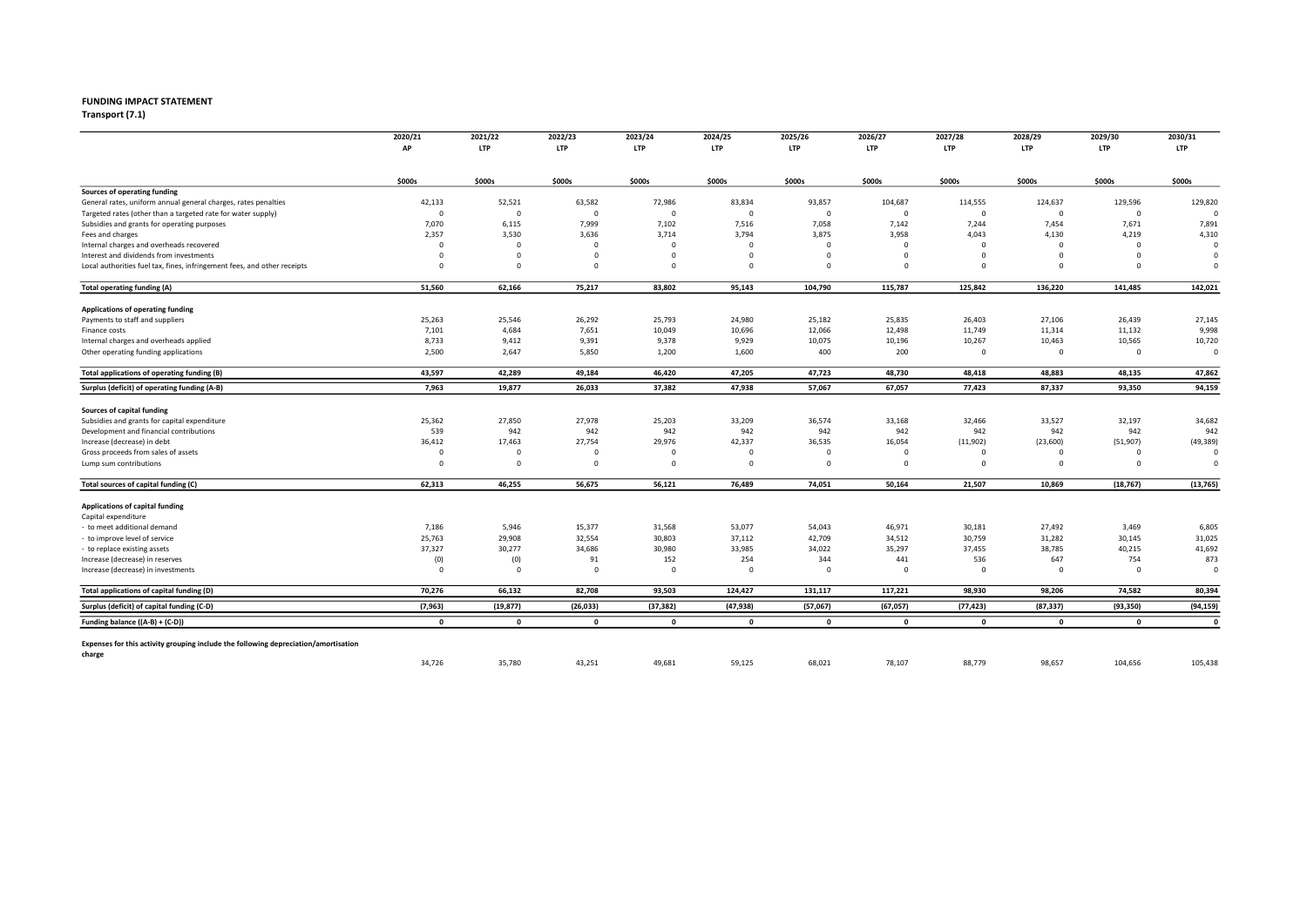## FUNDING IMPACT STATEMENT<br>Transport (7.1)

Transport (7.1) 2022 2023 2024 2025 2026 2027 2028 2029 2030

|                                                                                     | 2020/21<br>AP           | 2021/22<br><b>LTP</b>   | 2022/23<br><b>LTP</b> | 2023/24<br><b>LTP</b> | 2024/25<br>LTP | 2025/26<br>LTP | 2026/27<br><b>LTP</b> | 2027/28<br><b>LTP</b> | 2028/29<br><b>LTP</b> | 2029/30<br><b>LTP</b> | 2030/31<br><b>LTP</b> |
|-------------------------------------------------------------------------------------|-------------------------|-------------------------|-----------------------|-----------------------|----------------|----------------|-----------------------|-----------------------|-----------------------|-----------------------|-----------------------|
|                                                                                     |                         |                         |                       |                       |                |                |                       |                       |                       |                       |                       |
|                                                                                     | \$000s                  | \$000s                  | \$000s                | \$000s                | \$000s         | \$000s         | \$000s                | \$000s                | \$000s                | \$000s                | \$000s                |
| Sources of operating funding                                                        |                         |                         |                       |                       |                |                |                       |                       |                       |                       |                       |
| General rates, uniform annual general charges, rates penalties                      | 42,133                  | 52,521                  | 63,582                | 72,986                | 83,834         | 93,857         | 104,687               | 114,555               | 124,637               | 129,596               | 129,820               |
| Targeted rates (other than a targeted rate for water supply)                        | $\overline{\mathbf{0}}$ | $\mathbf 0$             | $\mathbf 0$           | $\mathbf 0$           | $\Omega$       | $\mathbf 0$    | $\Omega$              | $\Omega$              | $\mathbf 0$           | $\mathbf 0$           |                       |
| Subsidies and grants for operating purposes                                         | 7,070                   | 6,115                   | 7,999                 | 7,102                 | 7,516          | 7,058          | 7,142                 | 7,244                 | 7,454                 | 7,671                 | 7,891                 |
| Fees and charges                                                                    | 2,357                   | 3,530                   | 3,636                 | 3,714                 | 3,794          | 3,875          | 3,958                 | 4,043                 | 4,130                 | 4,219                 | 4,310                 |
| Internal charges and overheads recovered                                            | $\Omega$                | $\overline{\mathbf{0}}$ | $\Omega$              | $\Omega$              | $\Omega$       | $\Omega$       | $\Omega$              | $\Omega$              | $\Omega$              | $\overline{0}$        | $\Omega$              |
| Interest and dividends from investments                                             | $\Omega$                | $\mathbf 0$             | $\Omega$              | $\Omega$              | $\Omega$       | $\Omega$       | 0                     | $\Omega$              | $\Omega$              | $\mathbf 0$           | $\Omega$              |
| Local authorities fuel tax, fines, infringement fees, and other receipts            | $\Omega$                | $\mathbf 0$             | $\Omega$              | $\Omega$              | $\Omega$       | $\mathbf 0$    | $\mathbf 0$           | $\Omega$              | $\Omega$              | $\Omega$              | $\Omega$              |
| <b>Total operating funding (A)</b>                                                  | 51,560                  | 62,166                  | 75,217                | 83,802                | 95,143         | 104,790        | 115,787               | 125,842               | 136,220               | 141,485               | 142,021               |
| Applications of operating funding                                                   |                         |                         |                       |                       |                |                |                       |                       |                       |                       |                       |
| Payments to staff and suppliers                                                     | 25,263                  | 25,546                  | 26,292                | 25,793                | 24,980         | 25,182         | 25,835                | 26,403                | 27,106                | 26,439                | 27,145                |
| Finance costs                                                                       | 7,101                   | 4,684                   | 7,651                 | 10,049                | 10,696         | 12,066         | 12,498                | 11,749                | 11,314                | 11,132                | 9,998                 |
| Internal charges and overheads applied                                              | 8,733                   | 9,412                   | 9,391                 | 9,378                 | 9,929          | 10,075         | 10,196                | 10,267                | 10,463                | 10,565                | 10,720                |
| Other operating funding applications                                                | 2,500                   | 2,647                   | 5,850                 | 1,200                 | 1,600          | 400            | 200                   | $\mathbf 0$           | $\mathbf 0$           | $\mathbf 0$           | $\circ$               |
| Total applications of operating funding (B)                                         | 43,597                  | 42,289                  | 49,184                | 46,420                | 47,205         | 47,723         | 48,730                | 48,418                | 48,883                | 48,135                | 47,862                |
| Surplus (deficit) of operating funding (A-B)                                        | 7,963                   | 19,877                  | 26,033                | 37,382                | 47,938         | 57,067         | 67,057                | 77,423                | 87,337                | 93,350                | 94,159                |
| Sources of capital funding                                                          |                         |                         |                       |                       |                |                |                       |                       |                       |                       |                       |
| Subsidies and grants for capital expenditure                                        | 25,362                  | 27,850                  | 27,978                | 25,203                | 33,209         | 36,574         | 33,168                | 32,466                | 33,527                | 32,197                | 34,682                |
| Development and financial contributions                                             | 539                     | 942                     | 942                   | 942                   | 942            | 942            | 942                   | 942                   | 942                   | 942                   | 942                   |
| Increase (decrease) in debt                                                         | 36,412                  | 17,463                  | 27,754                | 29,976                | 42,337         | 36,535         | 16,054                | (11,902)              | (23,600)              | (51, 907)             | (49, 389)             |
| Gross proceeds from sales of assets                                                 | $\Omega$                | $\Omega$                | $\Omega$              | $\Omega$              | $\Omega$       | $\mathbf 0$    | $\Omega$              | $\Omega$              | $\Omega$              | $\Omega$              | $\Omega$              |
| Lump sum contributions                                                              | $\Omega$                | $\overline{\mathbf{0}}$ | $^{\circ}$            | $\Omega$              | $\Omega$       | $\mathbf 0$    | $\mathbf 0$           | $\mathbf 0$           | $\Omega$              | $^{\circ}$            | $\Omega$              |
| Total sources of capital funding (C)                                                | 62,313                  | 46,255                  | 56,675                | 56,121                | 76,489         | 74,051         | 50,164                | 21,507                | 10,869                | (18, 767)             | (13, 765)             |
| Applications of capital funding                                                     |                         |                         |                       |                       |                |                |                       |                       |                       |                       |                       |
| Capital expenditure                                                                 |                         |                         |                       |                       |                |                |                       |                       |                       |                       |                       |
| - to meet additional demand                                                         | 7,186                   | 5,946                   | 15,377                | 31,568                | 53,077         | 54,043         | 46,971                | 30,181                | 27,492                | 3,469                 | 6,805                 |
| to improve level of service                                                         | 25,763                  | 29,908                  | 32,554                | 30,803                | 37,112         | 42,709         | 34,512                | 30,759                | 31,282                | 30,145                | 31,025                |
| - to replace existing assets                                                        | 37,327                  | 30,277                  | 34,686                | 30,980                | 33,985         | 34,022         | 35,297                | 37,455                | 38,785                | 40,215                | 41,692                |
| Increase (decrease) in reserves                                                     | (0)                     | (0)                     | 91                    | 152                   | 254            | 344            | 441                   | 536                   | 647                   | 754                   | 873                   |
| Increase (decrease) in investments                                                  | $\Omega$                | $\overline{\mathbf{0}}$ | $\Omega$              | $\Omega$              | $\Omega$       | $\mathbf 0$    | $\Omega$              | $\Omega$              | $^{\circ}$            | $\mathbf 0$           | $\Omega$              |
| Total applications of capital funding (D)                                           | 70,276                  | 66,132                  | 82,708                | 93,503                | 124,427        | 131,117        | 117,221               | 98,930                | 98,206                | 74,582                | 80,394                |
| Surplus (deficit) of capital funding (C-D)                                          | (7,963)                 | (19, 877)               | (26, 033)             | (37, 382)             | (47, 938)      | (57,067)       | (67, 057)             | (77, 423)             | (87, 337)             | (93, 350)             | (94, 159)             |
| Funding balance ((A-B) + (C-D))                                                     | $\mathbf{0}$            | $\mathbf{0}$            | $\mathbf 0$           | $\mathbf 0$           | $\mathbf{0}$   | $\mathbf{0}$   | $\mathbf 0$           | $\mathbf{0}$          | $\mathbf{0}$          | $\mathbf{0}$          | $\Omega$              |
|                                                                                     |                         |                         |                       |                       |                |                |                       |                       |                       |                       |                       |
| Expenses for this activity grouping include the following depreciation/amortisation |                         |                         |                       |                       |                |                |                       |                       |                       |                       |                       |
| charge                                                                              | 34,726                  | 35,780                  | 43,251                | 49,681                | 59,125         | 68,021         | 78,107                | 88,779                | 98,657                | 104,656               | 105,438               |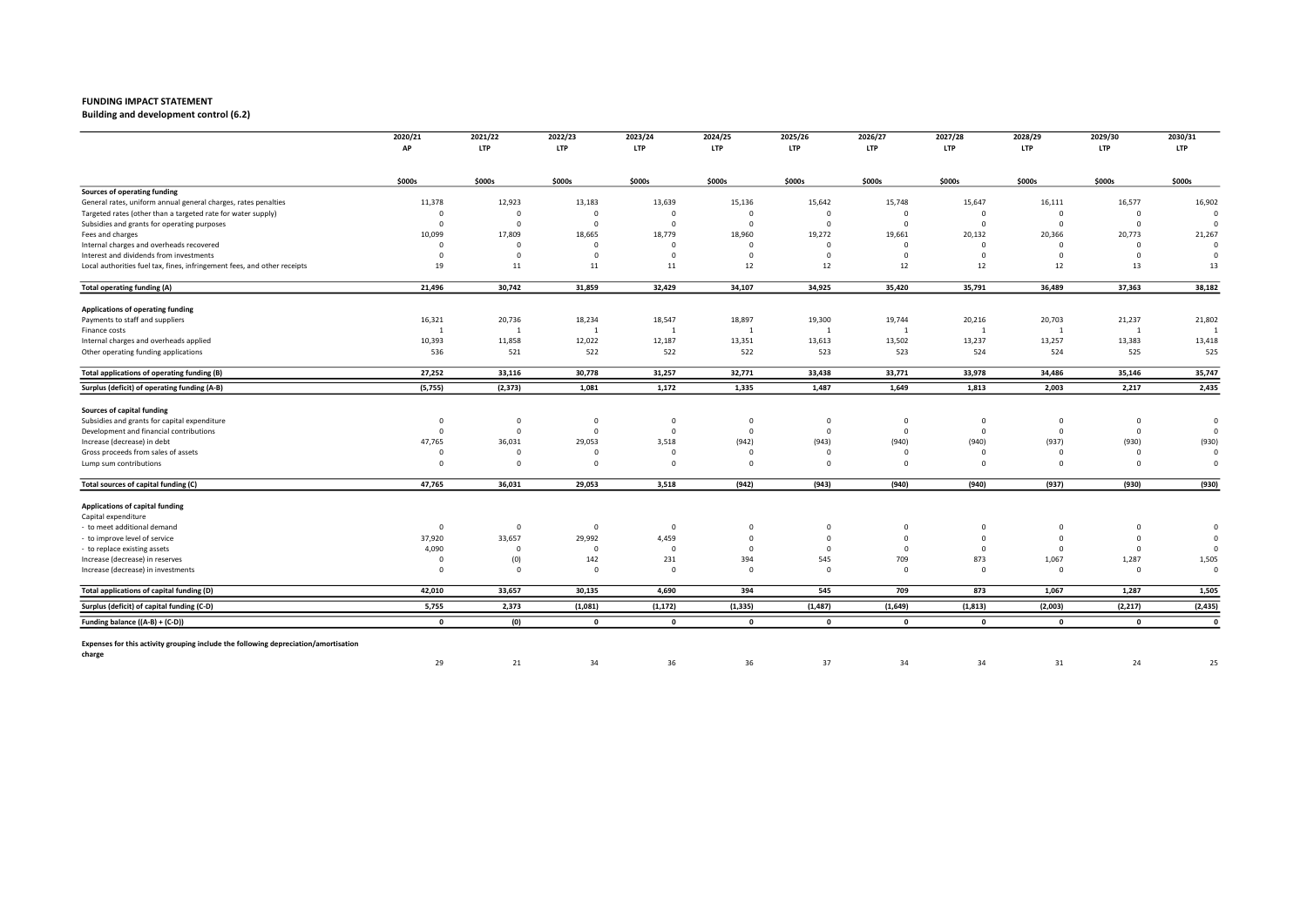Building and development control (6.2)

|                                                                                     | 2020/21<br>AP | 2021/22<br><b>LTP</b>   | 2022/23<br><b>LTP</b>   | 2023/24<br><b>LTP</b> | 2024/25<br><b>LTP</b> | 2025/26<br><b>LTP</b> | 2026/27        | 2027/28<br><b>LTP</b> | 2028/29        | 2029/30<br><b>LTP</b> | 2030/31        |
|-------------------------------------------------------------------------------------|---------------|-------------------------|-------------------------|-----------------------|-----------------------|-----------------------|----------------|-----------------------|----------------|-----------------------|----------------|
|                                                                                     |               |                         |                         |                       |                       |                       | <b>LTP</b>     |                       | <b>LTP</b>     |                       | <b>LTP</b>     |
|                                                                                     | \$000s        | \$000s                  | \$000s                  | \$000s                | \$000s                | \$000s                | \$000s         | \$000s                | \$000s         | \$000s                | \$000s         |
| Sources of operating funding                                                        |               |                         |                         |                       |                       |                       |                |                       |                |                       |                |
| General rates, uniform annual general charges, rates penalties                      | 11,378        | 12,923                  | 13,183                  | 13,639                | 15,136                | 15,642                | 15,748         | 15,647                | 16,111         | 16,577                | 16,902         |
| Targeted rates (other than a targeted rate for water supply)                        | $\Omega$      | $\Omega$                | $\mathbf 0$             | $\Omega$              | $\Omega$              | $\mathbf 0$           | $\Omega$       | $\Omega$              | $\Omega$       | $\mathbf 0$           | C              |
| Subsidies and grants for operating purposes                                         | $\Omega$      | $\mathbf 0$             | $\overline{\mathbf{0}}$ | $\Omega$              | $\Omega$              | $\Omega$              | $\Omega$       | $\Omega$              | $\Omega$       | $\overline{0}$        | $\mathfrak{c}$ |
| Fees and charges                                                                    | 10,099        | 17,809                  | 18,665                  | 18,779                | 18,960                | 19,272                | 19,661         | 20,132                | 20,366         | 20,773                | 21,267         |
| Internal charges and overheads recovered                                            | $\Omega$      | $\mathbf 0$             | $\mathbf 0$             | $\Omega$              | $\Omega$              | $\mathbf 0$           | $\mathbf 0$    | $\Omega$              | $\Omega$       | $\Omega$              | $\overline{0}$ |
| Interest and dividends from investments                                             | $\Omega$      | $\overline{0}$          | $\Omega$                | $\Omega$              | $\Omega$              | $\Omega$              | $\Omega$       | $^{\circ}$            | $\Omega$       | $\Omega$              | $\mathfrak{c}$ |
| Local authorities fuel tax, fines, infringement fees, and other receipts            | 19            | 11                      | $11\,$                  | 11                    | 12                    | 12                    | 12             | 12                    | 12             | 13                    | 13             |
| <b>Total operating funding (A)</b>                                                  | 21,496        | 30,742                  | 31,859                  | 32,429                | 34,107                | 34,925                | 35,420         | 35,791                | 36,489         | 37,363                | 38,182         |
| Applications of operating funding                                                   |               |                         |                         |                       |                       |                       |                |                       |                |                       |                |
| Payments to staff and suppliers                                                     | 16,321        | 20,736                  | 18,234                  | 18,547                | 18,897                | 19,300                | 19,744         | 20,216                | 20,703         | 21,237                | 21,802         |
| Finance costs                                                                       | -1            | $\overline{1}$          | $\overline{1}$          | $\mathbf{1}$          | $\overline{1}$        | 1                     | $\overline{1}$ | 1                     | $\overline{1}$ | $\mathbf{1}$          | $\overline{1}$ |
| Internal charges and overheads applied                                              | 10,393        | 11,858                  | 12,022                  | 12,187                | 13,351                | 13,613                | 13,502         | 13,237                | 13,257         | 13,383                | 13,418         |
| Other operating funding applications                                                | 536           | 521                     | 522                     | 522                   | 522                   | 523                   | 523            | 524                   | 524            | 525                   | 525            |
| Total applications of operating funding (B)                                         | 27,252        | 33,116                  | 30,778                  | 31,257                | 32,771                | 33,438                | 33,771         | 33,978                | 34,486         | 35,146                | 35,747         |
| Surplus (deficit) of operating funding (A-B)                                        | (5, 755)      | (2, 373)                | 1,081                   | 1,172                 | 1,335                 | 1,487                 | 1,649          | 1,813                 | 2,003          | 2,217                 | 2,435          |
| Sources of capital funding                                                          |               |                         |                         |                       |                       |                       |                |                       |                |                       |                |
| Subsidies and grants for capital expenditure                                        | $\Omega$      | $\mathbf 0$             | $\mathbf 0$             | $\mathbf 0$           | $\mathbf{0}$          | $\mathbf 0$           | $\mathbf{0}$   | $\mathbf{0}$          | $\mathbf{0}$   | $\overline{0}$        | $\overline{0}$ |
| Development and financial contributions                                             | $\Omega$      | $\overline{\mathbf{0}}$ | $\circ$                 | 0                     | $\Omega$              | $\mathbf 0$           | $\mathbf 0$    | $\Omega$              | $\mathbf 0$    | $\overline{0}$        | C              |
| Increase (decrease) in debt                                                         | 47,765        | 36,031                  | 29,053                  | 3,518                 | (942)                 | (943)                 | (940)          | (940)                 | (937)          | (930)                 | (930)          |
| Gross proceeds from sales of assets                                                 | $\Omega$      | $\Omega$                | $\Omega$                | $\Omega$              |                       | $\Omega$              | $\Omega$       | $\Omega$              | $\Omega$       | $\Omega$              | $\mathfrak{c}$ |
| Lump sum contributions                                                              | $\Omega$      | $\mathbf 0$             | $\Omega$                | $\mathbf 0$           | $\Omega$              | $\Omega$              | $\Omega$       | $\Omega$              | $\Omega$       | $\Omega$              | $\Omega$       |
| Total sources of capital funding (C)                                                | 47,765        | 36,031                  | 29,053                  | 3,518                 | (942)                 | (943)                 | (940)          | (940)                 | (937)          | (930)                 | (930)          |
|                                                                                     |               |                         |                         |                       |                       |                       |                |                       |                |                       |                |
| Applications of capital funding                                                     |               |                         |                         |                       |                       |                       |                |                       |                |                       |                |
| Capital expenditure                                                                 |               |                         |                         |                       |                       |                       |                |                       |                |                       |                |
| to meet additional demand                                                           | $\Omega$      | $\mathbf 0$             | $\overline{\mathbf{0}}$ | $\Omega$              | $\Omega$              | 0                     | $\mathbf{0}$   | $\Omega$              | $^{\circ}$     | $\mathbf{0}$          | $\mathbf 0$    |
| to improve level of service                                                         | 37,920        | 33,657                  | 29,992                  | 4,459                 | $\Omega$              | $\mathbf 0$           | $\Omega$       | $\mathbf 0$           | $\Omega$       | $\mathbf 0$           | $\mathfrak{c}$ |
| to replace existing assets                                                          | 4,090         | $\mathbf 0$             | $\overline{\mathbf{0}}$ | $^{\circ}$            | $\Omega$              | $\Omega$              | $\Omega$       | $\Omega$              | $^{\circ}$     | $\mathbf 0$           | $\Omega$       |
| Increase (decrease) in reserves                                                     | $\Omega$      | (0)                     | 142                     | 231                   | 394                   | 545                   | 709            | 873                   | 1,067          | 1,287                 | 1,505          |
| Increase (decrease) in investments                                                  | $\Omega$      | $\overline{0}$          | $\Omega$                | $\Omega$              | $\Omega$              | $\Omega$              | $\Omega$       | $\Omega$              | $\Omega$       | $\mathbf 0$           | $\overline{0}$ |
| Total applications of capital funding (D)                                           | 42,010        | 33,657                  | 30,135                  | 4,690                 | 394                   | 545                   | 709            | 873                   | 1,067          | 1,287                 | 1,505          |
| Surplus (deficit) of capital funding (C-D)                                          | 5,755         | 2,373                   | (1,081)                 | (1, 172)              | (1, 335)              | (1, 487)              | (1,649)        | (1, 813)              | (2,003)        | (2, 217)              | (2, 435)       |
| Funding balance ((A-B) + (C-D))                                                     | $\mathbf{0}$  | (0)                     | $\overline{\mathbf{0}}$ | $\mathbf{0}$          | $\mathbf{0}$          | $\mathbf 0$           | $\mathbf{0}$   | $\mathbf{0}$          | $\mathbf{0}$   | $\mathbf{0}$          | $\mathbf 0$    |
| Expenses for this activity grouping include the following depreciation/amortisation |               |                         |                         |                       |                       |                       |                |                       |                |                       |                |
| charge                                                                              | 29            | 21                      | 34                      | 36                    | 36                    | 37                    | 34             | 34                    | 31             | 24                    | 25             |
|                                                                                     |               |                         |                         |                       |                       |                       |                |                       |                |                       |                |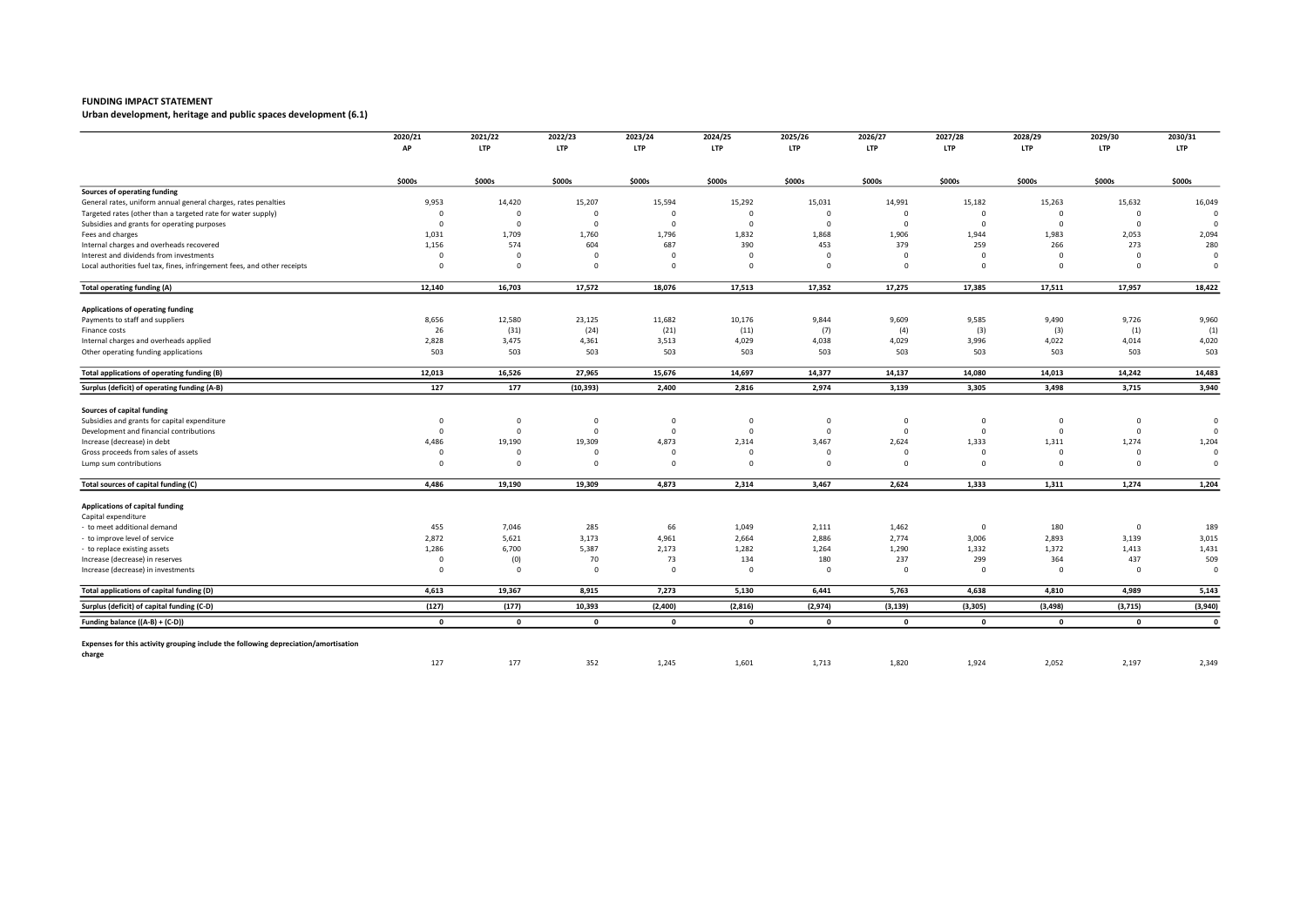Urban development, heritage and public spaces development (6.1)

|                                                                                               | 2020/21<br>AP | 2021/22<br><b>LTP</b> | 2022/23<br><b>LTP</b>   | 2023/24<br><b>LTP</b> | 2024/25<br><b>LTP</b> | 2025/26<br><b>LTP</b> | 2026/27<br><b>LTP</b> | 2027/28<br><b>LTP</b> | 2028/29<br><b>LTP</b> | 2029/30<br><b>LTP</b> | 2030/31<br><b>LTP</b>   |
|-----------------------------------------------------------------------------------------------|---------------|-----------------------|-------------------------|-----------------------|-----------------------|-----------------------|-----------------------|-----------------------|-----------------------|-----------------------|-------------------------|
|                                                                                               |               |                       |                         |                       |                       |                       |                       |                       |                       |                       |                         |
|                                                                                               | \$000s        | \$000s                | \$000s                  | \$000s                | \$000s                | \$000s                | \$000s                | \$000s                | \$000s                | \$000s                | \$000s                  |
| Sources of operating funding                                                                  |               |                       |                         |                       |                       |                       |                       |                       |                       |                       |                         |
| General rates, uniform annual general charges, rates penalties                                | 9,953         | 14,420                | 15,207                  | 15,594                | 15,292                | 15,031                | 14,991                | 15,182                | 15,263                | 15,632                | 16,049                  |
| Targeted rates (other than a targeted rate for water supply)                                  | $\Omega$      | $\mathbf 0$           | $\Omega$                | $\mathbf 0$           | $\Omega$              | $\mathbf 0$           | $\Omega$              | $\mathbf 0$           | $\Omega$              | $\mathbf 0$           | $\Omega$                |
| Subsidies and grants for operating purposes                                                   | $\Omega$      | $\mathbf 0$           | $\overline{\mathbf{0}}$ | $\Omega$              | $\Omega$              | $\Omega$              | $\Omega$              | $\Omega$              | $\Omega$              | $\mathbf 0$           | $\Omega$                |
| Fees and charges                                                                              | 1,031         | 1,709                 | 1,760                   | 1,796                 | 1,832                 | 1,868                 | 1,906                 | 1,944                 | 1,983                 | 2,053                 | 2,094                   |
| Internal charges and overheads recovered                                                      | 1,156         | 574                   | 604                     | 687                   | 390                   | 453                   | 379                   | 259                   | 266                   | 273                   | 280                     |
| Interest and dividends from investments                                                       | $\Omega$      | $\mathbf 0$           | $\overline{\mathbf{0}}$ | $\mathbf 0$           | $\Omega$              | $\Omega$              | $\Omega$              | $^{\circ}$            | $\Omega$              | $\Omega$              | 0                       |
| Local authorities fuel tax, fines, infringement fees, and other receipts                      | $\Omega$      | $\mathbf 0$           | $\overline{0}$          | $\mathbf 0$           | $\Omega$              | $\mathbf 0$           | $\mathbf 0$           | $\mathbf 0$           | $\Omega$              | $\mathbf 0$           | $\overline{0}$          |
| <b>Total operating funding (A)</b>                                                            | 12,140        | 16,703                | 17,572                  | 18,076                | 17,513                | 17,352                | 17,275                | 17,385                | 17,511                | 17,957                | 18,422                  |
| Applications of operating funding                                                             |               |                       |                         |                       |                       |                       |                       |                       |                       |                       |                         |
| Payments to staff and suppliers                                                               | 8,656         | 12,580                | 23,125                  | 11,682                | 10,176                | 9,844                 | 9,609                 | 9,585                 | 9,490                 | 9,726                 | 9,960                   |
| Finance costs                                                                                 | 26            | (31)                  | (24)                    | (21)                  | (11)                  | (7)                   | (4)                   | (3)                   | (3)                   | (1)                   | (1)                     |
| Internal charges and overheads applied                                                        | 2,828         | 3,475                 | 4,361                   | 3,513                 | 4,029                 | 4,038                 | 4,029                 | 3,996                 | 4,022                 | 4,014                 | 4,020                   |
| Other operating funding applications                                                          | 503           | 503                   | 503                     | 503                   | 503                   | 503                   | 503                   | 503                   | 503                   | 503                   | 503                     |
| Total applications of operating funding (B)                                                   | 12,013        | 16,526                | 27,965                  | 15,676                | 14,697                | 14,377                | 14,137                | 14,080                | 14,013                | 14,242                | 14,483                  |
| Surplus (deficit) of operating funding (A-B)                                                  | 127           | 177                   | (10, 393)               | 2,400                 | 2,816                 | 2,974                 | 3,139                 | 3,305                 | 3,498                 | 3,715                 | 3,940                   |
| Sources of capital funding                                                                    |               |                       |                         |                       |                       |                       |                       |                       |                       |                       |                         |
| Subsidies and grants for capital expenditure                                                  | $\Omega$      | $\mathbf 0$           | $\mathbf 0$             | $\mathbf 0$           | $\Omega$              | $\mathbf 0$           | $\circ$               | $\mathbf 0$           | $\Omega$              | $\mathbf 0$           | $\mathbf 0$             |
| Development and financial contributions                                                       | $\Omega$      | $\overline{0}$        | $\overline{0}$          | $\mathbf 0$           | $\Omega$              | $\mathbf 0$           | $\Omega$              | $\mathbf 0$           | $\Omega$              | $\overline{0}$        | $\Omega$                |
| Increase (decrease) in debt                                                                   | 4,486         | 19,190                | 19,309                  | 4,873                 | 2,314                 | 3,467                 | 2,624                 | 1,333                 | 1,311                 | 1,274                 | 1,204                   |
| Gross proceeds from sales of assets                                                           | $\Omega$      | $\Omega$              | $\Omega$                | $\Omega$              | $\Omega$              | $\Omega$              | $\Omega$              | $\Omega$              | $\Omega$              | $\overline{0}$        | $\overline{0}$          |
| Lump sum contributions                                                                        | $\Omega$      | $\mathbf 0$           | $\overline{\mathbf{0}}$ | $\mathbf 0$           | $\Omega$              | $\mathbf 0$           | $\Omega$              | $\mathbf 0$           | $\Omega$              | $\mathbf 0$           | $\overline{\mathbf{0}}$ |
| Total sources of capital funding (C)                                                          | 4,486         | 19,190                | 19,309                  | 4,873                 | 2,314                 | 3,467                 | 2,624                 | 1,333                 | 1,311                 | 1,274                 | 1,204                   |
| Applications of capital funding                                                               |               |                       |                         |                       |                       |                       |                       |                       |                       |                       |                         |
| Capital expenditure                                                                           |               |                       |                         |                       |                       |                       |                       |                       |                       |                       |                         |
| to meet additional demand                                                                     | 455           | 7,046                 | 285                     | 66                    | 1,049                 | 2,111                 | 1,462                 | $^{\circ}$            | 180                   | $\mathbf 0$           | 189                     |
| to improve level of service                                                                   | 2,872         | 5,621                 | 3,173                   | 4,961                 | 2,664                 | 2,886                 | 2,774                 | 3,006                 | 2,893                 | 3,139                 | 3,015                   |
| to replace existing assets                                                                    | 1,286         | 6,700                 | 5,387                   | 2,173                 | 1,282                 | 1,264                 | 1,290                 | 1,332                 | 1,372                 | 1,413                 | 1,431                   |
| Increase (decrease) in reserves                                                               | $\Omega$      | (0)                   | 70                      | 73                    | 134                   | 180                   | 237                   | 299                   | 364                   | 437                   | 509                     |
| Increase (decrease) in investments                                                            | $\Omega$      | $\mathbf 0$           | $\Omega$                | $\mathbf 0$           | $\Omega$              | $\Omega$              | $\Omega$              | $^{\circ}$            | $\Omega$              | $\mathbf 0$           | $\circ$                 |
| Total applications of capital funding (D)                                                     | 4,613         | 19,367                | 8,915                   | 7,273                 | 5,130                 | 6,441                 | 5,763                 | 4,638                 | 4,810                 | 4,989                 | 5,143                   |
| Surplus (deficit) of capital funding (C-D)                                                    | (127)         | (177)                 | 10,393                  | (2,400)               | (2, 816)              | (2,974)               | (3, 139)              | (3, 305)              | (3, 498)              | (3, 715)              | (3,940)                 |
| Funding balance ((A-B) + (C-D))                                                               | $\mathbf{0}$  | $\mathbf{0}$          | $\mathbf{0}$            | $\mathbf{0}$          | $\mathbf 0$           | $\mathbf{0}$          | $\mathbf{0}$          | $\mathbf{0}$          | $\mathbf{0}$          | $\mathbf{0}$          | $\pmb{\mathsf{o}}$      |
|                                                                                               |               |                       |                         |                       |                       |                       |                       |                       |                       |                       |                         |
| Expenses for this activity grouping include the following depreciation/amortisation<br>charge |               |                       |                         |                       |                       |                       |                       |                       |                       |                       |                         |
|                                                                                               | 127           | 177                   | 352                     | 1,245                 | 1,601                 | 1,713                 | 1,820                 | 1,924                 | 2,052                 | 2,197                 | 2,349                   |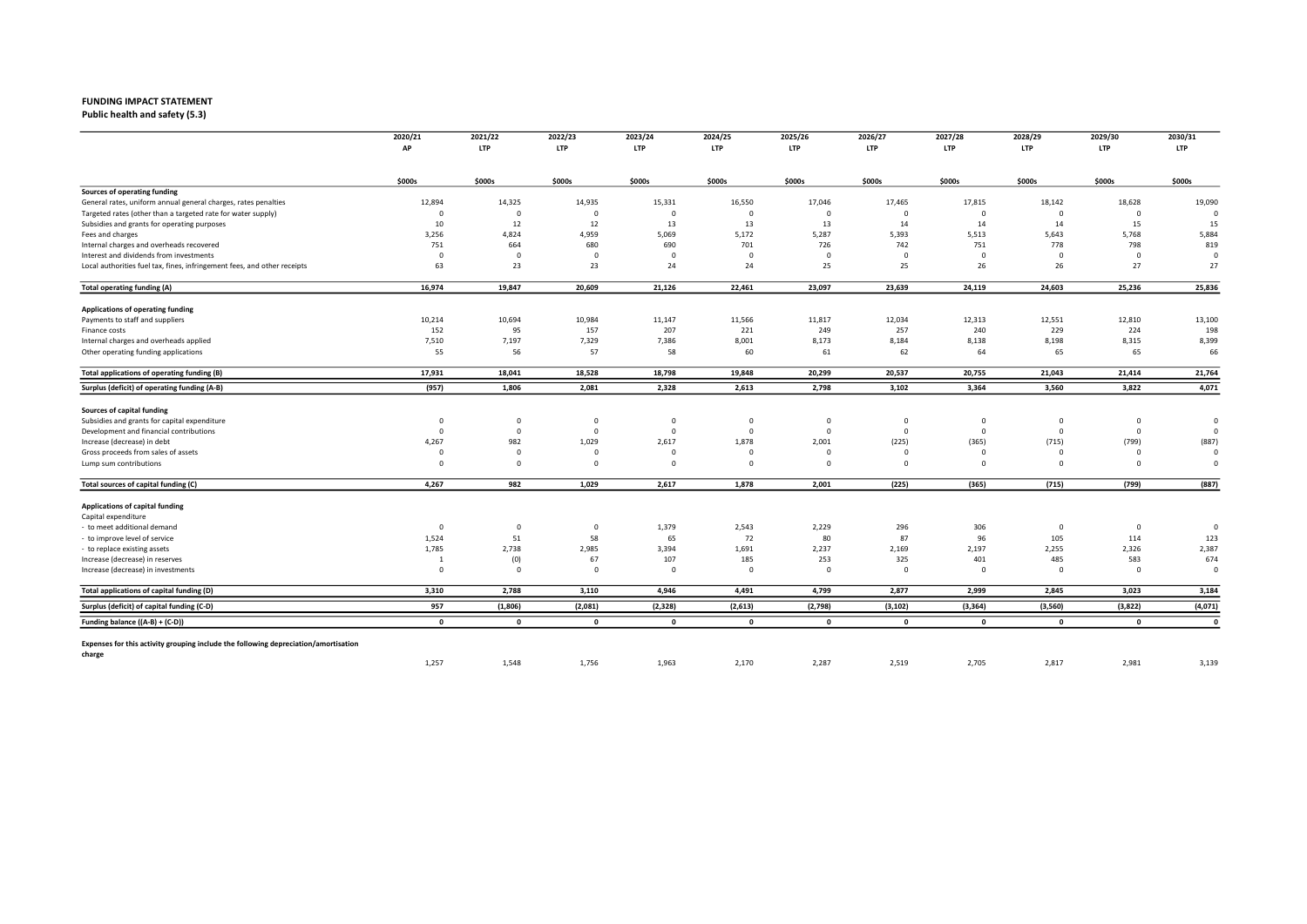Public health and safety (5.3)

|                                                                                     | 2020/21                 | 2021/22                       | 2022/23            | 2023/24      | 2024/25         | 2025/26         | 2026/27      | 2027/28      | 2028/29            | 2029/30               | 2030/31        |
|-------------------------------------------------------------------------------------|-------------------------|-------------------------------|--------------------|--------------|-----------------|-----------------|--------------|--------------|--------------------|-----------------------|----------------|
|                                                                                     | AP                      | <b>LTP</b>                    | <b>LTP</b>         | <b>LTP</b>   | LTP             | <b>LTP</b>      | <b>LTP</b>   | <b>LTP</b>   | <b>LTP</b>         | <b>LTP</b>            | <b>LTP</b>     |
|                                                                                     | \$000s                  | \$000s                        | \$000s             | \$000s       | \$000s          | \$000s          | \$000s       | \$000s       | \$000s             | \$000s                | \$000s         |
| Sources of operating funding                                                        |                         |                               |                    |              |                 |                 |              |              |                    |                       |                |
| General rates, uniform annual general charges, rates penalties                      | 12,894                  | 14,325                        | 14,935             | 15,331       | 16,550          | 17,046          | 17,465       | 17,815       | 18,142             | 18,628                | 19,090         |
| Targeted rates (other than a targeted rate for water supply)                        | $\overline{\mathbf{0}}$ | $\mathbf 0$                   | $\Omega$           | $\Omega$     | $\mathbf 0$     | $\mathbf 0$     | $\mathbf 0$  | $\Omega$     | $\Omega$           | $\mathbf 0$           | $\circ$        |
| Subsidies and grants for operating purposes                                         | 10                      | 12                            | 12                 | 13           | 13              | 13              | 14           | 14           | 14                 | 15                    | 15             |
| Fees and charges                                                                    | 3,256                   | 4,824                         | 4,959              | 5,069        | 5,172           | 5,287           | 5,393        | 5,513        | 5,643              | 5,768                 | 5,884          |
| Internal charges and overheads recovered                                            | 751                     | 664                           | 680                | 690          | 701             | 726             | 742          | 751          | 778                | 798                   | 819            |
| Interest and dividends from investments                                             | $\Omega$                | $\overline{\mathbf{0}}$       | $\overline{0}$     | $\Omega$     | $\Omega$        | $\Omega$        | $\mathbf 0$  | $\Omega$     | $\Omega$           | $\overline{0}$        | $\Omega$       |
| Local authorities fuel tax, fines, infringement fees, and other receipts            | 63                      | 23                            | 23                 | 24           | 24              | 25              | 25           | 26           | 26                 | 27                    | 27             |
| Total operating funding (A)                                                         | 16,974                  | 19,847                        | 20,609             | 21,126       | 22,461          | 23,097          | 23,639       | 24,119       | 24,603             | 25,236                | 25,836         |
| Applications of operating funding                                                   |                         |                               |                    |              |                 |                 |              |              |                    |                       |                |
| Payments to staff and suppliers                                                     | 10,214                  | 10,694                        | 10,984             | 11,147       | 11,566          | 11,817          | 12,034       | 12,313       | 12,551             | 12,810                | 13,100         |
| Finance costs                                                                       | 152                     | 95                            | 157                | 207          | 221             | 249             | 257          | 240          | 229                | 224                   | 198            |
| Internal charges and overheads applied                                              | 7,510                   | 7,197                         | 7,329              | 7,386        | 8,001           | 8,173           | 8,184        | 8,138        | 8,198              | 8,315                 | 8,399          |
| Other operating funding applications                                                | 55                      | 56                            | 57                 | 58           | 60              | 61              | 62           | 64           | 65                 | 65                    | 66             |
| Total applications of operating funding (B)                                         | 17,931                  | 18,041                        | 18,528             | 18,798       | 19,848          | 20,299          | 20,537       | 20,755       | 21,043             | 21,414                | 21,764         |
| Surplus (deficit) of operating funding (A-B)                                        | (957)                   | 1,806                         | 2,081              | 2,328        | 2,613           | 2,798           | 3,102        | 3,364        | 3,560              | 3,822                 | 4,071          |
| Sources of capital funding                                                          |                         |                               |                    |              |                 |                 |              |              |                    |                       |                |
| Subsidies and grants for capital expenditure                                        | $\overline{\mathbf{0}}$ | $\mathbf 0$                   | $\mathbf{0}$       | $\Omega$     | $\mathbf 0$     | $\mathbf 0$     | $\mathbf 0$  | $^{\circ}$   | $\overline{0}$     | $\mathbf 0$           | $\circ$        |
| Development and financial contributions                                             | $\overline{\mathbf{0}}$ | $\overline{0}$                | $\overline{0}$     | $\Omega$     | $\mathbf 0$     | $\mathbf 0$     | $\mathbf{0}$ | $\Omega$     | $\overline{0}$     | $\mathbf 0$           | 0              |
| Increase (decrease) in debt                                                         | 4,267                   | 982                           | 1,029              | 2,617        | 1,878           | 2,001           | (225)        | (365)        | (715)              | (799)                 | (887)          |
| Gross proceeds from sales of assets                                                 | $\Omega$                | $\mathbf 0$                   | $\Omega$           | $\Omega$     | $\Omega$        | $\Omega$        | $\Omega$     | $\Omega$     | $\Omega$           | $\Omega$              | $\Omega$       |
| Lump sum contributions                                                              | $\Omega$                | $\mathbf 0$                   | $\Omega$           | $\Omega$     | $\Omega$        | $\mathbf 0$     | $\mathbf 0$  | $\Omega$     | $\Omega$           | $\Omega$              | $\Omega$       |
| Total sources of capital funding (C)                                                | 4,267                   | 982                           | 1,029              | 2,617        | 1,878           | 2,001           | (225)        | (365)        | (715)              | (799)                 | (887)          |
|                                                                                     |                         |                               |                    |              |                 |                 |              |              |                    |                       |                |
| Applications of capital funding                                                     |                         |                               |                    |              |                 |                 |              |              |                    |                       |                |
| Capital expenditure                                                                 |                         |                               |                    |              |                 |                 |              |              |                    |                       |                |
| - to meet additional demand                                                         | $\overline{\mathbf{0}}$ | $\overline{\mathbf{0}}$<br>51 | $\mathbf{0}$<br>58 | 1,379<br>65  | 2,543<br>72     | 2,229<br>80     | 296<br>87    | 306<br>96    | $\mathbf 0$<br>105 | $\overline{0}$<br>114 | $\circ$<br>123 |
| to improve level of service                                                         | 1,524<br>1,785          | 2,738                         | 2,985              | 3,394        | 1,691           | 2,237           | 2,169        | 2,197        | 2,255              |                       | 2,387          |
| - to replace existing assets                                                        |                         |                               | 67                 |              |                 |                 | 325          | 401          | 485                | 2,326<br>583          | 674            |
| Increase (decrease) in reserves                                                     | -1<br>$\Omega$          | (0)<br>$\overline{0}$         | $\Omega$           | 107          | 185<br>$\Omega$ | 253<br>$\Omega$ | $\Omega$     | $\Omega$     | $\Omega$           |                       | $\Omega$       |
| Increase (decrease) in investments                                                  |                         |                               |                    | $^{\circ}$   |                 |                 |              |              |                    | $\mathbf 0$           |                |
| Total applications of capital funding (D)                                           | 3,310                   | 2,788                         | 3,110              | 4,946        | 4,491           | 4,799           | 2,877        | 2,999        | 2,845              | 3,023                 | 3,184          |
| Surplus (deficit) of capital funding (C-D)                                          | 957                     | (1, 806)                      | (2,081)            | (2, 328)     | (2,613)         | (2,798)         | (3, 102)     | (3, 364)     | (3,560)            | (3,822)               | (4,071)        |
| Funding balance ((A-B) + (C-D))                                                     | $\mathbf{0}$            | $\mathbf{0}$                  | $\mathbf 0$        | $\mathbf{0}$ | $\mathbf{0}$    | $\mathbf{0}$    | $\mathbf 0$  | $\mathbf{o}$ | $\mathbf{0}$       | $\mathbf{0}$          | $\mathbf{0}$   |
| Expenses for this activity grouping include the following depreciation/amortisation |                         |                               |                    |              |                 |                 |              |              |                    |                       |                |
| charge                                                                              | 1,257                   | 1,548                         | 1,756              | 1,963        | 2,170           | 2,287           | 2,519        | 2,705        | 2,817              | 2,981                 | 3,139          |
|                                                                                     |                         |                               |                    |              |                 |                 |              |              |                    |                       |                |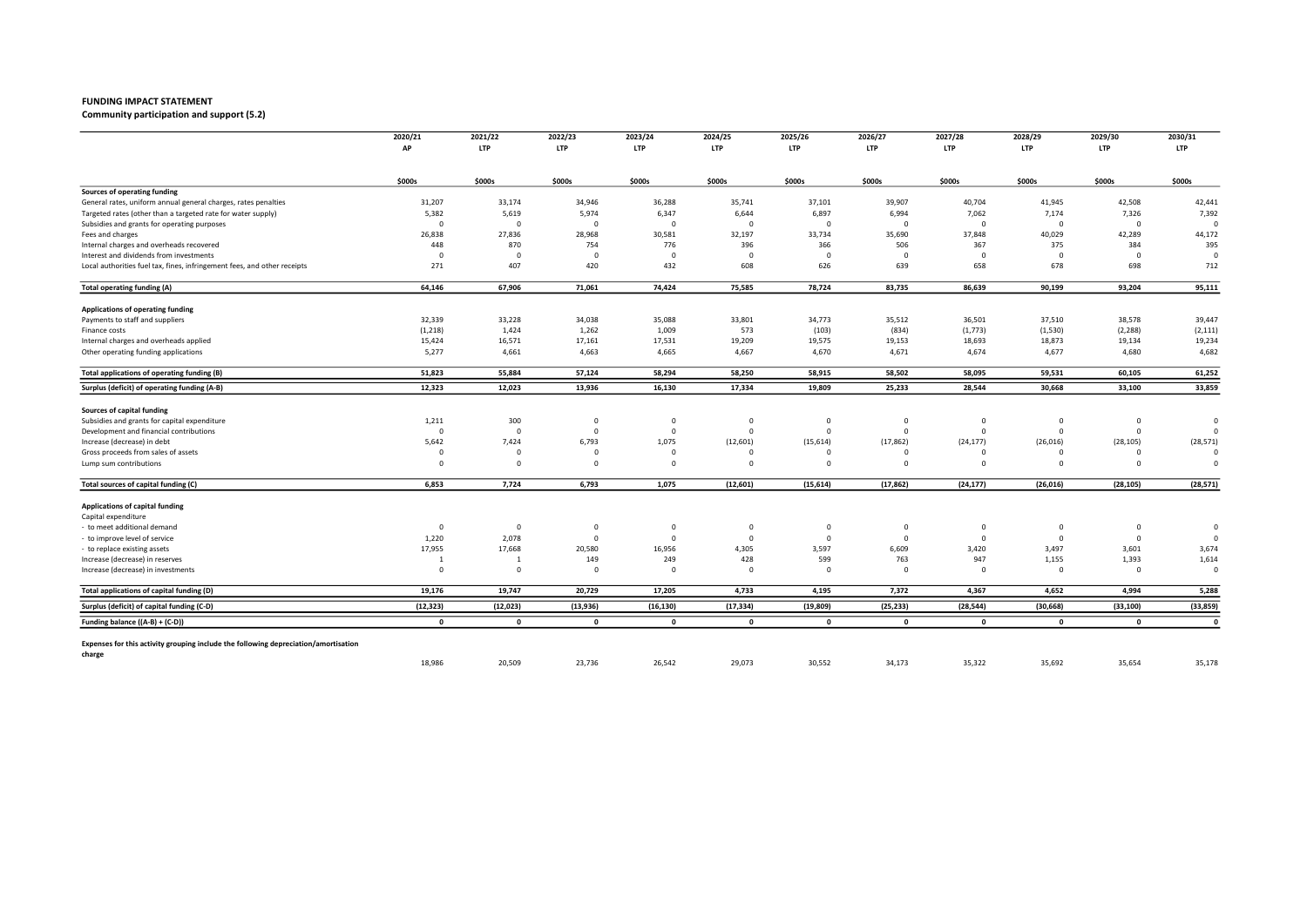Community participation and support (5.2)

|                                                                                     | 2020/21        | 2021/22        | 2022/23                 | 2023/24      | 2024/25      | 2025/26      | 2026/27      | 2027/28      | 2028/29        | 2029/30     | 2030/31      |
|-------------------------------------------------------------------------------------|----------------|----------------|-------------------------|--------------|--------------|--------------|--------------|--------------|----------------|-------------|--------------|
|                                                                                     | АP             | <b>LTP</b>     | <b>LTP</b>              | <b>LTP</b>   | LTP          | <b>LTP</b>   | <b>LTP</b>   | <b>LTP</b>   | <b>LTP</b>     | <b>LTP</b>  | <b>LTP</b>   |
|                                                                                     | \$000s         | \$000s         | \$000s                  | \$000s       | \$000s       | \$000s       | \$000s       | \$000s       | \$000s         | \$000s      | \$000s       |
| Sources of operating funding                                                        |                |                |                         |              |              |              |              |              |                |             |              |
| General rates, uniform annual general charges, rates penalties                      | 31,207         | 33,174         | 34,946                  | 36,288       | 35,741       | 37,101       | 39,907       | 40,704       | 41,945         | 42,508      | 42,441       |
| Targeted rates (other than a targeted rate for water supply)                        | 5,382          | 5,619          | 5,974                   | 6,347        | 6,644        | 6,897        | 6,994        | 7,062        | 7,174          | 7,326       | 7,392        |
| Subsidies and grants for operating purposes                                         | $\Omega$       | $\overline{0}$ | $\Omega$                | $\Omega$     | $\Omega$     | $\Omega$     | $\Omega$     | $\Omega$     | $\mathbf 0$    | $\mathbf 0$ | $\Omega$     |
| Fees and charges                                                                    | 26,838         | 27,836         | 28,968                  | 30,581       | 32,197       | 33,734       | 35,690       | 37,848       | 40,029         | 42,289      | 44,172       |
| Internal charges and overheads recovered                                            | 448            | 870            | 754                     | 776          | 396          | 366          | 506          | 367          | 375            | 384         | 395          |
| Interest and dividends from investments                                             | $\overline{0}$ | $\overline{0}$ | $\overline{\mathbf{0}}$ | $\Omega$     | $\Omega$     | $\Omega$     | $\Omega$     | $\Omega$     | $\Omega$       | $\mathbf 0$ | $\Omega$     |
| Local authorities fuel tax, fines, infringement fees, and other receipts            | 271            | 407            | 420                     | 432          | 608          | 626          | 639          | 658          | 678            | 698         | 712          |
| Total operating funding (A)                                                         | 64,146         | 67,906         | 71,061                  | 74,424       | 75,585       | 78,724       | 83,735       | 86,639       | 90,199         | 93,204      | 95,111       |
| Applications of operating funding                                                   |                |                |                         |              |              |              |              |              |                |             |              |
| Payments to staff and suppliers                                                     | 32,339         | 33,228         | 34,038                  | 35,088       | 33,801       | 34,773       | 35,512       | 36,501       | 37,510         | 38,578      | 39,447       |
| Finance costs                                                                       | (1, 218)       | 1,424          | 1,262                   | 1,009        | 573          | (103)        | (834)        | (1, 773)     | (1,530)        | (2, 288)    | (2, 111)     |
| Internal charges and overheads applied                                              | 15,424         | 16,571         | 17,161                  | 17,531       | 19,209       | 19,575       | 19,153       | 18,693       | 18,873         | 19,134      | 19,234       |
| Other operating funding applications                                                | 5,277          | 4,661          | 4,663                   | 4,665        | 4,667        | 4,670        | 4,671        | 4,674        | 4,677          | 4,680       | 4,682        |
| Total applications of operating funding (B)                                         | 51,823         | 55,884         | 57,124                  | 58,294       | 58,250       | 58,915       | 58,502       | 58,095       | 59,531         | 60,105      | 61,252       |
| Surplus (deficit) of operating funding (A-B)                                        | 12,323         | 12,023         | 13,936                  | 16,130       | 17,334       | 19,809       | 25,233       | 28,544       | 30,668         | 33,100      | 33,859       |
| Sources of capital funding                                                          |                |                |                         |              |              |              |              |              |                |             |              |
| Subsidies and grants for capital expenditure                                        | 1,211          | 300            | $^{\circ}$              | $\mathbf 0$  | 0            | $^{\circ}$   | 0            | 0            | $\mathbf 0$    | $\mathbf 0$ | $\circ$      |
| Development and financial contributions                                             | $\mathbf 0$    | $\overline{0}$ | $^{\circ}$              | $\Omega$     | $\Omega$     | $\Omega$     | $\mathbf 0$  | $\Omega$     | $\mathbf 0$    | $\mathbf 0$ | $\Omega$     |
| Increase (decrease) in debt                                                         | 5,642          | 7,424          | 6,793                   | 1,075        | (12,601)     | (15, 614)    | (17, 862)    | (24, 177)    | (26, 016)      | (28, 105)   | (28, 571)    |
| Gross proceeds from sales of assets                                                 | $\Omega$       | $\Omega$       | $\Omega$                | $\Omega$     |              |              | $\Omega$     | $\Omega$     | $\Omega$       | $\Omega$    | $\Omega$     |
| Lump sum contributions                                                              | $\Omega$       | $\overline{0}$ | $\Omega$                | $^{\circ}$   | $\Omega$     | $\Omega$     | $\Omega$     | $\Omega$     | $\Omega$       | $\mathbf 0$ | $\Omega$     |
| Total sources of capital funding (C)                                                | 6,853          | 7,724          | 6,793                   | 1,075        | (12, 601)    | (15, 614)    | (17, 862)    | (24, 177)    | (26, 016)      | (28, 105)   | (28, 571)    |
| Applications of capital funding                                                     |                |                |                         |              |              |              |              |              |                |             |              |
| Capital expenditure                                                                 |                |                |                         |              |              |              |              |              |                |             |              |
| to meet additional demand                                                           | $\Omega$       | $\overline{0}$ | 0                       | $\Omega$     | $^{\circ}$   | $^{\circ}$   | $\mathbf 0$  | $\Omega$     | $\overline{0}$ | $\mathbf 0$ | $\circ$      |
| to improve level of service                                                         | 1,220          | 2,078          | $\Omega$                | $^{\circ}$   | $\mathbf{0}$ | $\Omega$     | $\mathbf{0}$ | $\Omega$     | $\overline{0}$ | $\mathbf 0$ | $\Omega$     |
| to replace existing assets                                                          | 17,955         | 17,668         | 20,580                  | 16,956       | 4,305        | 3,597        | 6,609        | 3,420        | 3,497          | 3,601       | 3,674        |
| Increase (decrease) in reserves                                                     | -1             | -1             | 149                     | 249          | 428          | 599          | 763          | 947          | 1,155          | 1,393       | 1,614        |
| Increase (decrease) in investments                                                  | $\Omega$       | $\mathbf 0$    | $\Omega$                | $\Omega$     | $\Omega$     | $\Omega$     | $\Omega$     | $\Omega$     | $\Omega$       | $\mathbf 0$ | $\circ$      |
| Total applications of capital funding (D)                                           | 19,176         | 19,747         | 20,729                  | 17,205       | 4,733        | 4,195        | 7,372        | 4,367        | 4,652          | 4,994       | 5,288        |
| Surplus (deficit) of capital funding (C-D)                                          | (12, 323)      | (12, 023)      | (13,936)                | (16, 130)    | (17, 334)    | (19, 809)    | (25, 233)    | (28, 544)    | (30, 668)      | (33, 100)   | (33, 859)    |
| Funding balance ((A-B) + (C-D))                                                     | $\mathbf{0}$   | $\mathbf{0}$   | $\mathbf{0}$            | $\mathbf{0}$ | $\mathbf{0}$ | $\mathbf{0}$ | $\mathbf 0$  | $\mathbf{0}$ | $\mathbf{0}$   | $\mathbf 0$ | $\mathbf{0}$ |
| Expenses for this activity grouping include the following depreciation/amortisation |                |                |                         |              |              |              |              |              |                |             |              |
| charge                                                                              | 18,986         | 20,509         | 23,736                  | 26,542       | 29,073       | 30,552       | 34,173       | 35,322       | 35,692         | 35,654      | 35,178       |
|                                                                                     |                |                |                         |              |              |              |              |              |                |             |              |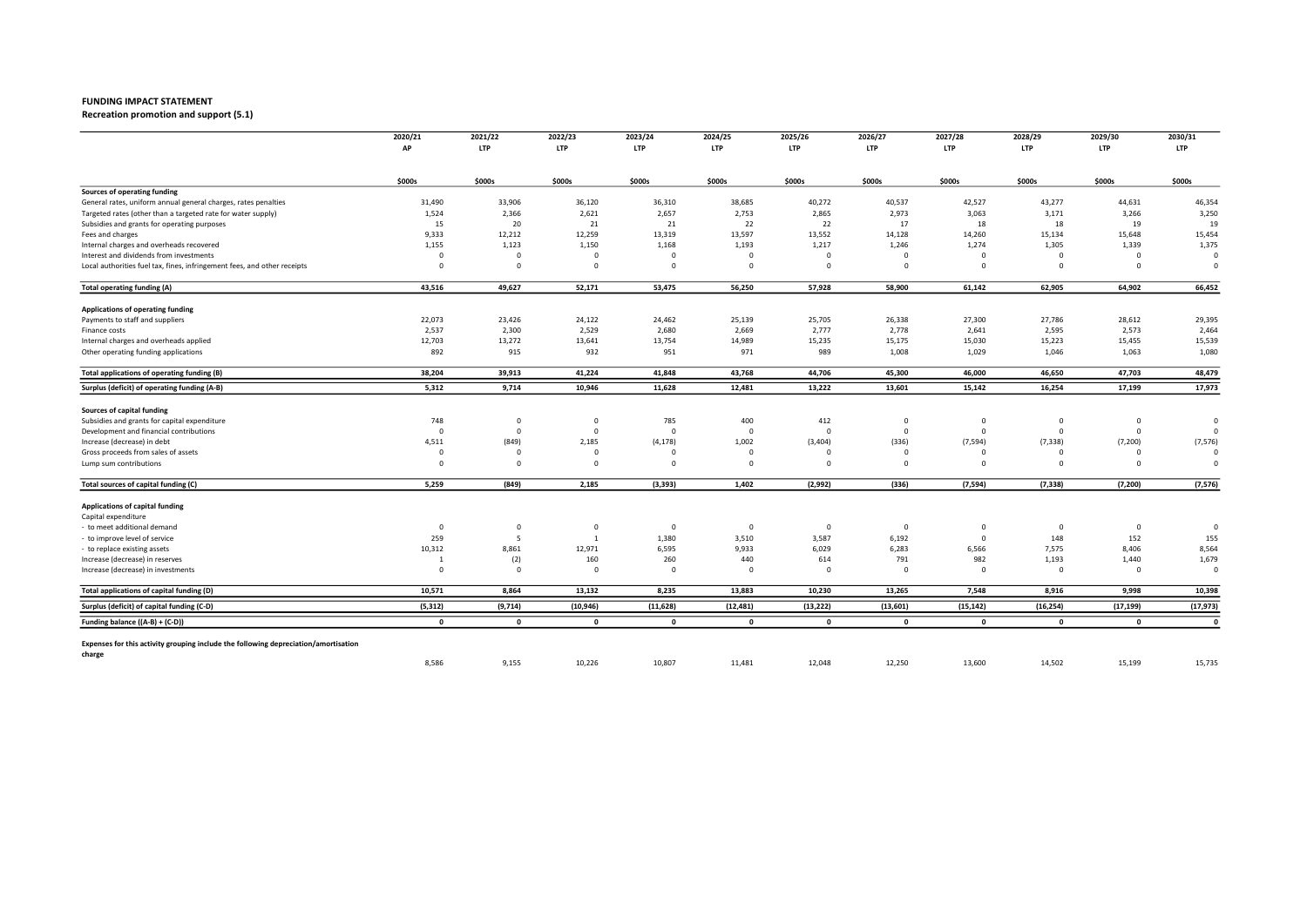Recreation promotion and support (5.1)

|                                                                                     | 2020/21                 | 2021/22                 | 2022/23        | 2023/24      | 2024/25        | 2025/26        | 2026/27     | 2027/28      | 2028/29        | 2029/30        | 2030/31      |
|-------------------------------------------------------------------------------------|-------------------------|-------------------------|----------------|--------------|----------------|----------------|-------------|--------------|----------------|----------------|--------------|
|                                                                                     | AP                      | <b>LTP</b>              | <b>LTP</b>     | <b>LTP</b>   | LTP            | <b>LTP</b>     | <b>LTP</b>  | <b>LTP</b>   | <b>LTP</b>     | <b>LTP</b>     | <b>LTP</b>   |
|                                                                                     | \$000s                  | \$000s                  | \$000s         | \$000s       | \$000s         | \$000s         | \$000s      | \$000s       | \$000s         | \$000s         | \$000s       |
| Sources of operating funding                                                        |                         |                         |                |              |                |                |             |              |                |                |              |
| General rates, uniform annual general charges, rates penalties                      | 31,490                  | 33,906                  | 36,120         | 36,310       | 38,685         | 40,272         | 40,537      | 42,527       | 43,277         | 44,631         | 46,354       |
| Targeted rates (other than a targeted rate for water supply)                        | 1,524                   | 2,366                   | 2,621          | 2,657        | 2,753          | 2,865          | 2,973       | 3,063        | 3,171          | 3,266          | 3,250        |
| Subsidies and grants for operating purposes                                         | 15                      | 20                      | 21             | 21           | 22             | 22             | 17          | 18           | 18             | 19             | 19           |
| Fees and charges                                                                    | 9,333                   | 12,212                  | 12,259         | 13,319       | 13,597         | 13,552         | 14,128      | 14,260       | 15,134         | 15,648         | 15,454       |
| Internal charges and overheads recovered                                            | 1,155                   | 1,123                   | 1,150          | 1,168        | 1,193          | 1,217          | 1,246       | 1,274        | 1,305          | 1,339          | 1,375        |
| Interest and dividends from investments                                             | $\Omega$                | $\overline{\mathbf{0}}$ | $\Omega$       | $\Omega$     | $\Omega$       | $\Omega$       | $\mathbf 0$ | $\Omega$     | $\Omega$       | $\mathbf 0$    | $\Omega$     |
| Local authorities fuel tax, fines, infringement fees, and other receipts            | $\Omega$                | $\mathbf 0$             | $\mathbf 0$    | $\Omega$     | $\mathbf 0$    | $\mathbf 0$    | $\mathbf 0$ | $\Omega$     | $\mathbf 0$    | $\mathbf 0$    | $\Omega$     |
| Total operating funding (A)                                                         | 43,516                  | 49,627                  | 52,171         | 53,475       | 56,250         | 57,928         | 58,900      | 61,142       | 62,905         | 64,902         | 66,452       |
| Applications of operating funding                                                   |                         |                         |                |              |                |                |             |              |                |                |              |
| Payments to staff and suppliers                                                     | 22,073                  | 23,426                  | 24,122         | 24,462       | 25,139         | 25,705         | 26,338      | 27,300       | 27,786         | 28,612         | 29,395       |
| Finance costs                                                                       | 2,537                   | 2,300                   | 2,529          | 2,680        | 2,669          | 2,777          | 2,778       | 2,641        | 2,595          | 2,573          | 2,464        |
| Internal charges and overheads applied                                              | 12,703                  | 13,272                  | 13,641         | 13,754       | 14,989         | 15,235         | 15,175      | 15,030       | 15,223         | 15,455         | 15,539       |
| Other operating funding applications                                                | 892                     | 915                     | 932            | 951          | 971            | 989            | 1,008       | 1,029        | 1,046          | 1,063          | 1,080        |
| Total applications of operating funding (B)                                         | 38,204                  | 39,913                  | 41,224         | 41,848       | 43,768         | 44,706         | 45,300      | 46,000       | 46,650         | 47,703         | 48,479       |
| Surplus (deficit) of operating funding (A-B)                                        | 5,312                   | 9,714                   | 10,946         | 11,628       | 12,481         | 13,222         | 13,601      | 15,142       | 16,254         | 17,199         | 17,973       |
| Sources of capital funding                                                          |                         |                         |                |              |                |                |             |              |                |                |              |
| Subsidies and grants for capital expenditure                                        | 748                     | $\overline{\mathbf{0}}$ | $\mathbf{0}$   | 785          | 400            | 412            | $\mathbf 0$ | $^{\circ}$   | $\overline{0}$ | $\mathbf 0$    | $\circ$      |
| Development and financial contributions                                             | $\overline{\mathbf{0}}$ | $\overline{0}$          | $\overline{0}$ | $\Omega$     | $\mathbf 0$    | $\circ$        | $\mathbf 0$ | $\Omega$     | $\overline{0}$ | $\mathbf 0$    | $\Omega$     |
| Increase (decrease) in debt                                                         | 4,511                   | (849)                   | 2,185          | (4, 178)     | 1,002          | (3, 404)       | (336)       | (7, 594)     | (7, 338)       | (7, 200)       | (7, 576)     |
| Gross proceeds from sales of assets                                                 | $\Omega$                | $\Omega$                | $\Omega$       |              | $\Omega$       | $\Omega$       | $\Omega$    |              | $\Omega$       | $\Omega$       | $\Omega$     |
| Lump sum contributions                                                              | $\Omega$                | $\overline{\mathbf{0}}$ | $\Omega$       | $\Omega$     | $\Omega$       | $\mathbf 0$    | $^{\circ}$  | $\Omega$     | $\Omega$       | $\Omega$       | $\Omega$     |
| Total sources of capital funding (C)                                                | 5,259                   | (849)                   | 2,185          | (3, 393)     | 1,402          | (2,992)        | (336)       | (7,594)      | (7, 338)       | (7, 200)       | (7, 576)     |
| Applications of capital funding                                                     |                         |                         |                |              |                |                |             |              |                |                |              |
| Capital expenditure                                                                 |                         |                         |                |              |                |                |             |              |                |                |              |
| - to meet additional demand                                                         | $\overline{\mathbf{0}}$ | $\overline{\mathbf{0}}$ | $\mathbf{0}$   | $^{\circ}$   | $\overline{0}$ | $\overline{0}$ | $\mathbf 0$ | $\Omega$     | $\mathbf 0$    | $\overline{0}$ | $\circ$      |
| to improve level of service                                                         | 259                     | 5                       | $\overline{1}$ | 1,380        | 3,510          | 3,587          | 6,192       | $\Omega$     | 148            | 152            | 155          |
| - to replace existing assets                                                        | 10,312                  | 8,861                   | 12,971         | 6,595        | 9,933          | 6,029          | 6,283       | 6,566        | 7,575          | 8,406          | 8,564        |
| Increase (decrease) in reserves                                                     |                         | (2)                     | 160            | 260          | 440            | 614            | 791         | 982          | 1,193          | 1,440          | 1,679        |
| Increase (decrease) in investments                                                  | $\Omega$                | $\mathbf 0$             | $\Omega$       | $\Omega$     | $\Omega$       | $\Omega$       | $\mathbf 0$ | $\Omega$     | $\mathbf 0$    | $^{\circ}$     | $\circ$      |
| Total applications of capital funding (D)                                           | 10,571                  | 8,864                   | 13,132         | 8,235        | 13,883         | 10,230         | 13,265      | 7,548        | 8,916          | 9,998          | 10,398       |
| Surplus (deficit) of capital funding (C-D)                                          | (5, 312)                | (9,714)                 | (10, 946)      | (11, 628)    | (12, 481)      | (13, 222)      | (13,601)    | (15, 142)    | (16, 254)      | (17, 199)      | (17, 973)    |
| Funding balance ((A-B) + (C-D))                                                     | $\mathbf{0}$            | $\mathbf{0}$            | $\mathbf 0$    | $\mathbf{0}$ | $\mathbf 0$    | $\mathbf{0}$   | $\mathbf 0$ | $\mathbf{0}$ | $\mathbf{0}$   | $\mathbf{0}$   | $\mathbf{0}$ |
| Expenses for this activity grouping include the following depreciation/amortisation |                         |                         |                |              |                |                |             |              |                |                |              |
| charge                                                                              | 8,586                   | 9,155                   | 10,226         | 10,807       | 11,481         | 12,048         | 12,250      | 13,600       | 14,502         | 15,199         | 15,735       |
|                                                                                     |                         |                         |                |              |                |                |             |              |                |                |              |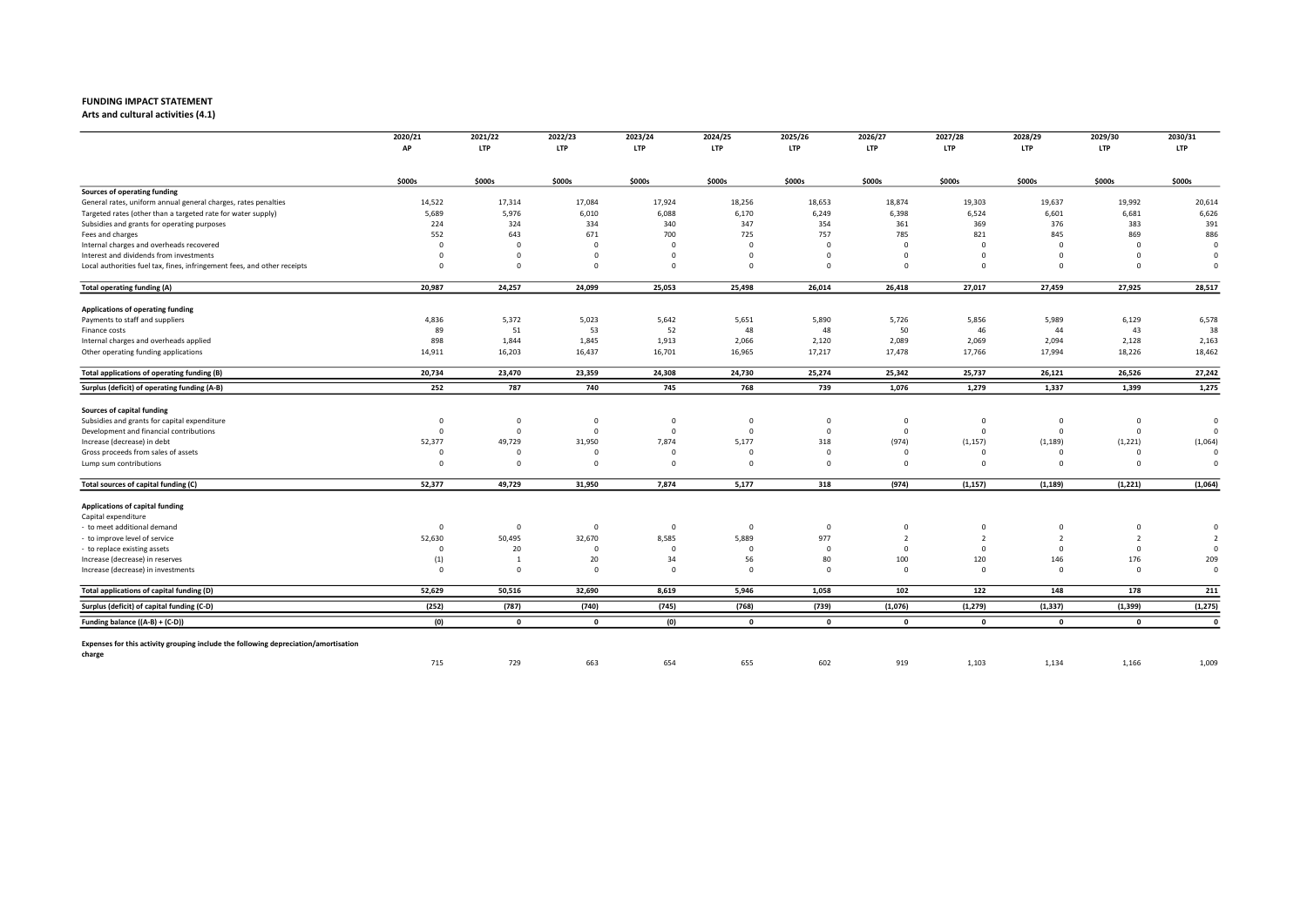Arts and cultural activities (4.1)

|                                                                                     | 2020/21                 | 2021/22                 | 2022/23        | 2023/24    | 2024/25      | 2025/26      | 2026/27        | 2027/28        | 2028/29        | 2029/30        | 2030/31        |
|-------------------------------------------------------------------------------------|-------------------------|-------------------------|----------------|------------|--------------|--------------|----------------|----------------|----------------|----------------|----------------|
|                                                                                     | AP                      | <b>LTP</b>              | <b>LTP</b>     | <b>LTP</b> | LTP          | <b>LTP</b>   | <b>LTP</b>     | <b>LTP</b>     | <b>LTP</b>     | <b>LTP</b>     | <b>LTP</b>     |
|                                                                                     | \$000s                  | \$000s                  | \$000s         | \$000s     | \$000s       | \$000s       | \$000s         | \$000s         | \$000s         | \$000s         | \$000s         |
| Sources of operating funding                                                        |                         |                         |                |            |              |              |                |                |                |                |                |
| General rates, uniform annual general charges, rates penalties                      | 14,522                  | 17,314                  | 17,084         | 17,924     | 18,256       | 18,653       | 18,874         | 19,303         | 19,637         | 19,992         | 20,614         |
| Targeted rates (other than a targeted rate for water supply)                        | 5,689                   | 5,976                   | 6,010          | 6,088      | 6,170        | 6,249        | 6,398          | 6,524          | 6,601          | 6,681          | 6,626          |
| Subsidies and grants for operating purposes                                         | 224                     | 324                     | 334            | 340        | 347          | 354          | 361            | 369            | 376            | 383            | 391            |
| Fees and charges                                                                    | 552                     | 643                     | 671            | 700        | 725          | 757          | 785            | 821            | 845            | 869            | 886            |
| Internal charges and overheads recovered                                            | $\Omega$                | $\overline{0}$          | $\Omega$       | $\Omega$   | $\Omega$     | $\Omega$     | $\Omega$       | $\Omega$       | $\Omega$       | $\Omega$       | $\Omega$       |
| Interest and dividends from investments                                             | $\Omega$                | $\overline{0}$          | $\Omega$       | $\Omega$   | $\Omega$     | $\Omega$     | $\mathbf 0$    | $\Omega$       | $\Omega$       | $\mathbf 0$    | $\Omega$       |
| Local authorities fuel tax, fines, infringement fees, and other receipts            | $\Omega$                | $\overline{0}$          | $\Omega$       | $\Omega$   | $\Omega$     | $\mathbf 0$  | $\mathbf 0$    | $\Omega$       | $\Omega$       | $\mathbf 0$    | $\Omega$       |
| Total operating funding (A)                                                         | 20,987                  | 24,257                  | 24,099         | 25,053     | 25,498       | 26,014       | 26,418         | 27,017         | 27,459         | 27,925         | 28,517         |
| Applications of operating funding                                                   |                         |                         |                |            |              |              |                |                |                |                |                |
| Payments to staff and suppliers                                                     | 4,836                   | 5,372                   | 5,023          | 5,642      | 5,651        | 5,890        | 5,726          | 5,856          | 5,989          | 6,129          | 6,578          |
| Finance costs                                                                       | 89                      | 51                      | 53             | 52         | 48           | 48           | 50             | 46             | 44             | 43             | 38             |
| Internal charges and overheads applied                                              | 898                     | 1,844                   | 1,845          | 1,913      | 2,066        | 2,120        | 2,089          | 2,069          | 2,094          | 2,128          | 2,163          |
| Other operating funding applications                                                | 14,911                  | 16,203                  | 16,437         | 16,701     | 16,965       | 17,217       | 17,478         | 17,766         | 17,994         | 18,226         | 18,462         |
| Total applications of operating funding (B)                                         | 20,734                  | 23,470                  | 23,359         | 24,308     | 24,730       | 25,274       | 25,342         | 25,737         | 26,121         | 26,526         | 27,242         |
| Surplus (deficit) of operating funding (A-B)                                        | 252                     | 787                     | 740            | 745        | 768          | 739          | 1,076          | 1,279          | 1,337          | 1,399          | 1,275          |
| Sources of capital funding                                                          |                         |                         |                |            |              |              |                |                |                |                |                |
| Subsidies and grants for capital expenditure                                        | $\overline{\mathbf{0}}$ | $\mathbf 0$             | $\overline{0}$ | $\Omega$   | $\mathbf 0$  | $\mathbf 0$  | $\overline{0}$ | $^{\circ}$     | $\overline{0}$ | $\mathbf 0$    | $\circ$        |
| Development and financial contributions                                             | $\overline{\mathbf{0}}$ | $\overline{\mathbf{0}}$ | $\mathbf{0}$   | $\Omega$   | $\mathbf 0$  | $\mathbf 0$  | $\mathbf{0}$   | $\mathbf 0$    | $\overline{0}$ | $\mathbf 0$    | $\Omega$       |
| Increase (decrease) in debt                                                         | 52,377                  | 49,729                  | 31,950         | 7,874      | 5,177        | 318          | (974)          | (1, 157)       | (1, 189)       | (1, 221)       | (1,064)        |
| Gross proceeds from sales of assets                                                 | $\Omega$                | $\Omega$                | $\Omega$       | $\Omega$   | $\Omega$     | $\Omega$     | $\Omega$       | $\Omega$       | $\Omega$       | $\Omega$       | $\Omega$       |
| Lump sum contributions                                                              | $\Omega$                | $\overline{\mathbf{0}}$ | $\Omega$       | $\Omega$   | $\Omega$     | $\Omega$     | $^{\circ}$     | $\Omega$       | $\Omega$       | $\Omega$       | $\Omega$       |
| Total sources of capital funding (C)                                                | 52,377                  | 49,729                  | 31,950         | 7,874      | 5,177        | 318          | (974)          | (1, 157)       | (1, 189)       | (1, 221)       | (1,064)        |
| Applications of capital funding                                                     |                         |                         |                |            |              |              |                |                |                |                |                |
| Capital expenditure                                                                 |                         |                         |                |            |              |              |                |                |                |                |                |
| - to meet additional demand                                                         | $\Omega$                | $\overline{\mathbf{0}}$ | $\mathbf{0}$   | $^{\circ}$ | $\mathbf 0$  | $\Omega$     | 0              | $^{\circ}$     | $^{\circ}$     | $\mathbf 0$    | $\Omega$       |
| to improve level of service                                                         | 52,630                  | 50,495                  | 32,670         | 8,585      | 5,889        | 977          | $\overline{2}$ | $\overline{2}$ | $\overline{2}$ | $\overline{2}$ | $\overline{2}$ |
| - to replace existing assets                                                        | $\Omega$                | 20                      | $\Omega$       | $\Omega$   | $\Omega$     | $\Omega$     | $\mathbf 0$    | $\Omega$       | $\mathbf{0}$   | $^{\circ}$     | $\Omega$       |
| Increase (decrease) in reserves                                                     | (1)                     | -1                      | 20             | 34         | 56           | 80           | 100            | 120            | 146            | 176            | 209            |
| Increase (decrease) in investments                                                  | $\Omega$                | $\Omega$                | $\Omega$       | $\Omega$   | $\Omega$     | $\Omega$     | $\Omega$       | $\Omega$       | $\Omega$       | $\Omega$       | $\Omega$       |
| Total applications of capital funding (D)                                           | 52,629                  | 50,516                  | 32,690         | 8,619      | 5,946        | 1,058        | 102            | 122            | 148            | 178            | 211            |
| Surplus (deficit) of capital funding (C-D)                                          | (252)                   | (787)                   | (740)          | (745)      | (768)        | (739)        | (1,076)        | (1, 279)       | (1, 337)       | (1, 399)       | (1, 275)       |
| Funding balance ((A-B) + (C-D))                                                     | (0)                     | $\mathbf{0}$            | $\mathbf 0$    | (0)        | $\mathbf{0}$ | $\mathbf{0}$ | $\mathbf{0}$   | $\mathbf{0}$   | $\mathbf{0}$   | $\mathbf{0}$   | $\mathbf{0}$   |
| Expenses for this activity grouping include the following depreciation/amortisation |                         |                         |                |            |              |              |                |                |                |                |                |
| charge                                                                              | 715                     | 729                     | 663            | 654        | 655          | 602          | 919            | 1,103          | 1,134          | 1,166          | 1,009          |
|                                                                                     |                         |                         |                |            |              |              |                |                |                |                |                |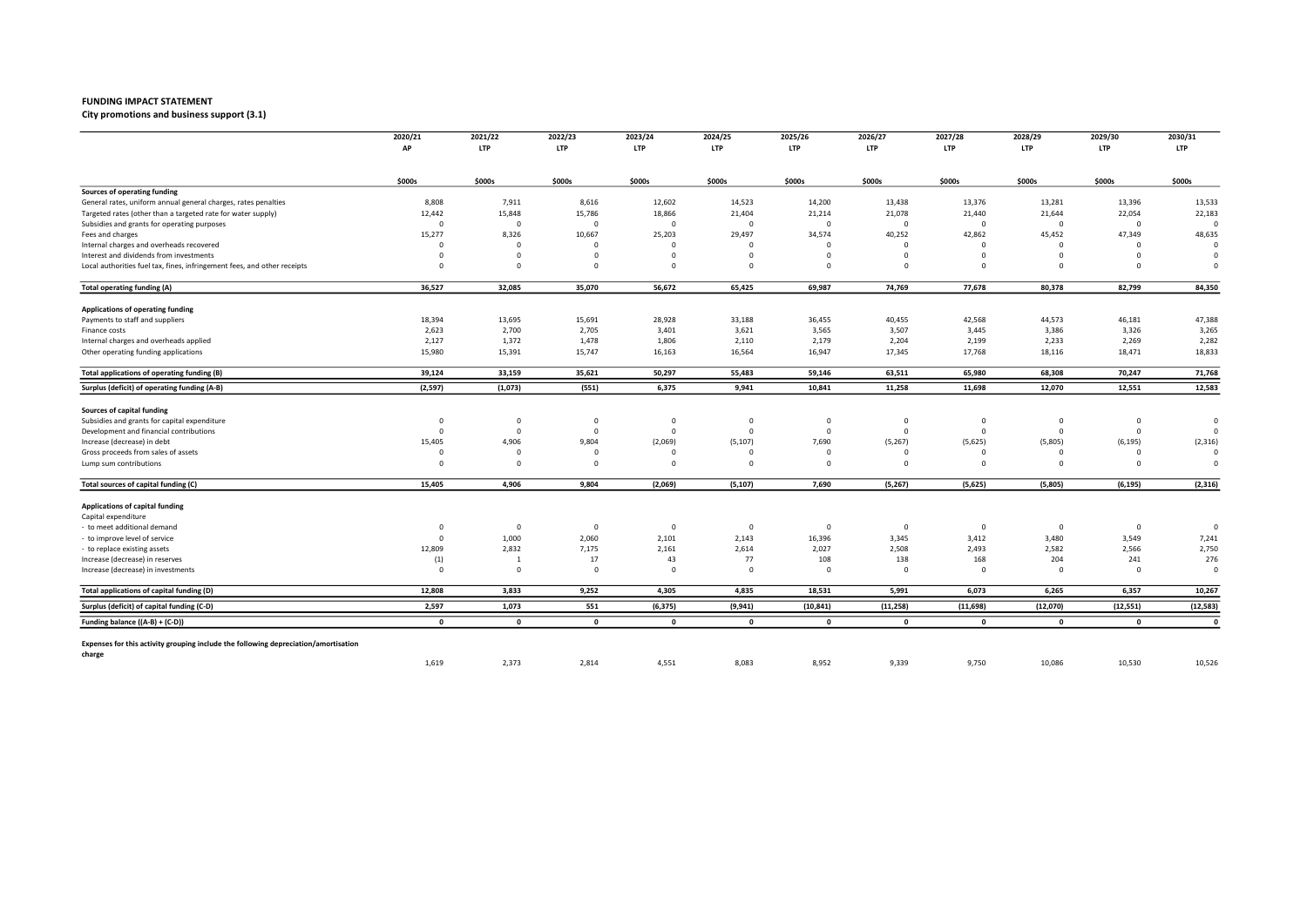City promotions and business support (3.1)

|                                                                                               | 2020/21      | 2021/22        | 2022/23                 | 2023/24      | 2024/25      | 2025/26      | 2026/27      | 2027/28      | 2028/29      | 2029/30     | 2030/31      |
|-----------------------------------------------------------------------------------------------|--------------|----------------|-------------------------|--------------|--------------|--------------|--------------|--------------|--------------|-------------|--------------|
|                                                                                               | АP           | <b>LTP</b>     | <b>LTP</b>              | <b>LTP</b>   | LTP          | <b>LTP</b>   | <b>LTP</b>   | <b>LTP</b>   | <b>LTP</b>   | <b>LTP</b>  | <b>LTP</b>   |
|                                                                                               | \$000s       | \$000s         | \$000s                  | \$000s       | \$000s       | \$000s       | \$000s       | \$000s       | \$000s       | \$000s      | \$000s       |
| Sources of operating funding                                                                  |              |                |                         |              |              |              |              |              |              |             |              |
| General rates, uniform annual general charges, rates penalties                                | 8,808        | 7,911          | 8,616                   | 12,602       | 14,523       | 14,200       | 13,438       | 13,376       | 13,281       | 13,396      | 13,533       |
| Targeted rates (other than a targeted rate for water supply)                                  | 12,442       | 15,848         | 15,786                  | 18,866       | 21,404       | 21,214       | 21,078       | 21,440       | 21,644       | 22,054      | 22,183       |
| Subsidies and grants for operating purposes                                                   | $\Omega$     | $\overline{0}$ | $\Omega$                | $\Omega$     | $\Omega$     | $\Omega$     | $\Omega$     | $\Omega$     | $\mathbf 0$  | $\mathbf 0$ | $\Omega$     |
| Fees and charges                                                                              | 15,277       | 8,326          | 10,667                  | 25,203       | 29,497       | 34,574       | 40,252       | 42,862       | 45,452       | 47,349      | 48,635       |
| Internal charges and overheads recovered                                                      | $\Omega$     | $\mathbf 0$    | $\Omega$                | $\Omega$     | $\Omega$     | $\Omega$     | $\Omega$     | $\Omega$     | $\Omega$     | $\mathbf 0$ | $\Omega$     |
| Interest and dividends from investments                                                       | $\Omega$     | $\overline{0}$ | $\Omega$                | $\Omega$     | $\Omega$     | $\Omega$     | $\mathbf 0$  | $\Omega$     | $\Omega$     | $\mathbf 0$ | $\Omega$     |
| Local authorities fuel tax, fines, infringement fees, and other receipts                      | $\Omega$     | $\overline{0}$ | $\Omega$                | $\Omega$     | $\Omega$     | $\mathbf 0$  | $\mathbf 0$  | $\Omega$     | $\Omega$     | $\mathbf 0$ | $\Omega$     |
| Total operating funding (A)                                                                   | 36,527       | 32,085         | 35,070                  | 56,672       | 65,425       | 69,987       | 74,769       | 77,678       | 80,378       | 82,799      | 84,350       |
| Applications of operating funding                                                             |              |                |                         |              |              |              |              |              |              |             |              |
| Payments to staff and suppliers                                                               | 18,394       | 13,695         | 15,691                  | 28,928       | 33,188       | 36,455       | 40,455       | 42,568       | 44,573       | 46,181      | 47,388       |
| Finance costs                                                                                 | 2,623        | 2,700          | 2,705                   | 3,401        | 3,621        | 3,565        | 3,507        | 3,445        | 3,386        | 3,326       | 3,265        |
| Internal charges and overheads applied                                                        | 2,127        | 1,372          | 1,478                   | 1,806        | 2,110        | 2,179        | 2,204        | 2,199        | 2,233        | 2,269       | 2,282        |
| Other operating funding applications                                                          | 15,980       | 15,391         | 15,747                  | 16,163       | 16,564       | 16,947       | 17,345       | 17,768       | 18,116       | 18,471      | 18,833       |
| Total applications of operating funding (B)                                                   | 39,124       | 33,159         | 35,621                  | 50,297       | 55,483       | 59,146       | 63,511       | 65,980       | 68,308       | 70,247      | 71,768       |
| Surplus (deficit) of operating funding (A-B)                                                  | (2,597)      | (1,073)        | (551)                   | 6,375        | 9,941        | 10,841       | 11,258       | 11,698       | 12,070       | 12,551      | 12,583       |
| Sources of capital funding                                                                    |              |                |                         |              |              |              |              |              |              |             |              |
| Subsidies and grants for capital expenditure                                                  | $^{\circ}$   | $\mathbf 0$    | $^{\circ}$              | $\mathbf 0$  | 0            | 0            | 0            | $\mathbf{0}$ | $\mathbf 0$  | $\mathbf 0$ | $\circ$      |
| Development and financial contributions                                                       | $\Omega$     | $\overline{0}$ | $^{\circ}$              | $\mathsf{C}$ | $^{\circ}$   | $\mathbf 0$  | $\mathbf 0$  | $\Omega$     | $\mathbf 0$  | $\mathbf 0$ | $\Omega$     |
| Increase (decrease) in debt                                                                   | 15,405       | 4,906          | 9,804                   | (2,069)      | (5, 107)     | 7,690        | (5,267)      | (5,625)      | (5,805)      | (6, 195)    | (2, 316)     |
| Gross proceeds from sales of assets                                                           | $\Omega$     | $\Omega$       | $\Omega$                |              | $\Omega$     | $\Omega$     | $\Omega$     | $\Omega$     | $\Omega$     | $\Omega$    | $\Omega$     |
| Lump sum contributions                                                                        | $\Omega$     | $\overline{0}$ | $\Omega$                | $\Omega$     | $\Omega$     | $\mathbf 0$  | $\Omega$     | $\Omega$     | $\Omega$     | $\Omega$    | $\Omega$     |
| Total sources of capital funding (C)                                                          | 15,405       | 4,906          | 9,804                   | (2,069)      | (5, 107)     | 7,690        | (5,267)      | (5,625)      | (5,805)      | (6, 195)    | (2, 316)     |
| Applications of capital funding                                                               |              |                |                         |              |              |              |              |              |              |             |              |
| Capital expenditure                                                                           |              |                |                         |              |              |              |              |              |              |             |              |
| to meet additional demand                                                                     | $\Omega$     | $\overline{0}$ | $\overline{\mathbf{0}}$ | $\Omega$     | $\Omega$     | $\Omega$     | $\mathbf{0}$ | $\Omega$     | $\mathbf 0$  | $\mathbf 0$ | $\Omega$     |
| to improve level of service                                                                   | $\Omega$     | 1,000          | 2,060                   | 2,101        | 2,143        | 16,396       | 3,345        | 3,412        | 3,480        | 3,549       | 7,241        |
| to replace existing assets                                                                    | 12,809       | 2,832          | 7,175                   | 2,161        | 2,614        | 2,027        | 2,508        | 2,493        | 2,582        | 2,566       | 2,750        |
| Increase (decrease) in reserves                                                               | (1)          | $\mathbf{1}$   | 17                      | 43           | 77           | 108          | 138          | 168          | 204          | 241         | 276          |
| Increase (decrease) in investments                                                            | $\Omega$     | $\overline{0}$ | $\Omega$                | $\Omega$     | $\Omega$     | $\Omega$     | $\mathbf 0$  | $\Omega$     | $\Omega$     | $\mathbf 0$ | $\Omega$     |
| Total applications of capital funding (D)                                                     | 12,808       | 3,833          | 9,252                   | 4,305        | 4,835        | 18,531       | 5,991        | 6,073        | 6,265        | 6,357       | 10,267       |
| Surplus (deficit) of capital funding (C-D)                                                    | 2,597        | 1,073          | 551                     | (6, 375)     | (9, 941)     | (10, 841)    | (11, 258)    | (11, 698)    | (12,070)     | (12, 551)   | (12, 583)    |
| Funding balance ((A-B) + (C-D))                                                               | $\mathbf{0}$ | $\mathbf{0}$   | $\mathbf{0}$            | $\mathbf{0}$ | $\mathbf{0}$ | $\mathbf{0}$ | $\mathbf 0$  | $\mathbf{0}$ | $\mathbf{0}$ | $\mathbf 0$ | $\mathbf{0}$ |
|                                                                                               |              |                |                         |              |              |              |              |              |              |             |              |
| Expenses for this activity grouping include the following depreciation/amortisation<br>charge |              |                |                         |              |              |              |              |              |              |             |              |
|                                                                                               | 1,619        | 2,373          | 2,814                   | 4,551        | 8,083        | 8,952        | 9,339        | 9,750        | 10,086       | 10,530      | 10,526       |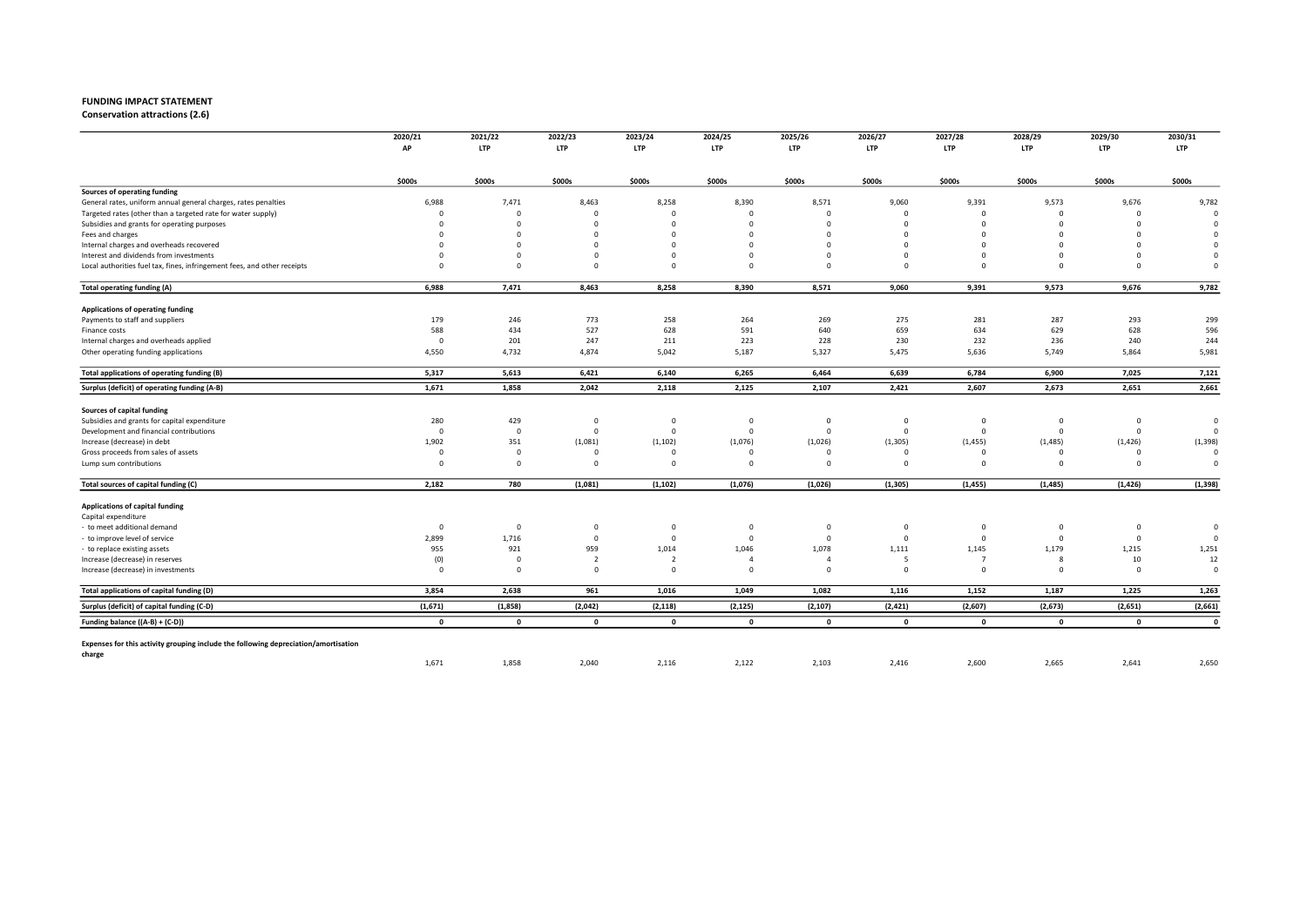Conservation attractions (2.6)

|                                                                                     | 2020/21<br>AP           | 2021/22<br><b>LTP</b>   | 2022/23<br><b>LTP</b> | 2023/24<br><b>LTP</b> | 2024/25<br>LTP | 2025/26<br><b>LTP</b> | 2026/27<br><b>LTP</b> | 2027/28<br><b>LTP</b> | 2028/29<br><b>LTP</b> | 2029/30<br><b>LTP</b> | 2030/31<br><b>LTP</b> |
|-------------------------------------------------------------------------------------|-------------------------|-------------------------|-----------------------|-----------------------|----------------|-----------------------|-----------------------|-----------------------|-----------------------|-----------------------|-----------------------|
|                                                                                     |                         |                         |                       |                       |                |                       |                       |                       |                       |                       |                       |
|                                                                                     | \$000s                  | \$000s                  | \$000s                | \$000s                | \$000s         | \$000s                | \$000s                | \$000s                | \$000s                | \$000s                | \$000s                |
| Sources of operating funding                                                        |                         |                         |                       |                       |                |                       |                       |                       |                       |                       |                       |
| General rates, uniform annual general charges, rates penalties                      | 6,988                   | 7,471                   | 8,463                 | 8,258                 | 8,390          | 8,571                 | 9,060                 | 9,391                 | 9,573                 | 9,676                 | 9,782                 |
| Targeted rates (other than a targeted rate for water supply)                        | $\Omega$                | $\mathbf 0$             | $\Omega$              | $\Omega$              | $\Omega$       | $\Omega$              | $\Omega$              | $\Omega$              | $\Omega$              | $\mathbf 0$           |                       |
| Subsidies and grants for operating purposes                                         | $\Omega$                | $\Omega$                | $\Omega$              | $\Omega$              | $\Omega$       | $\Omega$              | $\Omega$              | $\Omega$              | $\Omega$              | $\Omega$              | $\epsilon$            |
| Fees and charges                                                                    | $\Omega$                | $\Omega$                | $\Omega$              |                       | $\Omega$       | $\Omega$              | $\Omega$              |                       | $\Omega$              | $\Omega$              |                       |
| Internal charges and overheads recovered                                            | $\Omega$                | $\Omega$                | $\Omega$              |                       | $\Omega$       | $\Omega$              | $^{\circ}$            | $\Omega$              | $\Omega$              | $\Omega$              | $\Omega$              |
| Interest and dividends from investments                                             | $\Omega$                | $\Omega$                | $\Omega$              | $\Omega$              | $\Omega$       | $\Omega$              | $^{\circ}$            | $\Omega$              | $\Omega$              | $\Omega$              | $\Omega$              |
| Local authorities fuel tax, fines, infringement fees, and other receipts            | $\Omega$                | $\mathbf 0$             | $\Omega$              | $\Omega$              | $\Omega$       | $\Omega$              | $\mathbf 0$           | $\Omega$              | $\Omega$              | $\Omega$              | $\Omega$              |
| Total operating funding (A)                                                         | 6,988                   | 7,471                   | 8,463                 | 8,258                 | 8,390          | 8,571                 | 9,060                 | 9,391                 | 9,573                 | 9,676                 | 9,782                 |
| Applications of operating funding                                                   |                         |                         |                       |                       |                |                       |                       |                       |                       |                       |                       |
| Payments to staff and suppliers                                                     | 179                     | 246                     | 773                   | 258                   | 264            | 269                   | 275                   | 281                   | 287                   | 293                   | 299                   |
| Finance costs                                                                       | 588                     | 434                     | 527                   | 628                   | 591            | 640                   | 659                   | 634                   | 629                   | 628                   | 596                   |
| Internal charges and overheads applied                                              | $\overline{\mathbf{0}}$ | 201                     | 247                   | 211                   | 223            | 228                   | 230                   | 232                   | 236                   | 240                   | 244                   |
| Other operating funding applications                                                | 4,550                   | 4,732                   | 4,874                 | 5,042                 | 5,187          | 5,327                 | 5,475                 | 5,636                 | 5,749                 | 5,864                 | 5,981                 |
| Total applications of operating funding (B)                                         | 5,317                   | 5,613                   | 6,421                 | 6,140                 | 6,265          | 6,464                 | 6,639                 | 6,784                 | 6,900                 | 7,025                 | 7,121                 |
| Surplus (deficit) of operating funding (A-B)                                        | 1,671                   | 1,858                   | 2,042                 | 2,118                 | 2,125          | 2,107                 | 2,421                 | 2,607                 | 2,673                 | 2,651                 | 2,661                 |
| Sources of capital funding                                                          |                         |                         |                       |                       |                |                       |                       |                       |                       |                       |                       |
| Subsidies and grants for capital expenditure                                        | 280                     | 429                     | $\mathbf{0}$          | $\Omega$              | $\mathbf 0$    | $^{\circ}$            | $\overline{0}$        | $^{\circ}$            | $\overline{0}$        | $\mathbf 0$           | $\circ$               |
| Development and financial contributions                                             | $\overline{\mathbf{0}}$ | $\overline{0}$          | $\mathbf{0}$          | $\Omega$              | $\mathbf 0$    | $\mathbf 0$           | $\mathbf 0$           | $\Omega$              | $\overline{0}$        | $\mathbf 0$           | $\Omega$              |
| Increase (decrease) in debt                                                         | 1,902                   | 351                     | (1,081)               | (1, 102)              | (1,076)        | (1,026)               | (1, 305)              | (1, 455)              | (1, 485)              | (1, 426)              | (1, 398)              |
| Gross proceeds from sales of assets                                                 | $\Omega$                | $\mathbf 0$             | $\Omega$              |                       | $\Omega$       | $\Omega$              | $\Omega$              | $\Omega$              | $\Omega$              | $\Omega$              | $\Omega$              |
| Lump sum contributions                                                              | $\Omega$                | $\mathbf 0$             | $\Omega$              | $\Omega$              | $\Omega$       | $\mathbf 0$           | $\Omega$              | $\Omega$              | $\Omega$              | $\Omega$              | $\Omega$              |
| Total sources of capital funding (C)                                                | 2,182                   | 780                     | (1,081)               | (1, 102)              | (1,076)        | (1,026)               | (1, 305)              | (1, 455)              | (1, 485)              | (1, 426)              | (1, 398)              |
| Applications of capital funding                                                     |                         |                         |                       |                       |                |                       |                       |                       |                       |                       |                       |
| Capital expenditure                                                                 |                         |                         |                       |                       |                |                       |                       |                       |                       |                       |                       |
| - to meet additional demand                                                         | $\overline{\mathbf{0}}$ | $\mathbf 0$             | $^{\circ}$            | $\Omega$              | $\mathbf 0$    | $\mathbf 0$           | $^{\circ}$            | $^{\circ}$            | $\mathbf 0$           | 0                     | $\circ$               |
| to improve level of service                                                         | 2,899                   | 1,716                   | $\Omega$              | $\Omega$              | $\mathbf{0}$   | $\Omega$              | $\circ$               | $\Omega$              | $\mathbf 0$           | $\mathbf 0$           | $\Omega$              |
| - to replace existing assets                                                        | 955                     | 921                     | 959                   | 1,014                 | 1,046          | 1,078                 | 1,111                 | 1,145                 | 1,179                 | 1,215                 | 1,251                 |
| Increase (decrease) in reserves                                                     | (0)                     | $\overline{\mathbf{0}}$ | $\overline{2}$        | $\overline{2}$        | $\overline{4}$ | $\overline{4}$        | 5                     | $\overline{7}$        | -8                    | 10                    | 12                    |
| Increase (decrease) in investments                                                  | $\Omega$                | $\overline{0}$          | $\Omega$              | $\Omega$              | $\Omega$       | $\Omega$              | $\Omega$              | $\Omega$              | $\Omega$              | $\Omega$              | $\Omega$              |
| Total applications of capital funding (D)                                           | 3,854                   | 2,638                   | 961                   | 1,016                 | 1,049          | 1,082                 | 1,116                 | 1,152                 | 1,187                 | 1,225                 | 1,263                 |
| Surplus (deficit) of capital funding (C-D)                                          | (1,671)                 | (1,858)                 | (2,042)               | (2, 118)              | (2, 125)       | (2, 107)              | (2, 421)              | (2,607)               | (2,673)               | (2,651)               | (2,661)               |
| Funding balance ((A-B) + (C-D))                                                     | $\mathbf{0}$            | $\mathbf{0}$            | $\mathbf 0$           | $\mathbf{0}$          | $\mathbf{0}$   | $\mathbf{0}$          | $\mathbf{0}$          | $\mathbf{o}$          | $\mathbf{0}$          | $\mathbf{0}$          | $\mathbf{0}$          |
|                                                                                     |                         |                         |                       |                       |                |                       |                       |                       |                       |                       |                       |
| Expenses for this activity grouping include the following depreciation/amortisation |                         |                         |                       |                       |                |                       |                       |                       |                       |                       |                       |
| charge                                                                              | 1,671                   | 1,858                   | 2,040                 | 2,116                 | 2,122          | 2,103                 | 2,416                 | 2,600                 | 2,665                 | 2,641                 | 2,650                 |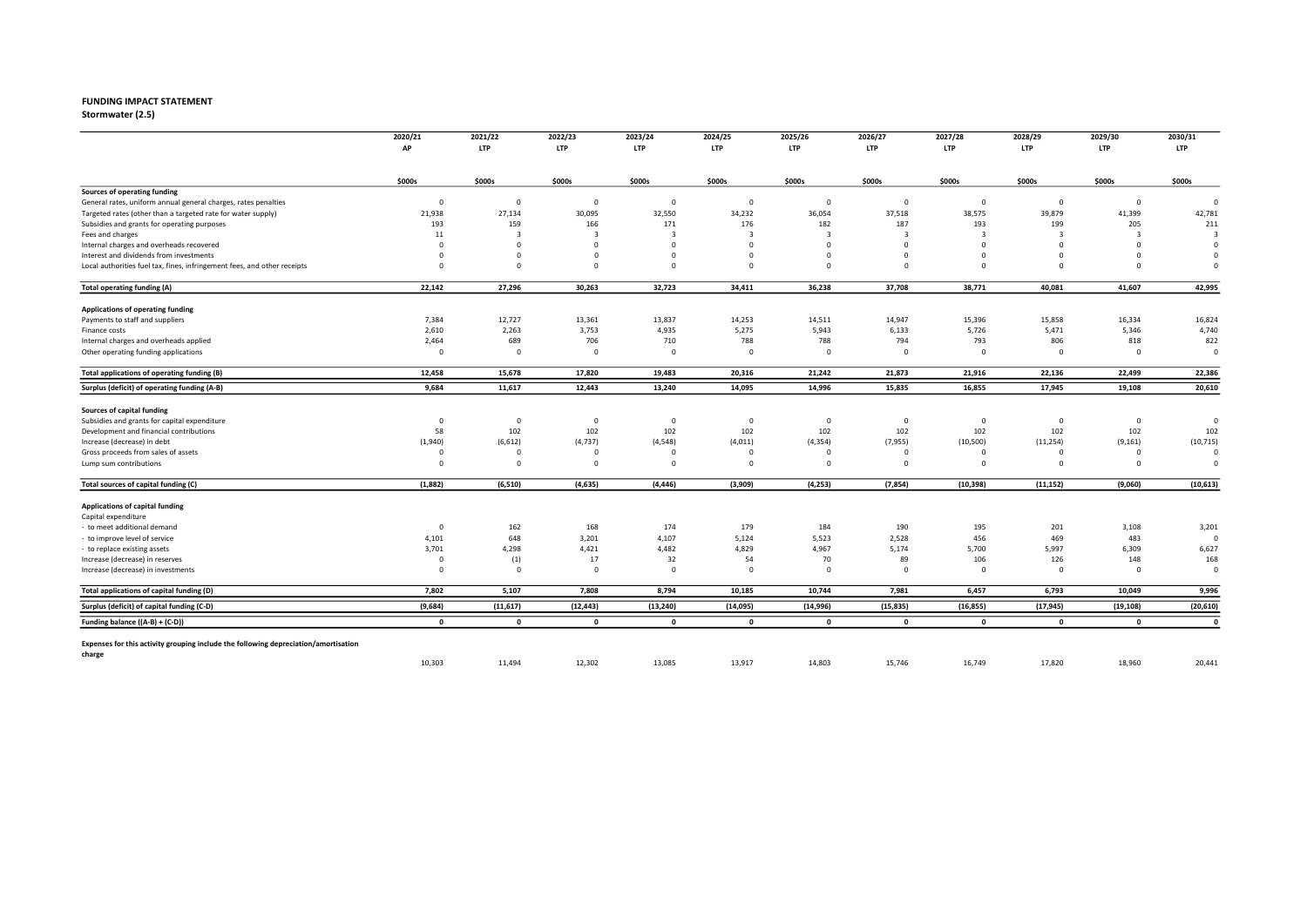## FUNDING IMPACT STATEMENT<br>Stormwater (2.5)

Stormwater (2.5) 2022 2023 2024 2025 2026 2027 2028 2029 2030

|                                                                                     | 2020/21<br>AP           | 2021/22<br><b>LTP</b>   | 2022/23<br><b>LTP</b> | 2023/24<br><b>LTP</b> | 2024/25      | 2025/26<br><b>LTP</b> | 2026/27     | 2027/28<br><b>LTP</b> | 2028/29<br><b>LTP</b> | 2029/30<br><b>LTP</b> | 2030/31           |
|-------------------------------------------------------------------------------------|-------------------------|-------------------------|-----------------------|-----------------------|--------------|-----------------------|-------------|-----------------------|-----------------------|-----------------------|-------------------|
|                                                                                     |                         |                         |                       |                       | <b>LTP</b>   |                       | <b>LTP</b>  |                       |                       |                       | <b>LTP</b>        |
|                                                                                     | \$000s                  | \$000s                  | \$000s                | \$000s                | \$000s       | \$000s                | \$000s      | \$000s                | \$000s                | \$000s                | \$000s            |
| Sources of operating funding                                                        |                         |                         |                       |                       |              |                       |             |                       |                       |                       |                   |
| General rates, uniform annual general charges, rates penalties                      | $^{\circ}$              | $\overline{0}$          | $\overline{0}$        | $\Omega$              | $\mathbf 0$  | $\mathbf 0$           | $\mathbf 0$ | $\mathbf 0$           | $\mathbf 0$           | $\mathbf 0$           | $\mathbf 0$       |
| Targeted rates (other than a targeted rate for water supply)                        | 21,938                  | 27,134                  | 30,095                | 32,550                | 34,232       | 36,054                | 37,518      | 38,575                | 39,879                | 41,399                | 42,781            |
| Subsidies and grants for operating purposes                                         | 193                     | 159                     | 166                   | 171                   | 176          | 182                   | 187         | 193                   | 199                   | 205                   | 211               |
| Fees and charges                                                                    | 11                      | $\overline{3}$          | $\overline{3}$        | -3                    | $\mathbf{B}$ | 3                     | 3           | $\overline{3}$        | $\mathbf{3}$          | $\overline{3}$        | $\overline{3}$    |
| Internal charges and overheads recovered                                            | $\Omega$                | $\Omega$                | $\Omega$              | $\Omega$              | $\Omega$     | $\Omega$              | $\circ$     | $\Omega$              | $\Omega$              | $\Omega$              | $\Omega$          |
| Interest and dividends from investments                                             | $\Omega$                | $\overline{\mathbf{0}}$ | $\Omega$              | $\Omega$              | $\Omega$     | $\Omega$              | $\mathbf 0$ | $\Omega$              | $\Omega$              | $\Omega$              | $\Omega$          |
| Local authorities fuel tax, fines, infringement fees, and other receipts            | $\Omega$                | $\mathbf 0$             | $\Omega$              | $\Omega$              | $\Omega$     | $\Omega$              | $\mathbf 0$ | $\Omega$              | $\Omega$              | $\Omega$              | $\Omega$          |
| Total operating funding (A)                                                         | 22,142                  | 27,296                  | 30,263                | 32,723                | 34,411       | 36,238                | 37,708      | 38,771                | 40,081                | 41,607                | 42,995            |
| Applications of operating funding                                                   |                         |                         |                       |                       |              |                       |             |                       |                       |                       |                   |
| Payments to staff and suppliers                                                     | 7,384                   | 12,727                  | 13,361                | 13,837                | 14,253       | 14,511                | 14,947      | 15,396                | 15,858                | 16,334                | 16,824            |
| Finance costs                                                                       | 2,610                   | 2,263                   | 3,753                 | 4,935                 | 5,275        | 5,943                 | 6,133       | 5,726                 | 5,471                 | 5,346                 | 4,740             |
| Internal charges and overheads applied                                              | 2,464                   | 689                     | 706                   | 710                   | 788          | 788                   | 794         | 793                   | 806                   | 818                   | 822               |
| Other operating funding applications                                                | $\Omega$                | $\overline{0}$          | $\Omega$              | $\Omega$              | $\mathbf 0$  | $\mathbf 0$           | $\mathbf 0$ | $\mathbf 0$           | $\mathbf 0$           | $\overline{0}$        | $\circ$           |
| Total applications of operating funding (B)                                         | 12,458                  | 15,678                  | 17,820                | 19,483                | 20,316       | 21,242                | 21,873      | 21,916                | 22,136                | 22,499                | 22,386            |
| Surplus (deficit) of operating funding (A-B)                                        | 9,684                   | 11,617                  | 12,443                | 13,240                | 14,095       | 14,996                | 15,835      | 16,855                | 17,945                | 19,108                | 20,610            |
| Sources of capital funding                                                          |                         |                         |                       |                       |              |                       |             |                       |                       |                       |                   |
| Subsidies and grants for capital expenditure                                        | $^{\circ}$              | $\overline{\mathbf{0}}$ | $\overline{0}$        | 0                     | $\mathbf 0$  | $\mathbf 0$           | $\mathbf 0$ | $^{\circ}$            | $\overline{0}$        | $\mathbf 0$           | $\circ$           |
| Development and financial contributions                                             | 58                      | 102                     | 102                   | 102                   | 102          | 102                   | 102         | 102                   | 102                   | 102                   | 102               |
| Increase (decrease) in debt                                                         | (1,940)                 | (6, 612)                | (4, 737)              | (4, 548)              | (4,011)      | (4, 354)              | (7,955)     | (10, 500)             | (11, 254)             | (9, 161)              | (10, 715)         |
| Gross proceeds from sales of assets                                                 | $\Omega$                | $\Omega$                | $\Omega$              |                       | $\Omega$     | $\Omega$              | $\Omega$    | $\Omega$              | $\Omega$              | $\Omega$              | $\Omega$          |
| Lump sum contributions                                                              | $\Omega$                | $\overline{\mathbf{0}}$ | $\Omega$              | $\Omega$              | $\Omega$     | $\mathbf 0$           | $\Omega$    | $\Omega$              | $\Omega$              | $\mathbf 0$           | $\Omega$          |
| Total sources of capital funding (C)                                                | (1,882)                 | (6, 510)                | (4, 635)              | (4, 446)              | (3,909)      | (4, 253)              | (7, 854)    | (10, 398)             | (11, 152)             | (9,060)               | (10, 613)         |
| Applications of capital funding                                                     |                         |                         |                       |                       |              |                       |             |                       |                       |                       |                   |
| Capital expenditure                                                                 |                         |                         |                       |                       |              |                       |             |                       |                       |                       |                   |
| - to meet additional demand                                                         | $\overline{\mathbf{0}}$ | 162                     | 168                   | 174                   | 179          | 184                   | 190         | 195                   |                       |                       |                   |
|                                                                                     | 4,101                   | 648                     | 3,201                 | 4,107                 | 5,124        | 5,523                 | 2,528       | 456                   | 201<br>469            | 3,108<br>483          | 3,201<br>$\Omega$ |
| to improve level of service                                                         | 3,701                   | 4,298                   | 4,421                 | 4,482                 | 4,829        | 4,967                 | 5,174       | 5,700                 | 5,997                 | 6,309                 | 6,627             |
| - to replace existing assets                                                        | $\Omega$                |                         | 17                    | 32                    | 54           | 70                    | 89          | 106                   | 126                   | 148                   | 168               |
| Increase (decrease) in reserves<br>Increase (decrease) in investments               | $\Omega$                | (1)<br>$\mathbf 0$      | $\Omega$              | $\Omega$              | $\Omega$     | $\Omega$              | $\Omega$    | $\Omega$              | $\mathbf 0$           | $\mathbf 0$           | $\Omega$          |
|                                                                                     |                         |                         |                       |                       |              |                       |             |                       |                       |                       |                   |
| Total applications of capital funding (D)                                           | 7,802                   | 5,107                   | 7,808                 | 8,794                 | 10,185       | 10,744                | 7,981       | 6,457                 | 6,793                 | 10,049                | 9,996             |
| Surplus (deficit) of capital funding (C-D)                                          | (9,684)                 | (11, 617)               | (12, 443)             | (13, 240)             | (14, 095)    | (14, 996)             | (15, 835)   | (16, 855)             | (17, 945)             | (19, 108)             | (20, 610)         |
| Funding balance ((A-B) + (C-D))                                                     | $\mathbf{0}$            | $\mathbf{0}$            | $\mathbf 0$           | $\mathbf{0}$          | $\mathbf 0$  | $\mathbf{0}$          | $\mathbf 0$ | $\mathbf{o}$          | $\mathbf{0}$          | $\mathbf{0}$          | $\mathbf{0}$      |
| Expenses for this activity grouping include the following depreciation/amortisation |                         |                         |                       |                       |              |                       |             |                       |                       |                       |                   |
| charge                                                                              | 10,303                  | 11,494                  | 12,302                | 13,085                | 13,917       | 14,803                | 15,746      | 16,749                | 17,820                | 18,960                | 20,441            |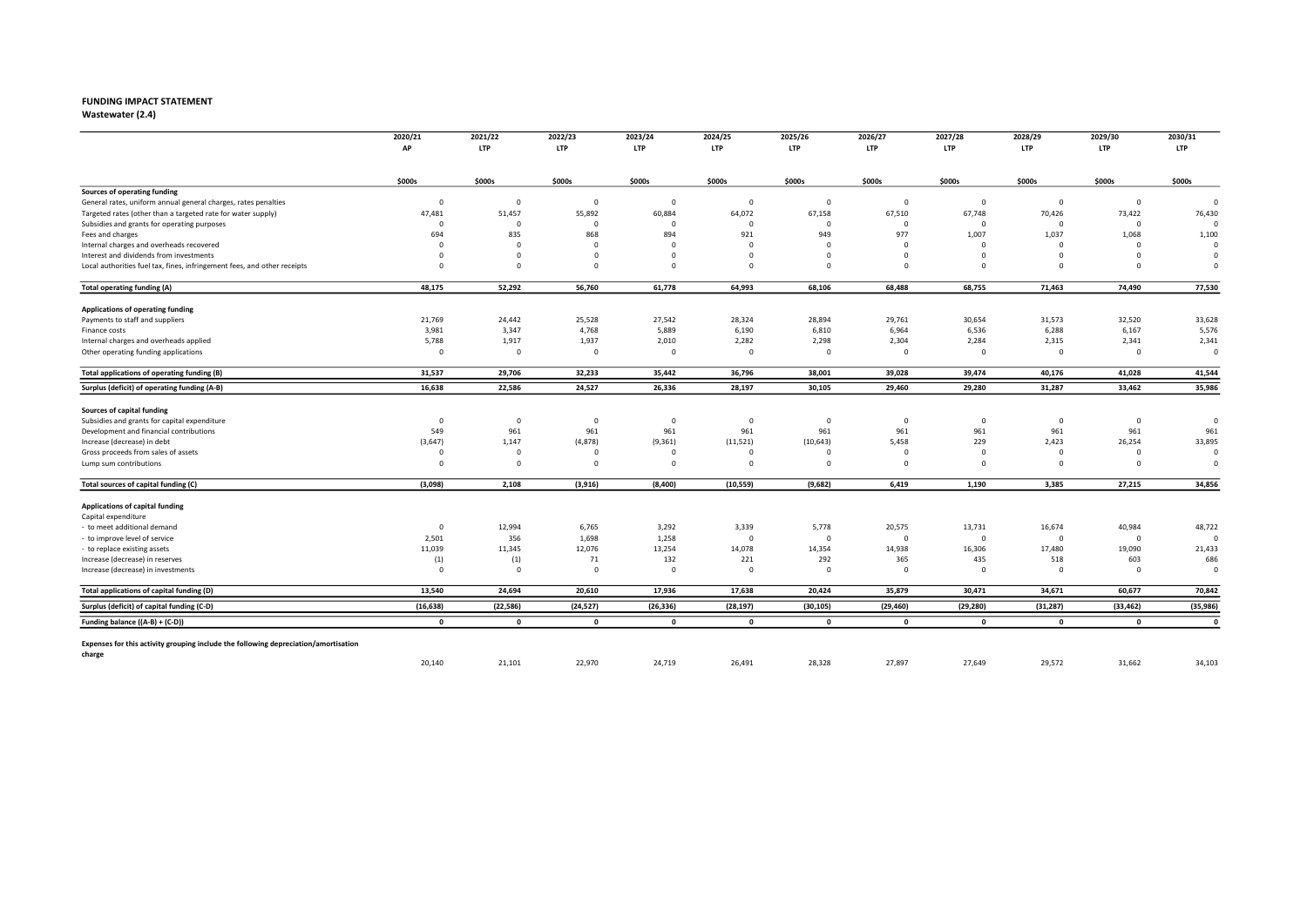## FUNDING IMPACT STATEMENT<br>Wastewater (2.4)

Wastewater (2.4) 2022 2023 2024 2025 2026 2027 2028 2029 2030

|                                                                                     | 2020/21<br>AP           | 2021/22<br><b>LTP</b>   | 2022/23<br><b>LTP</b> | 2023/24<br><b>LTP</b> | 2024/25<br><b>LTP</b> | 2025/26<br><b>LTP</b> | 2026/27<br><b>LTP</b> | 2027/28<br><b>LTP</b> | 2028/29<br><b>LTP</b> | 2029/30<br><b>LTP</b> | 2030/31<br><b>LTP</b> |
|-------------------------------------------------------------------------------------|-------------------------|-------------------------|-----------------------|-----------------------|-----------------------|-----------------------|-----------------------|-----------------------|-----------------------|-----------------------|-----------------------|
|                                                                                     |                         |                         |                       |                       |                       |                       |                       |                       |                       |                       |                       |
|                                                                                     | \$000s                  | \$000s                  | \$000s                | \$000s                | \$000s                | \$000s                | \$000s                | \$000s                | \$000s                | \$000s                | \$000s                |
| Sources of operating funding                                                        |                         |                         |                       |                       |                       |                       |                       |                       |                       |                       |                       |
| General rates, uniform annual general charges, rates penalties                      | $\overline{\mathbf{0}}$ | $\overline{0}$          | $\mathbf 0$           | $\overline{0}$        | $\Omega$              | $\mathbf 0$           | $\mathbf 0$           | $\mathbf 0$           | $\mathbf 0$           | $\mathbf 0$           | $\Omega$              |
| Targeted rates (other than a targeted rate for water supply)                        | 47,481                  | 51,457                  | 55,892                | 60,884                | 64,072                | 67,158                | 67,510                | 67,748                | 70,426                | 73,422                | 76,430                |
| Subsidies and grants for operating purposes                                         | $\Omega$                | $\mathbf 0$             | $\Omega$              | $\Omega$              | $\Omega$              | $\Omega$              | $\Omega$              | $\Omega$              | $\mathbf 0$           | $\mathbf 0$           | $\epsilon$            |
| Fees and charges                                                                    | 694                     | 835                     | 868                   | 894                   | 921                   | 949                   | 977                   | 1,007                 | 1,037                 | 1,068                 | 1,100                 |
| Internal charges and overheads recovered                                            | $\Omega$                | $\overline{0}$          | $\Omega$              | $\Omega$              | $\Omega$              | $\Omega$              | $\Omega$              | $\Omega$              | $\overline{0}$        | $\Omega$              | $\Omega$              |
| Interest and dividends from investments                                             | $\Omega$                | $\overline{0}$          | $\Omega$              | $\Omega$              | $\Omega$              | $\Omega$              | $\mathbf 0$           | $\Omega$              | $\Omega$              | $\mathbf 0$           | $\Omega$              |
| Local authorities fuel tax, fines, infringement fees, and other receipts            | $\Omega$                | $\overline{0}$          | $\Omega$              | $\Omega$              | $\Omega$              | $\Omega$              | $\mathbf 0$           | $\Omega$              | $\Omega$              | $\Omega$              | $\Omega$              |
| Total operating funding (A)                                                         | 48,175                  | 52,292                  | 56,760                | 61,778                | 64,993                | 68,106                | 68,488                | 68,755                | 71,463                | 74,490                | 77,530                |
| Applications of operating funding                                                   |                         |                         |                       |                       |                       |                       |                       |                       |                       |                       |                       |
| Payments to staff and suppliers                                                     | 21,769                  | 24,442                  | 25,528                | 27,542                | 28,324                | 28,894                | 29,761                | 30,654                | 31,573                | 32,520                | 33,628                |
| Finance costs                                                                       | 3,981                   | 3,347                   | 4,768                 | 5,889                 | 6,190                 | 6,810                 | 6,964                 | 6,536                 | 6,288                 | 6,167                 | 5,576                 |
| Internal charges and overheads applied                                              | 5,788                   | 1,917                   | 1,937                 | 2,010                 | 2,282                 | 2,298                 | 2,304                 | 2,284                 | 2,315                 | 2,341                 | 2,341                 |
| Other operating funding applications                                                | $\Omega$                | $\overline{0}$          | $\mathbf 0$           | $\Omega$              | $\mathbf 0$           | $\mathbf 0$           | $\mathbf 0$           | $\mathbf 0$           | $\mathbf 0$           | $\overline{0}$        | $\mathbf 0$           |
| Total applications of operating funding (B)                                         | 31,537                  | 29,706                  | 32,233                | 35,442                | 36,796                | 38,001                | 39,028                | 39,474                | 40,176                | 41,028                | 41,544                |
| Surplus (deficit) of operating funding (A-B)                                        | 16,638                  | 22,586                  | 24,527                | 26,336                | 28,197                | 30,105                | 29,460                | 29,280                | 31,287                | 33,462                | 35,986                |
| Sources of capital funding                                                          |                         |                         |                       |                       |                       |                       |                       |                       |                       |                       |                       |
| Subsidies and grants for capital expenditure                                        | $\overline{\mathbf{0}}$ | $\overline{\mathbf{0}}$ | $\overline{0}$        | 0                     | $\mathbf 0$           | $\mathbf 0$           | $\mathbf 0$           | $^{\circ}$            | $\overline{0}$        | $\mathbf 0$           | $\circ$               |
| Development and financial contributions                                             | 549                     | 961                     | 961                   | 961                   | 961                   | 961                   | 961                   | 961                   | 961                   | 961                   | 961                   |
| Increase (decrease) in debt                                                         | (3,647)                 | 1,147                   | (4,878)               | (9, 361)              | (11, 521)             | (10, 643)             | 5,458                 | 229                   | 2,423                 | 26,254                | 33,895                |
| Gross proceeds from sales of assets                                                 | $\Omega$                | $\Omega$                | $\Omega$              |                       | $\Omega$              | $\Omega$              | $\Omega$              | $\Omega$              | $\Omega$              | $\Omega$              | $\Omega$              |
| Lump sum contributions                                                              | $\Omega$                | $\mathbf 0$             | $\Omega$              | $\Omega$              | $\Omega$              | $\mathbf 0$           | $\mathbf 0$           | $\Omega$              | $\Omega$              | $\Omega$              | $\Omega$              |
|                                                                                     |                         |                         |                       |                       |                       |                       |                       |                       |                       |                       |                       |
| Total sources of capital funding (C)                                                | (3,098)                 | 2,108                   | (3,916)               | (8,400)               | (10, 559)             | (9,682)               | 6,419                 | 1,190                 | 3,385                 | 27,215                | 34,856                |
| Applications of capital funding                                                     |                         |                         |                       |                       |                       |                       |                       |                       |                       |                       |                       |
| Capital expenditure                                                                 |                         |                         |                       |                       |                       |                       |                       |                       |                       |                       |                       |
| - to meet additional demand                                                         | $\overline{\mathbf{0}}$ | 12,994                  | 6,765                 | 3,292                 | 3,339                 | 5,778                 | 20,575                | 13,731                | 16,674                | 40,984                | 48,722                |
| to improve level of service                                                         | 2,501                   | 356                     | 1,698                 | 1,258                 | $\mathbf{0}$          | $\Omega$              | $^{\circ}$            | $\Omega$              | $\mathbf 0$           | $\overline{0}$        | $\Omega$              |
| - to replace existing assets                                                        | 11,039                  | 11,345                  | 12,076                | 13,254                | 14,078                | 14,354                | 14,938                | 16,306                | 17,480                | 19,090                | 21,433                |
| Increase (decrease) in reserves                                                     | (1)                     | (1)                     | 71                    | 132                   | 221                   | 292                   | 365                   | 435                   | 518                   | 603                   | 686                   |
| Increase (decrease) in investments                                                  | $\Omega$                | $\overline{0}$          | $\Omega$              | $\Omega$              | $\Omega$              | $\Omega$              | $\Omega$              | $\Omega$              | $\Omega$              | $\mathbf 0$           | $\Omega$              |
| Total applications of capital funding (D)                                           | 13,540                  | 24,694                  | 20,610                | 17,936                | 17,638                | 20,424                | 35,879                | 30,471                | 34,671                | 60,677                | 70,842                |
| Surplus (deficit) of capital funding (C-D)                                          | (16, 638)               | (22, 586)               | (24, 527)             | (26, 336)             | (28, 197)             | (30, 105)             | (29, 460)             | (29, 280)             | (31, 287)             | (33, 462)             | (35, 986)             |
| Funding balance ((A-B) + (C-D))                                                     | $\mathbf{0}$            | $\mathbf{0}$            | $\mathbf 0$           | $\mathbf{0}$          | $\mathbf 0$           | $\mathbf 0$           | $\mathbf 0$           | $\mathbf{o}$          | $\mathbf{0}$          | $\mathbf{0}$          | $\mathbf{0}$          |
| Expenses for this activity grouping include the following depreciation/amortisation |                         |                         |                       |                       |                       |                       |                       |                       |                       |                       |                       |
| charge                                                                              | 20,140                  | 21,101                  | 22,970                | 24,719                | 26,491                | 28,328                | 27,897                | 27,649                | 29,572                | 31,662                | 34,103                |
|                                                                                     |                         |                         |                       |                       |                       |                       |                       |                       |                       |                       |                       |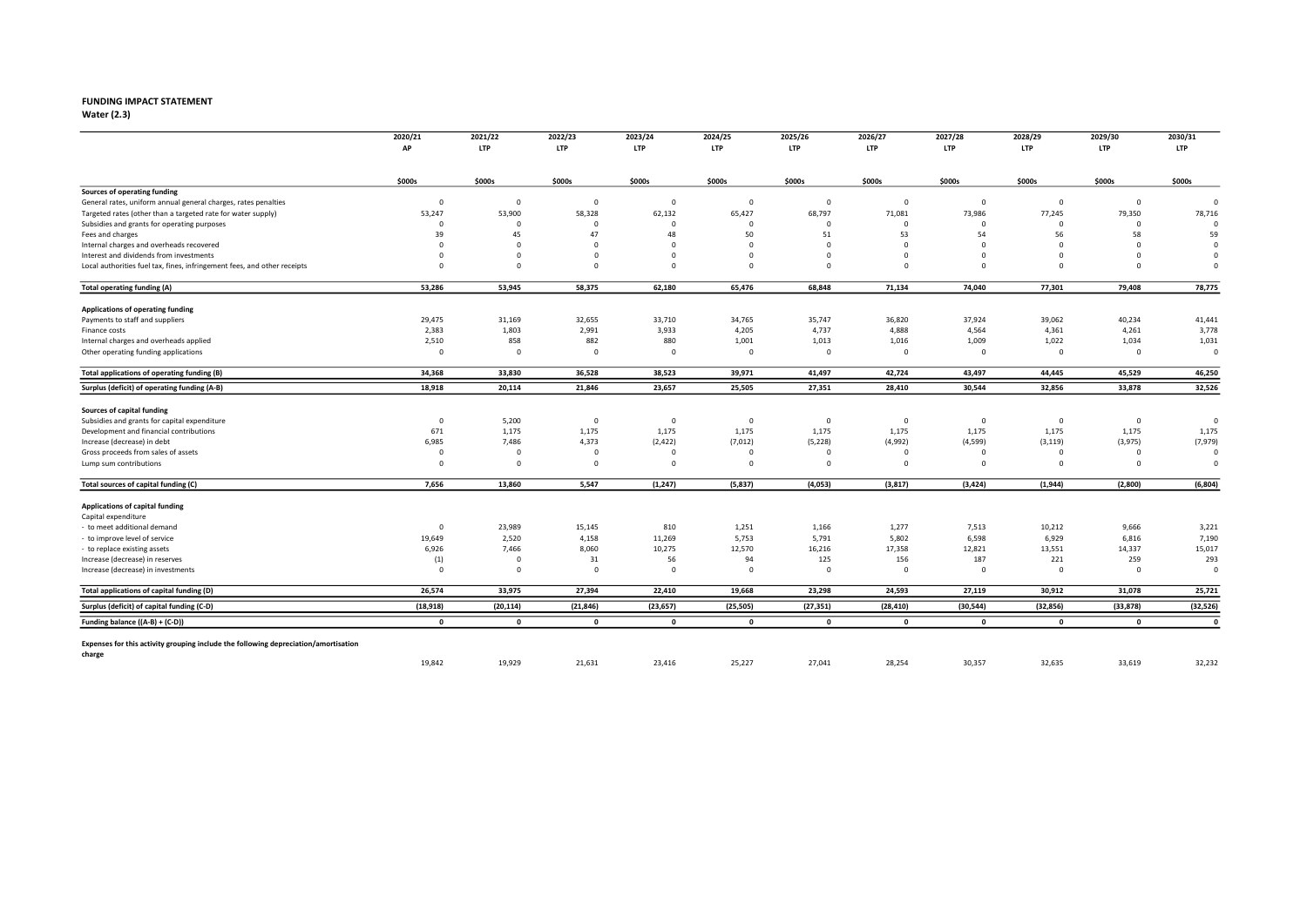# FUNDING IMPACT STATEMENT<br>Water (2.3)

Water  $(2.3)$ 

|                                                                                               | 2020/21<br>AP           | 2021/22<br><b>LTP</b>   | 2022/23<br><b>LTP</b> | 2023/24<br><b>LTP</b> | 2024/25<br>LTP | 2025/26<br>LTP | 2026/27<br><b>LTP</b> | 2027/28<br><b>LTP</b> | 2028/29<br><b>LTP</b> | 2029/30<br><b>LTP</b> | 2030/31<br><b>LTP</b> |
|-----------------------------------------------------------------------------------------------|-------------------------|-------------------------|-----------------------|-----------------------|----------------|----------------|-----------------------|-----------------------|-----------------------|-----------------------|-----------------------|
|                                                                                               |                         |                         |                       |                       |                |                |                       |                       |                       |                       |                       |
|                                                                                               | \$000s                  | \$000s                  | \$000s                | \$000s                | \$000s         | \$000s         | \$000s                | \$000s                | \$000s                | \$000s                | \$000s                |
| Sources of operating funding                                                                  |                         |                         |                       |                       |                |                |                       |                       |                       |                       |                       |
| General rates, uniform annual general charges, rates penalties                                | $\mathbf{0}$            | $\overline{0}$          | $\mathbf 0$           | $\Omega$              | $\mathbf 0$    | $\mathbf 0$    | $\mathbf{0}$          | $\mathbf 0$           | $\mathbf 0$           | $\mathbf 0$           | $\Omega$              |
| Targeted rates (other than a targeted rate for water supply)                                  | 53,247                  | 53,900                  | 58,328                | 62,132                | 65,427         | 68,797         | 71,081                | 73,986                | 77,245                | 79,350                | 78,716                |
| Subsidies and grants for operating purposes                                                   | $\Omega$                | $\mathbf 0$             | $\Omega$              | $\Omega$              | $\Omega$       | $\Omega$       | $\Omega$              | $\Omega$              | $\mathbf 0$           | $\mathbf 0$           | $\Omega$              |
| Fees and charges                                                                              | 39                      | 45                      | 47                    | 48                    | 50             | 51             | 53                    | 54                    | 56                    | 58                    | 59                    |
| Internal charges and overheads recovered                                                      | $\Omega$                | $\Omega$                | $\Omega$              | - 0                   | $\Omega$       | $\Omega$       | $^{\circ}$            | $\Omega$              | $\overline{0}$        | $\Omega$              | $\Omega$              |
| Interest and dividends from investments                                                       | $\Omega$                | $\Omega$                | $\Omega$              | $\Omega$              | $\Omega$       | $\Omega$       | $\mathbf 0$           | $\Omega$              | $\Omega$              | $\Omega$              | $\Omega$              |
| Local authorities fuel tax, fines, infringement fees, and other receipts                      | $\Omega$                | $\mathbf 0$             | $\Omega$              | $\Omega$              | $\Omega$       | $\Omega$       | $\mathbf 0$           | $\Omega$              | $\Omega$              | $\Omega$              | $\Omega$              |
| <b>Total operating funding (A)</b>                                                            | 53,286                  | 53,945                  | 58,375                | 62,180                | 65,476         | 68,848         | 71,134                | 74,040                | 77,301                | 79,408                | 78,775                |
| Applications of operating funding                                                             |                         |                         |                       |                       |                |                |                       |                       |                       |                       |                       |
| Payments to staff and suppliers                                                               | 29,475                  | 31,169                  | 32,655                | 33,710                | 34,765         | 35,747         | 36,820                | 37,924                | 39,062                | 40,234                | 41,441                |
| Finance costs                                                                                 | 2,383                   | 1,803                   | 2,991                 | 3,933                 | 4,205          | 4,737          | 4,888                 | 4,564                 | 4,361                 | 4,261                 | 3,778                 |
| Internal charges and overheads applied                                                        | 2,510                   | 858                     | 882                   | 880                   | 1,001          | 1,013          | 1,016                 | 1,009                 | 1,022                 | 1,034                 | 1,031                 |
| Other operating funding applications                                                          | $\overline{0}$          | $\overline{0}$          | $\mathbf 0$           | $\mathbf 0$           | $\mathbf 0$    | $\mathbf 0$    | $\mathbf 0$           | $\mathbf 0$           | $\mathbf 0$           | $\mathbf 0$           | $\mathfrak{o}$        |
| Total applications of operating funding (B)                                                   | 34,368                  | 33,830                  | 36,528                | 38,523                | 39,971         | 41,497         | 42,724                | 43,497                | 44,445                | 45,529                | 46,250                |
| Surplus (deficit) of operating funding (A-B)                                                  | 18,918                  | 20,114                  | 21,846                | 23,657                | 25,505         | 27,351         | 28,410                | 30,544                | 32,856                | 33,878                | 32,526                |
| Sources of capital funding                                                                    |                         |                         |                       |                       |                |                |                       |                       |                       |                       |                       |
| Subsidies and grants for capital expenditure                                                  | $\mathbf 0$             | 5,200                   | $\mathbf 0$           | $\mathbf 0$           | $\mathbf 0$    | $\mathbf 0$    | $\mathbf 0$           | $\Omega$              | $\overline{0}$        | $\mathbf 0$           | $\circ$               |
| Development and financial contributions                                                       | 671                     | 1,175                   | 1,175                 | 1,175                 | 1,175          | 1,175          | 1,175                 | 1,175                 | 1,175                 | 1,175                 | 1,175                 |
| Increase (decrease) in debt                                                                   | 6,985                   | 7,486                   | 4,373                 | (2, 422)              | (7,012)        | (5, 228)       | (4,992)               | (4,599)               | (3, 119)              | (3,975)               | (7,979)               |
| Gross proceeds from sales of assets                                                           | $\overline{\mathbf{0}}$ | $\Omega$                | $\Omega$              | $\Omega$              | $\Omega$       | $\Omega$       | $\Omega$              | $\Omega$              | $\Omega$              | $\mathbf 0$           | $\circ$               |
| Lump sum contributions                                                                        | $\Omega$                | $\overline{\mathbf{0}}$ | $\mathbf 0$           | $\Omega$              | $\Omega$       | $\mathbf 0$    | $\mathbf 0$           | $\Omega$              | $\Omega$              | $\mathbf 0$           | $\Omega$              |
| Total sources of capital funding (C)                                                          | 7,656                   | 13,860                  | 5,547                 | (1, 247)              | (5,837)        | (4,053)        | (3,817)               | (3, 424)              | (1,944)               | (2,800)               | (6, 804)              |
| Applications of capital funding                                                               |                         |                         |                       |                       |                |                |                       |                       |                       |                       |                       |
| Capital expenditure                                                                           |                         |                         |                       |                       |                |                |                       |                       |                       |                       |                       |
| - to meet additional demand                                                                   | $\Omega$                | 23,989                  | 15,145                | 810                   | 1,251          | 1,166          | 1,277                 | 7,513                 | 10,212                | 9,666                 | 3,221                 |
| - to improve level of service                                                                 | 19,649                  | 2,520                   | 4,158                 | 11,269                | 5,753          | 5,791          | 5,802                 | 6,598                 | 6,929                 | 6,816                 | 7,190                 |
| - to replace existing assets                                                                  | 6,926                   | 7,466                   | 8,060                 | 10,275                | 12,570         | 16,216         | 17,358                | 12,821                | 13,551                | 14,337                | 15,017                |
| Increase (decrease) in reserves                                                               | (1)                     | $\overline{\mathbf{0}}$ | 31                    | 56                    | 94             | 125            | 156                   | 187                   | 221                   | 259                   | 293                   |
| Increase (decrease) in investments                                                            | $\Omega$                | $\mathbf 0$             | $\Omega$              | $\Omega$              | $\Omega$       | $\mathbf 0$    | $\Omega$              | $\Omega$              | $\mathbf 0$           | $\mathbf 0$           | $\circ$               |
| Total applications of capital funding (D)                                                     | 26,574                  | 33,975                  | 27,394                | 22,410                | 19,668         | 23,298         | 24,593                | 27,119                | 30,912                | 31,078                | 25,721                |
| Surplus (deficit) of capital funding (C-D)                                                    | (18, 918)               | (20, 114)               | (21, 846)             | (23, 657)             | (25, 505)      | (27, 351)      | (28, 410)             | (30, 544)             | (32, 856)             | (33, 878)             | (32, 526)             |
| Funding balance ((A-B) + (C-D))                                                               | $\mathbf{0}$            | $\mathbf{0}$            | $\mathbf 0$           | $\mathbf 0$           | $\mathbf{0}$   | $\mathbf{0}$   | $\mathbf 0$           | $\mathbf{0}$          | $\mathbf{0}$          | $\mathbf{0}$          | $\mathbf{0}$          |
|                                                                                               |                         |                         |                       |                       |                |                |                       |                       |                       |                       |                       |
| Expenses for this activity grouping include the following depreciation/amortisation<br>charge |                         |                         |                       |                       |                |                |                       |                       |                       |                       |                       |
|                                                                                               | 19,842                  | 19,929                  | 21,631                | 23,416                | 25,227         | 27,041         | 28,254                | 30,357                | 32,635                | 33,619                | 32,232                |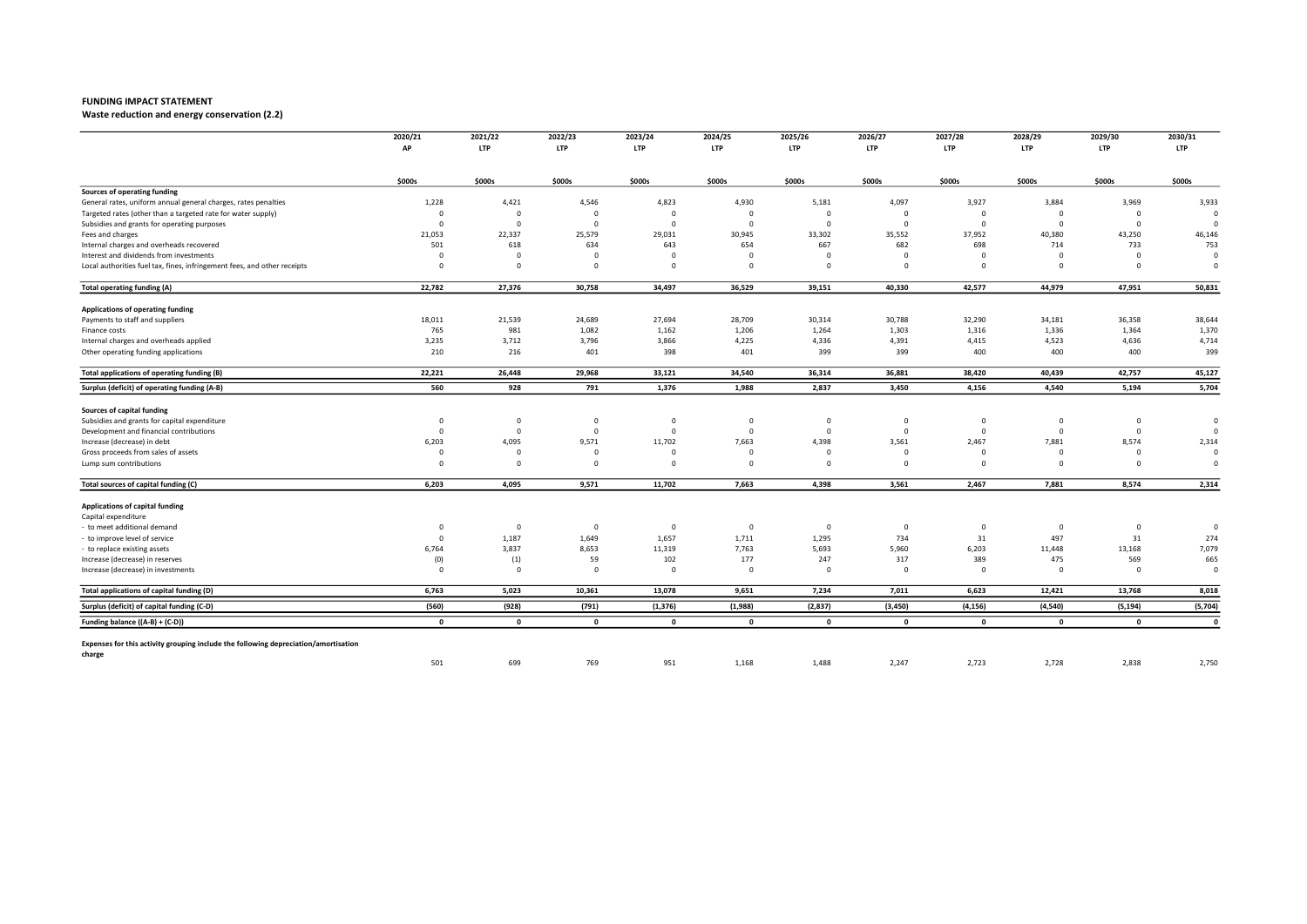Waste reduction and energy conservation (2.2)

|                                                                                     | 2020/21     | 2021/22                 | 2022/23                 | 2023/24      | 2024/25        | 2025/26                 | 2026/27     | 2027/28     | 2028/29     | 2029/30        | 2030/31        |
|-------------------------------------------------------------------------------------|-------------|-------------------------|-------------------------|--------------|----------------|-------------------------|-------------|-------------|-------------|----------------|----------------|
|                                                                                     | AP          | <b>LTP</b>              | <b>LTP</b>              | <b>LTP</b>   | <b>LTP</b>     | <b>LTP</b>              | <b>LTP</b>  | <b>LTP</b>  | <b>LTP</b>  | <b>LTP</b>     | <b>LTP</b>     |
|                                                                                     | \$000s      | \$000s                  | \$000s                  | \$000s       | \$000s         | \$000s                  | \$000s      | \$000s      | \$000s      | \$000s         | \$000s         |
| Sources of operating funding                                                        |             |                         |                         |              |                |                         |             |             |             |                |                |
| General rates, uniform annual general charges, rates penalties                      | 1,228       | 4,421                   | 4,546                   | 4,823        | 4,930          | 5,181                   | 4,097       | 3,927       | 3,884       | 3,969          | 3,933          |
| Targeted rates (other than a targeted rate for water supply)                        | $\Omega$    | $\Omega$                | $\Omega$                | $\Omega$     |                | $\Omega$                | C           | $\Omega$    | $\Omega$    | $\Omega$       | $\mathfrak{c}$ |
| Subsidies and grants for operating purposes                                         | $\Omega$    | $\overline{0}$          | $\overline{0}$          | $\mathbf 0$  | $\Omega$       | $\overline{0}$          | $\Omega$    | $\Omega$    | $\Omega$    | $\overline{0}$ | $\mathfrak{c}$ |
| Fees and charges                                                                    | 21,053      | 22,337                  | 25,579                  | 29,031       | 30,945         | 33,302                  | 35,552      | 37,952      | 40,380      | 43,250         | 46,146         |
| Internal charges and overheads recovered                                            | 501         | 618                     | 634                     | 643          | 654            | 667                     | 682         | 698         | 714         | 733            | 753            |
| Interest and dividends from investments                                             | $\Omega$    | $\mathbf 0$             | $\Omega$                | $\Omega$     | $\Omega$       | $\Omega$                | $\Omega$    | $\Omega$    | $\Omega$    | $\Omega$       | $\mathfrak{c}$ |
| Local authorities fuel tax, fines, infringement fees, and other receipts            | $\Omega$    | $\mathbf 0$             | $\Omega$                | $\mathbf 0$  | $\Omega$       | 0                       | $\mathbf 0$ | $\mathbf 0$ | $\Omega$    | $\mathbf 0$    | $\Omega$       |
| <b>Total operating funding (A)</b>                                                  | 22,782      | 27,376                  | 30,758                  | 34,497       | 36,529         | 39,151                  | 40,330      | 42,577      | 44,979      | 47,951         | 50,831         |
| Applications of operating funding                                                   |             |                         |                         |              |                |                         |             |             |             |                |                |
| Payments to staff and suppliers                                                     | 18,011      | 21,539                  | 24,689                  | 27,694       | 28,709         | 30,314                  | 30,788      | 32,290      | 34,181      | 36,358         | 38,644         |
| Finance costs                                                                       | 765         | 981                     | 1,082                   | 1,162        | 1,206          | 1,264                   | 1,303       | 1,316       | 1,336       | 1,364          | 1,370          |
| Internal charges and overheads applied                                              | 3,235       | 3,712                   | 3,796                   | 3,866        | 4,225          | 4,336                   | 4,391       | 4,415       | 4,523       | 4,636          | 4,714          |
| Other operating funding applications                                                | 210         | 216                     | 401                     | 398          | 401            | 399                     | 399         | 400         | 400         | 400            | 399            |
| Total applications of operating funding (B)                                         | 22,221      | 26,448                  | 29,968                  | 33,121       | 34,540         | 36,314                  | 36,881      | 38,420      | 40,439      | 42,757         | 45,127         |
| Surplus (deficit) of operating funding (A-B)                                        | 560         | 928                     | 791                     | 1,376        | 1,988          | 2,837                   | 3,450       | 4,156       | 4,540       | 5,194          | 5,704          |
| <b>Sources of capital funding</b>                                                   |             |                         |                         |              |                |                         |             |             |             |                |                |
| Subsidies and grants for capital expenditure                                        | $^{\circ}$  | $\mathbf 0$             | $\overline{0}$          | $\mathbf 0$  | $\Omega$       | $\mathbf 0$             | $\mathbf 0$ | $^{\circ}$  | $\mathbf 0$ | $\mathbf 0$    | $\overline{0}$ |
| Development and financial contributions                                             | $\Omega$    | $\mathbf{0}$            | $\overline{0}$          | $\mathbf 0$  | $\Omega$       | $\mathbf 0$             | $\mathbf 0$ | $\mathbf 0$ | $\mathbf 0$ | $\mathbf 0$    | $\mathfrak{c}$ |
| Increase (decrease) in debt                                                         | 6,203       | 4,095                   | 9,571                   | 11,702       | 7,663          | 4,398                   | 3,561       | 2,467       | 7,881       | 8,574          | 2,314          |
| Gross proceeds from sales of assets                                                 | $\Omega$    | $\overline{\mathbf{0}}$ | $^{\circ}$              | $\Omega$     | $\Omega$       | $\mathbf 0$             | $\mathbf 0$ | $^{\circ}$  | $\Omega$    | $\mathbf 0$    | $\mathfrak{c}$ |
| Lump sum contributions                                                              | $\Omega$    | $\overline{0}$          | $\overline{0}$          | $\mathbf 0$  | $\Omega$       | $\mathbf 0$             | $\mathbf 0$ | $^{\circ}$  | $\Omega$    | $\Omega$       | $\overline{0}$ |
| Total sources of capital funding (C)                                                | 6,203       | 4,095                   | 9,571                   | 11,702       | 7,663          | 4,398                   | 3,561       | 2,467       | 7,881       | 8,574          | 2,314          |
| Applications of capital funding                                                     |             |                         |                         |              |                |                         |             |             |             |                |                |
| Capital expenditure                                                                 |             |                         |                         |              |                |                         |             |             |             |                |                |
| - to meet additional demand                                                         | $\Omega$    | $\mathbf 0$             | $\overline{\mathbf{0}}$ | $\mathbf 0$  | $\overline{0}$ | $\overline{\mathbf{0}}$ | $\mathbf 0$ | $\mathbf 0$ | $^{\circ}$  | $\overline{0}$ | C              |
| to improve level of service                                                         | $\Omega$    | 1,187                   | 1,649                   | 1,657        | 1,711          | 1,295                   | 734         | 31          | 497         | 31             | 274            |
| to replace existing assets                                                          | 6,764       | 3,837                   | 8,653                   | 11,319       | 7,763          | 5,693                   | 5,960       | 6,203       | 11,448      | 13,168         | 7,079          |
| Increase (decrease) in reserves                                                     | (0)         | (1)                     | 59                      | 102          | 177            | 247                     | 317         | 389         | 475         | 569            | 665            |
| Increase (decrease) in investments                                                  | $\Omega$    | $\mathbf 0$             | $\overline{\mathbf{0}}$ | $\mathbf 0$  | $\Omega$       | $\overline{\mathbf{0}}$ | $\mathbf 0$ | $\mathbf 0$ | $\Omega$    | $\overline{0}$ | C              |
| Total applications of capital funding (D)                                           | 6,763       | 5,023                   | 10,361                  | 13,078       | 9,651          | 7,234                   | 7,011       | 6,623       | 12,421      | 13,768         | 8,018          |
| Surplus (deficit) of capital funding (C-D)                                          | (560)       | (928)                   | (791)                   | (1, 376)     | (1,988)        | (2,837)                 | (3,450)     | (4, 156)    | (4,540)     | (5, 194)       | (5,704)        |
| Funding balance ((A-B) + (C-D))                                                     | $\mathbf 0$ | $\mathbf{0}$            | $\mathbf{0}$            | $\mathbf{o}$ | $\mathbf 0$    | $\mathbf 0$             | $\mathbf 0$ | $\mathbf 0$ | $\Omega$    | $\mathbf 0$    | $\mathbf 0$    |
| Expenses for this activity grouping include the following depreciation/amortisation |             |                         |                         |              |                |                         |             |             |             |                |                |
| charge                                                                              | 501         | 699                     | 769                     | 951          | 1,168          | 1,488                   | 2,247       | 2,723       | 2,728       | 2,838          | 2,750          |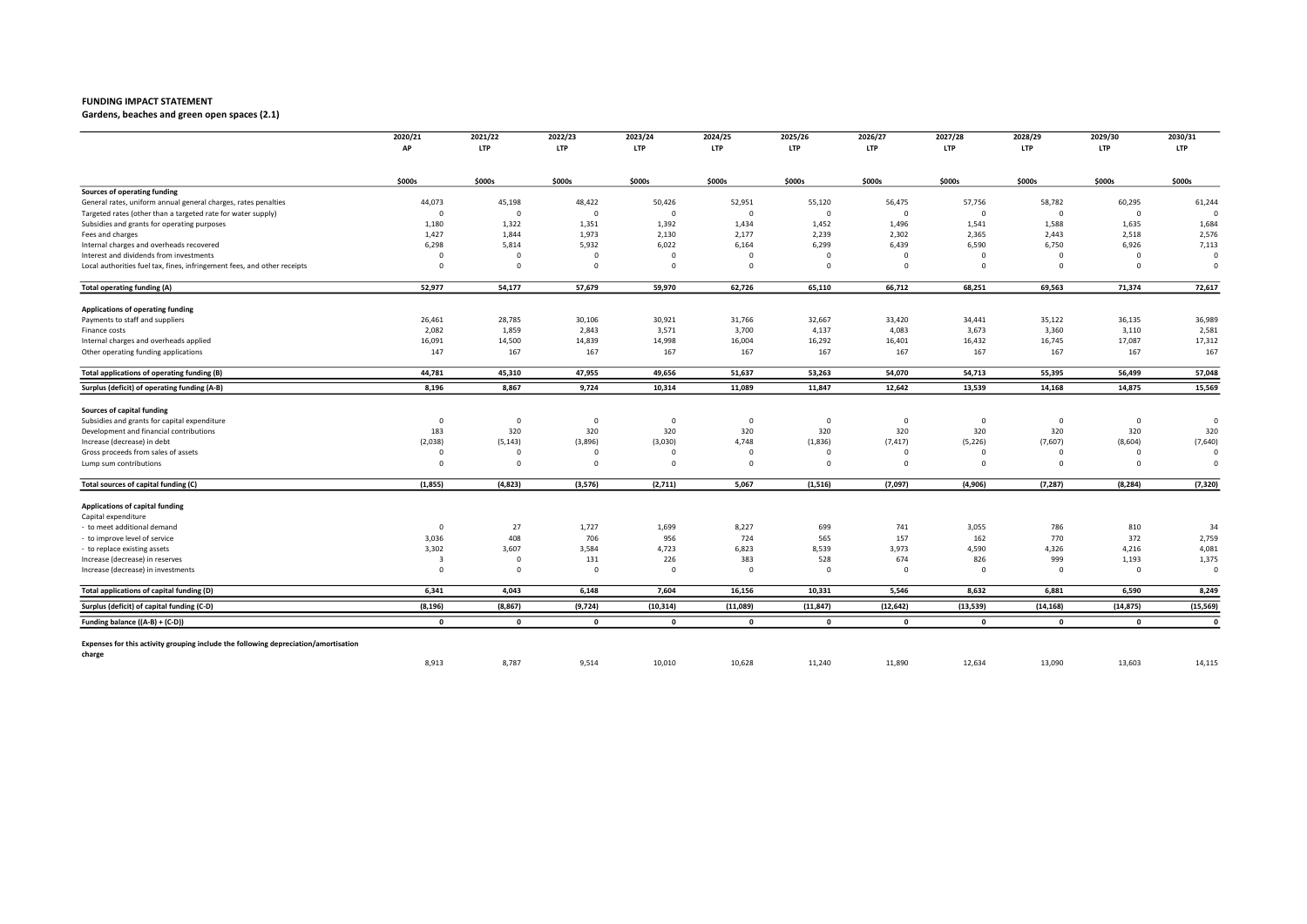Gardens, beaches and green open spaces (2.1)

|                                                                                     | 2020/21      | 2021/22        | 2022/23      | 2023/24        | 2024/25      | 2025/26      | 2026/27     | 2027/28      | 2028/29      | 2029/30     | 2030/31      |
|-------------------------------------------------------------------------------------|--------------|----------------|--------------|----------------|--------------|--------------|-------------|--------------|--------------|-------------|--------------|
|                                                                                     | АP           | <b>LTP</b>     | <b>LTP</b>   | <b>LTP</b>     | <b>LTP</b>   | <b>LTP</b>   | <b>LTP</b>  | <b>LTP</b>   | <b>LTP</b>   | <b>LTP</b>  | <b>LTP</b>   |
|                                                                                     | \$000s       | \$000s         | \$000s       | \$000s         | \$000s       | \$000s       | \$000s      | \$000s       | \$000s       | \$000s      | \$000s       |
| Sources of operating funding                                                        |              |                |              |                |              |              |             |              |              |             |              |
| General rates, uniform annual general charges, rates penalties                      | 44,073       | 45,198         | 48,422       | 50,426         | 52,951       | 55,120       | 56,475      | 57,756       | 58,782       | 60,295      | 61,244       |
| Targeted rates (other than a targeted rate for water supply)                        | $\Omega$     | $^{\circ}$     | $^{\circ}$   | $\overline{0}$ | $\Omega$     | $\mathbf 0$  | $\Omega$    | $\Omega$     | $\Omega$     | $\mathbf 0$ |              |
| Subsidies and grants for operating purposes                                         | 1,180        | 1,322          | 1,351        | 1,392          | 1,434        | 1,452        | 1,496       | 1,541        | 1,588        | 1,635       | 1,684        |
| Fees and charges                                                                    | 1,427        | 1,844          | 1,973        | 2,130          | 2,177        | 2,239        | 2,302       | 2,365        | 2,443        | 2,518       | 2,576        |
| Internal charges and overheads recovered                                            | 6,298        | 5,814          | 5,932        | 6,022          | 6,164        | 6,299        | 6,439       | 6,590        | 6,750        | 6,926       | 7,113        |
| Interest and dividends from investments                                             | $\Omega$     | $\Omega$       | $\Omega$     | $\Omega$       | $\Omega$     | $\Omega$     | $\mathbf 0$ | $\Omega$     | $\Omega$     | $\mathbf 0$ | $\Omega$     |
| Local authorities fuel tax, fines, infringement fees, and other receipts            | $\Omega$     | $\overline{0}$ | $^{\circ}$   | $\mathbf 0$    | $\Omega$     | $\mathbf 0$  | $\mathbf 0$ | $\Omega$     | $\Omega$     | $\mathbf 0$ | $\Omega$     |
| Total operating funding (A)                                                         | 52,977       | 54,177         | 57,679       | 59,970         | 62,726       | 65,110       | 66,712      | 68,251       | 69,563       | 71,374      | 72,617       |
| Applications of operating funding                                                   |              |                |              |                |              |              |             |              |              |             |              |
| Payments to staff and suppliers                                                     | 26,461       | 28,785         | 30,106       | 30,921         | 31,766       | 32,667       | 33,420      | 34,441       | 35,122       | 36,135      | 36,989       |
| Finance costs                                                                       | 2,082        | 1,859          | 2,843        | 3,571          | 3,700        | 4,137        | 4,083       | 3,673        | 3,360        | 3,110       | 2,581        |
| Internal charges and overheads applied                                              | 16,091       | 14,500         | 14,839       | 14,998         | 16,004       | 16,292       | 16,401      | 16,432       | 16,745       | 17,087      | 17,312       |
| Other operating funding applications                                                | 147          | 167            | 167          | 167            | 167          | 167          | 167         | 167          | 167          | 167         | 167          |
| Total applications of operating funding (B)                                         | 44,781       | 45,310         | 47,955       | 49,656         | 51,637       | 53,263       | 54,070      | 54,713       | 55,395       | 56,499      | 57,048       |
| Surplus (deficit) of operating funding (A-B)                                        | 8,196        | 8,867          | 9,724        | 10,314         | 11,089       | 11,847       | 12,642      | 13,539       | 14,168       | 14,875      | 15,569       |
| Sources of capital funding                                                          |              |                |              |                |              |              |             |              |              |             |              |
| Subsidies and grants for capital expenditure                                        | $\mathbf 0$  | $\overline{0}$ | $^{\circ}$   | $^{\circ}$     | $^{\circ}$   | $\circ$      | $\mathbf 0$ | $^{\circ}$   | $\mathbf 0$  | $\mathbf 0$ | $\circ$      |
| Development and financial contributions                                             | 183          | 320            | 320          | 320            | 320          | 320          | 320         | 320          | 320          | 320         | 320          |
| Increase (decrease) in debt                                                         | (2,038)      | (5, 143)       | (3,896)      | (3,030)        | 4,748        | (1,836)      | (7, 417)    | (5, 226)     | (7,607)      | (8,604)     | (7,640)      |
| Gross proceeds from sales of assets                                                 | $\Omega$     | $\Omega$       | $\Omega$     |                | $\Omega$     | $\Omega$     | $\Omega$    | $\Omega$     | $\Omega$     | $\Omega$    | $\Omega$     |
| Lump sum contributions                                                              | $\Omega$     | $\overline{0}$ | $\Omega$     | $\Omega$       | $\Omega$     | $\mathbf 0$  | $\Omega$    | $\Omega$     | $\Omega$     | $\Omega$    | $\Omega$     |
| Total sources of capital funding (C)                                                | (1, 855)     | (4,823)        | (3, 576)     | (2,711)        | 5,067        | (1, 516)     | (7,097)     | (4,906)      | (7, 287)     | (8, 284)    | (7, 320)     |
|                                                                                     |              |                |              |                |              |              |             |              |              |             |              |
| Applications of capital funding                                                     |              |                |              |                |              |              |             |              |              |             |              |
| Capital expenditure                                                                 |              |                |              |                |              |              |             |              |              |             |              |
| to meet additional demand                                                           | $\Omega$     | 27             | 1,727        | 1,699          | 8,227        | 699          | 741         | 3,055        | 786          | 810         | 34           |
| to improve level of service                                                         | 3,036        | 408            | 706          | 956            | 724          | 565          | 157         | 162          | 770          | 372         | 2,759        |
| to replace existing assets                                                          | 3,302        | 3,607          | 3,584        | 4,723          | 6,823        | 8,539        | 3,973       | 4,590        | 4,326        | 4,216       | 4,081        |
| Increase (decrease) in reserves                                                     | 3            | $\overline{0}$ | 131          | 226            | 383          | 528          | 674         | 826          | 999          | 1,193       | 1,375        |
| Increase (decrease) in investments                                                  | $\Omega$     | $\overline{0}$ | $\Omega$     | $\Omega$       | $\Omega$     | $\Omega$     | $\mathbf 0$ | $\Omega$     | $\Omega$     | $\mathbf 0$ | $\circ$      |
| Total applications of capital funding (D)                                           | 6,341        | 4,043          | 6,148        | 7,604          | 16,156       | 10,331       | 5,546       | 8,632        | 6,881        | 6,590       | 8,249        |
| Surplus (deficit) of capital funding (C-D)                                          | (8, 196)     | (8, 867)       | (9,724)      | (10, 314)      | (11,089)     | (11, 847)    | (12, 642)   | (13, 539)    | (14, 168)    | (14, 875)   | (15, 569)    |
| Funding balance ((A-B) + (C-D))                                                     | $\mathbf{0}$ | $\mathbf{0}$   | $\mathbf{0}$ | $\mathbf{0}$   | $\mathbf{0}$ | $\mathbf{0}$ | $\mathbf 0$ | $\mathbf{0}$ | $\mathbf{0}$ | $\mathbf 0$ | $\mathbf{0}$ |
| Expenses for this activity grouping include the following depreciation/amortisation |              |                |              |                |              |              |             |              |              |             |              |
| charge                                                                              |              |                |              |                |              |              |             |              |              |             |              |
|                                                                                     | 8,913        | 8,787          | 9,514        | 10,010         | 10,628       | 11,240       | 11,890      | 12,634       | 13,090       | 13,603      | 14,115       |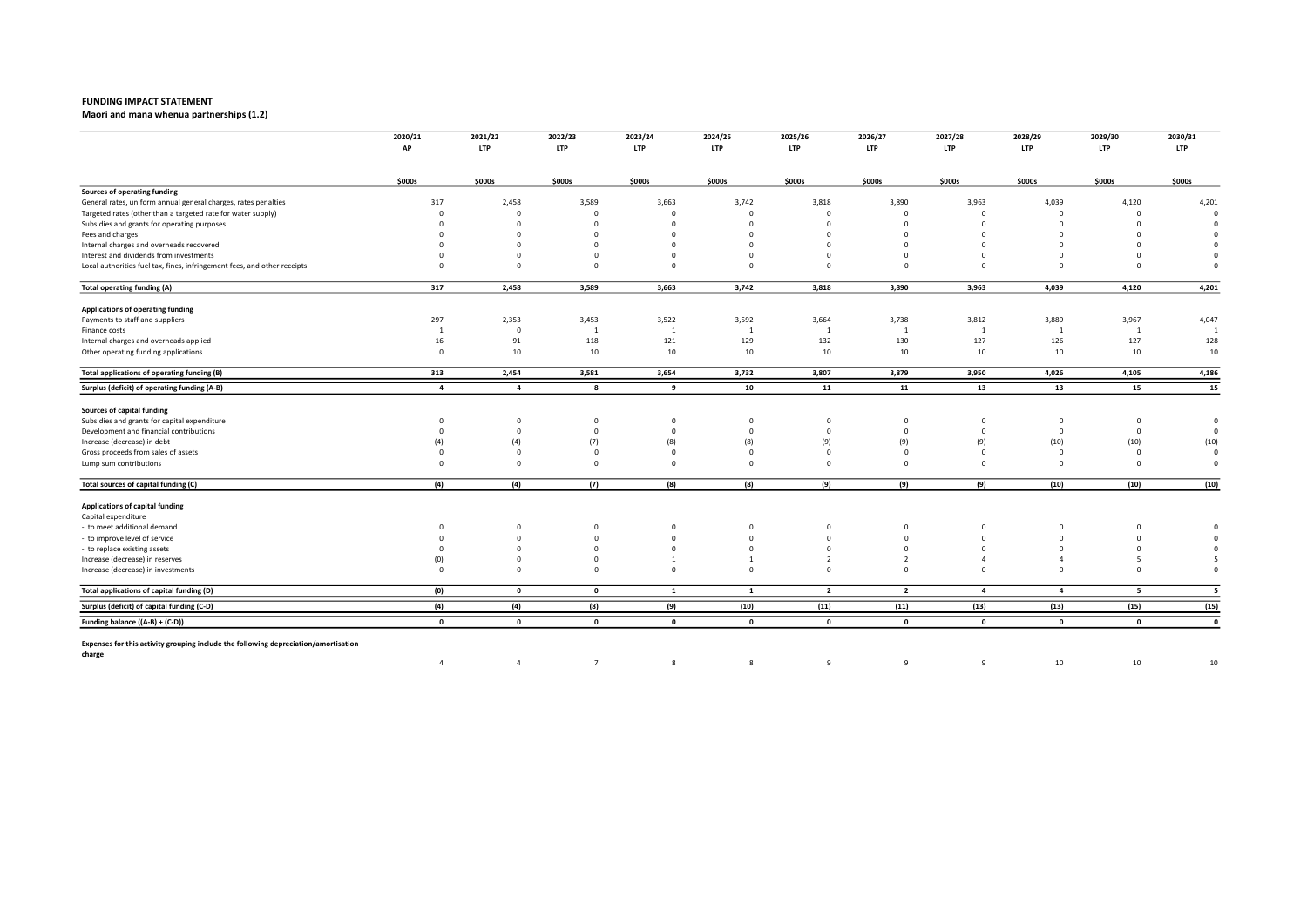Maori and mana whenua partnerships (1.2)

|                                                                                     | 2020/21<br>AP  | 2021/22<br><b>LTP</b> | 2022/23<br><b>LTP</b> | 2023/24<br><b>LTP</b> | 2024/25<br>LTP | 2025/26<br><b>LTP</b> | 2026/27<br><b>LTP</b> | 2027/28<br><b>LTP</b> | 2028/29<br><b>LTP</b> | 2029/30<br><b>LTP</b> | 2030/31<br><b>LTP</b> |
|-------------------------------------------------------------------------------------|----------------|-----------------------|-----------------------|-----------------------|----------------|-----------------------|-----------------------|-----------------------|-----------------------|-----------------------|-----------------------|
|                                                                                     |                |                       |                       |                       |                |                       |                       |                       |                       |                       |                       |
|                                                                                     | \$000s         | \$000s                | \$000s                | \$000s                | \$000s         | \$000s                | \$000s                | \$000s                | \$000s                | \$000s                | \$000s                |
| Sources of operating funding                                                        |                |                       |                       |                       |                |                       |                       |                       |                       |                       |                       |
| General rates, uniform annual general charges, rates penalties                      | 317            | 2,458                 | 3,589                 | 3,663                 | 3,742          | 3,818                 | 3,890                 | 3,963                 | 4,039                 | 4,120                 | 4,201                 |
| Targeted rates (other than a targeted rate for water supply)                        | $\Omega$       | $\Omega$              | $\Omega$              | $\Omega$              | $\Omega$       | $\Omega$              | $\Omega$              | $\Omega$              | $\Omega$              | $\Omega$              | $\circ$               |
| Subsidies and grants for operating purposes                                         | $\Omega$       | $\Omega$              | $\Omega$              | $\Omega$              | $\Omega$       | $\Omega$              | $\Omega$              | $\Omega$              | $\Omega$              | $\Omega$              | $\Omega$              |
| Fees and charges                                                                    |                | $\Omega$              | $\Omega$              | $\Omega$              | $\Omega$       | $\Omega$              | $\Omega$              | $\Omega$              | $\Omega$              | $\Omega$              | $\Omega$              |
| Internal charges and overheads recovered                                            |                | $\Omega$              | $\Omega$              |                       | $\Omega$       | $\Omega$              | $\Omega$              | $\Omega$              | $\Omega$              | $\Omega$              | $\Omega$              |
| Interest and dividends from investments                                             |                | $\Omega$              | $\Omega$              | $\Omega$              | $\Omega$       | $\Omega$              | $\Omega$              | $\Omega$              | $\Omega$              | $\Omega$              | $\Omega$              |
| Local authorities fuel tax, fines, infringement fees, and other receipts            | $\Omega$       | $\overline{0}$        | $\Omega$              | $\Omega$              | $\Omega$       | $\Omega$              | $^{\circ}$            | $\Omega$              | $\Omega$              | $\Omega$              | $\Omega$              |
| <b>Total operating funding (A)</b>                                                  | 317            | 2,458                 | 3,589                 | 3,663                 | 3,742          | 3,818                 | 3,890                 | 3,963                 | 4,039                 | 4,120                 | 4,201                 |
| Applications of operating funding                                                   |                |                       |                       |                       |                |                       |                       |                       |                       |                       |                       |
| Payments to staff and suppliers                                                     | 297            | 2,353                 | 3,453                 | 3,522                 | 3,592          | 3,664                 | 3,738                 | 3,812                 | 3,889                 | 3,967                 | 4,047                 |
| Finance costs                                                                       | <sup>1</sup>   | $\overline{0}$        | $\overline{1}$        | $\mathbf{1}$          | 1              | $\mathbf{1}$          | $\mathbf{1}$          | -1                    | $\mathbf{1}$          | 1                     | $\overline{1}$        |
| Internal charges and overheads applied                                              | 16             | 91                    | 118                   | 121                   | 129            | 132                   | 130                   | 127                   | 126                   | 127                   | 128                   |
| Other operating funding applications                                                | $\mathbf{0}$   | 10                    | 10                    | 10                    | 10             | 10                    | 10                    | 10                    | 10                    | 10                    | 10                    |
| Total applications of operating funding (B)                                         | 313            | 2,454                 | 3,581                 | 3,654                 | 3,732          | 3,807                 | 3,879                 | 3,950                 | 4,026                 | 4,105                 | 4,186                 |
| Surplus (deficit) of operating funding (A-B)                                        | $\overline{a}$ | $\overline{a}$        | - 8                   | 9                     | 10             | 11                    | 11                    | 13                    | 13                    | 15                    | 15                    |
| Sources of capital funding                                                          |                |                       |                       |                       |                |                       |                       |                       |                       |                       |                       |
| Subsidies and grants for capital expenditure                                        | $^{\circ}$     | $\mathbf 0$           | $^{\circ}$            | $\mathbf 0$           | $^{\circ}$     | 0                     | $\mathbf 0$           | $\mathbf{0}$          | $^{\circ}$            | $\mathbf 0$           | $\circ$               |
| Development and financial contributions                                             | $\Omega$       | $\mathbf 0$           | $^{\circ}$            | $\Omega$              | $\mathbf 0$    | $\mathbf 0$           | $\mathbf 0$           | $^{\circ}$            | $\overline{0}$        | $\mathbf 0$           | $\circ$               |
| Increase (decrease) in debt                                                         | (4)            | (4)                   | (7)                   | (8)                   | (8)            | (9)                   | (9)                   | (9)                   | (10)                  | (10)                  | (10)                  |
| Gross proceeds from sales of assets                                                 | $\Omega$       | $\overline{0}$        | $\Omega$              | $\Omega$              | $^{\circ}$     | $\Omega$              | $\Omega$              | $\Omega$              | $\overline{0}$        | $\Omega$              | $\Omega$              |
| Lump sum contributions                                                              | $\Omega$       | $\overline{0}$        | $\Omega$              | $\Omega$              | $\Omega$       | $\Omega$              | $^{\circ}$            | $\Omega$              | $\Omega$              | $\Omega$              | $\mathbf 0$           |
| Total sources of capital funding (C)                                                | (4)            | (4)                   | (7)                   | (8)                   | (8)            | (9)                   | (9)                   | (9)                   | (10)                  | (10)                  | (10)                  |
| Applications of capital funding                                                     |                |                       |                       |                       |                |                       |                       |                       |                       |                       |                       |
| Capital expenditure                                                                 |                |                       |                       |                       |                |                       |                       |                       |                       |                       |                       |
| to meet additional demand                                                           | $\Omega$       | $^{\circ}$            | $^{\circ}$            | $\Omega$              | $^{\circ}$     | $^{\circ}$            | 0                     | $\Omega$              | $^{\circ}$            | $\mathbf 0$           | $\Omega$              |
| to improve level of service                                                         | $\Omega$       | $\overline{0}$        | $\mathbf 0$           | $\Omega$              | $\Omega$       | $\Omega$              | $\Omega$              | $\Omega$              | $\Omega$              | $\mathbf 0$           | $\Omega$              |
| to replace existing assets                                                          | $\Omega$       | $\Omega$              | $\Omega$              | $\Omega$              | $\Omega$       | $\Omega$              | $\Omega$              | $\Omega$              | $\Omega$              | $\Omega$              | $\Omega$              |
| Increase (decrease) in reserves                                                     | (0)            | $\mathbf 0$           | $\Omega$              |                       |                | $\overline{2}$        | $\overline{2}$        |                       | Δ                     | 5                     | 5                     |
| Increase (decrease) in investments                                                  | $\Omega$       | $\Omega$              | $\Omega$              | $\Omega$              | $\Omega$       | $\Omega$              | $\Omega$              | $\Omega$              | $\Omega$              | $\Omega$              | $\Omega$              |
| Total applications of capital funding (D)                                           | (0)            | $\mathbf 0$           | $\mathbf 0$           | <b>1</b>              | $\mathbf{1}$   | $\overline{2}$        | $\overline{2}$        | $\overline{a}$        | $\overline{a}$        | 5                     | 5                     |
| Surplus (deficit) of capital funding (C-D)                                          | (4)            | (4)                   | (8)                   | (9)                   | (10)           | (11)                  | (11)                  | (13)                  | (13)                  | (15)                  | (15)                  |
| Funding balance ((A-B) + (C-D))                                                     | $\mathbf{0}$   | $\mathbf 0$           | $\mathbf{0}$          | $\mathbf{0}$          | $\mathbf{0}$   | $\mathbf 0$           | $\mathbf{0}$          | $\mathbf 0$           | $\mathbf{0}$          | $\mathbf{0}$          | $\mathbf 0$           |
| Expenses for this activity grouping include the following depreciation/amortisation |                |                       |                       |                       |                |                       |                       |                       |                       |                       |                       |
| charge                                                                              | $\overline{4}$ | $\overline{4}$        | $\overline{7}$        | 8                     | 8              | $\mathbf{q}$          | 9                     | 9                     | 10                    | 10                    | 10                    |
|                                                                                     |                |                       |                       |                       |                |                       |                       |                       |                       |                       |                       |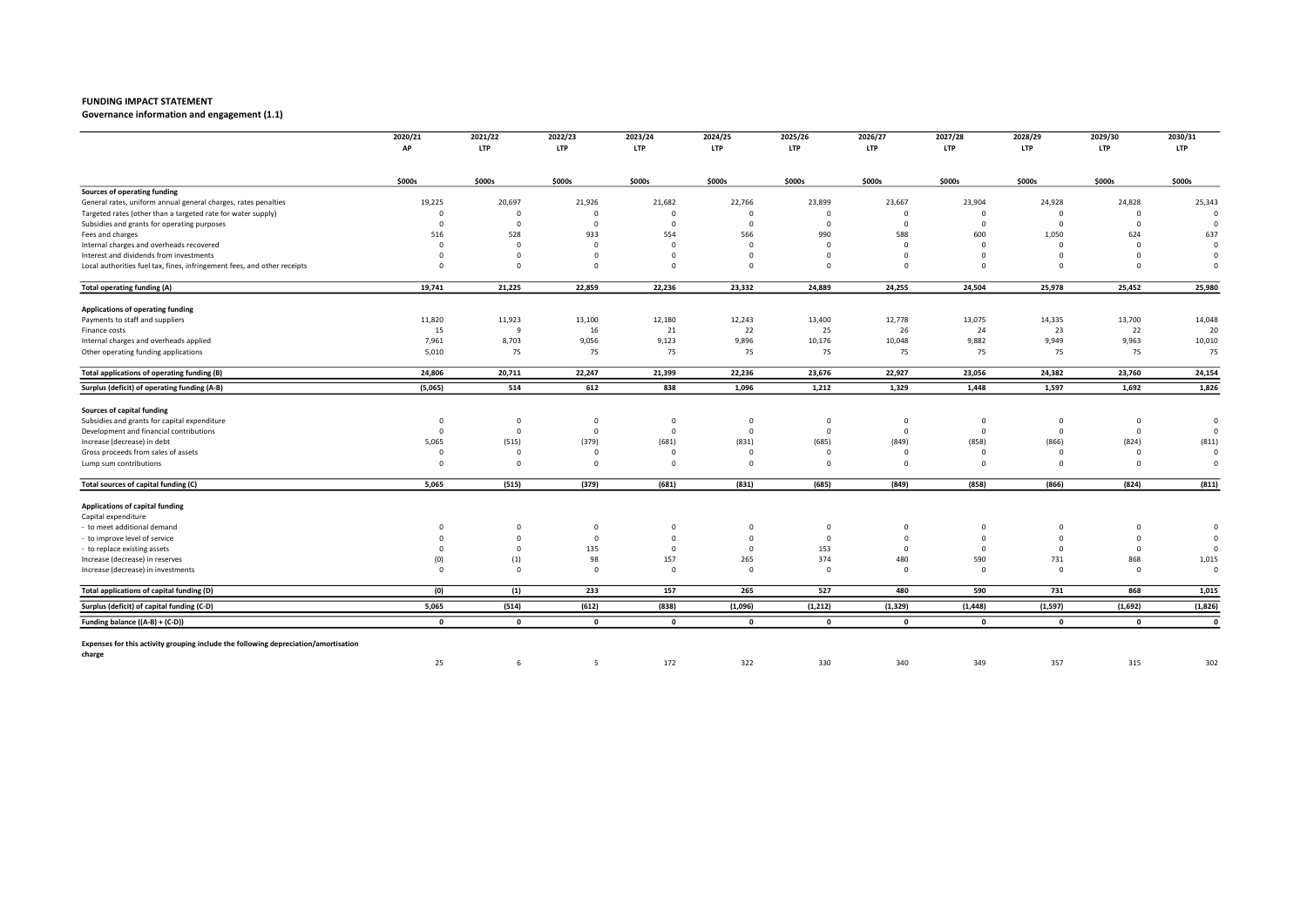Governance information and engagement (1.1)

|                                                                                     | 2020/21      | 2021/22        | 2022/23      | 2023/24      | 2024/25      | 2025/26      | 2026/27      | 2027/28      | 2028/29        | 2029/30     | 2030/31      |
|-------------------------------------------------------------------------------------|--------------|----------------|--------------|--------------|--------------|--------------|--------------|--------------|----------------|-------------|--------------|
|                                                                                     | АP           | <b>LTP</b>     | <b>LTP</b>   | <b>LTP</b>   | LTP          | <b>LTP</b>   | <b>LTP</b>   | <b>LTP</b>   | <b>LTP</b>     | <b>LTP</b>  | <b>LTP</b>   |
|                                                                                     | \$000s       | \$000s         | \$000s       | \$000s       | \$000s       | \$000s       | \$000s       | \$000s       | \$000s         | \$000s      | \$000s       |
| Sources of operating funding                                                        |              |                |              |              |              |              |              |              |                |             |              |
| General rates, uniform annual general charges, rates penalties                      | 19,225       | 20,697         | 21,926       | 21,682       | 22,766       | 23,899       | 23,667       | 23,904       | 24,928         | 24,828      | 25,343       |
| Targeted rates (other than a targeted rate for water supply)                        | $\Omega$     | $^{\circ}$     | $\Omega$     | $\Omega$     | $\Omega$     | $\Omega$     | $\Omega$     | $\Omega$     | $\Omega$       | $\mathbf 0$ |              |
| Subsidies and grants for operating purposes                                         | $\Omega$     | $\overline{0}$ | $\Omega$     | $\Omega$     | $\Omega$     | $\Omega$     | $\Omega$     | $\Omega$     | $\Omega$       | $\mathbf 0$ | $\epsilon$   |
| Fees and charges                                                                    | 516          | 528            | 933          | 554          | 566          | 990          | 588          | 600          | 1,050          | 624         | 637          |
| Internal charges and overheads recovered                                            | $\Omega$     | $\mathbf 0$    | $^{\circ}$   | $\Omega$     | $\Omega$     | $\Omega$     | $\Omega$     | $\Omega$     | $\overline{0}$ | $\Omega$    | $\Omega$     |
| Interest and dividends from investments                                             | $\Omega$     | $\mathbf 0$    | $\Omega$     | $\Omega$     | $\Omega$     | $\Omega$     | $\Omega$     | $\Omega$     | $\Omega$       | $\Omega$    | $\Omega$     |
| Local authorities fuel tax, fines, infringement fees, and other receipts            | $\Omega$     | $\overline{0}$ | $\Omega$     | $\Omega$     | $\Omega$     | $\Omega$     | $\mathbf 0$  | $\Omega$     | $\Omega$       | $\Omega$    | $\Omega$     |
| <b>Total operating funding (A)</b>                                                  | 19,741       | 21,225         | 22,859       | 22,236       | 23,332       | 24,889       | 24,255       | 24,504       | 25,978         | 25,452      | 25,980       |
| Applications of operating funding                                                   |              |                |              |              |              |              |              |              |                |             |              |
| Payments to staff and suppliers                                                     | 11,820       | 11,923         | 13,100       | 12,180       | 12,243       | 13,400       | 12,778       | 13,075       | 14,335         | 13,700      | 14,048       |
| Finance costs                                                                       | 15           | $\mathbf{q}$   | 16           | 21           | 22           | 25           | 26           | 24           | 23             | 22          | 20           |
| Internal charges and overheads applied                                              | 7,961        | 8,703          | 9,056        | 9,123        | 9,896        | 10,176       | 10,048       | 9,882        | 9,949          | 9,963       | 10,010       |
| Other operating funding applications                                                | 5,010        | 75             | 75           | 75           | 75           | 75           | 75           | 75           | 75             | 75          | 75           |
| Total applications of operating funding (B)                                         | 24,806       | 20,711         | 22,247       | 21,399       | 22,236       | 23,676       | 22,927       | 23,056       | 24,382         | 23,760      | 24,154       |
| Surplus (deficit) of operating funding (A-B)                                        | (5,065)      | 514            | 612          | 838          | 1,096        | 1,212        | 1,329        | 1,448        | 1,597          | 1,692       | 1,826        |
| Sources of capital funding                                                          |              |                |              |              |              |              |              |              |                |             |              |
| Subsidies and grants for capital expenditure                                        | $^{\circ}$   | $\mathbf 0$    | $^{\circ}$   | $\mathbf 0$  | 0            | 0            | 0            | $\mathbf{0}$ | $\mathbf 0$    | $\mathbf 0$ | $\circ$      |
| Development and financial contributions                                             | $\Omega$     | $\overline{0}$ | $^{\circ}$   | $\Omega$     | $^{\circ}$   | $\Omega$     | $\mathbf 0$  | $\Omega$     | $\overline{0}$ | $\mathbf 0$ | 0            |
| Increase (decrease) in debt                                                         | 5,065        | (515)          | (379)        | (681)        | (831)        | (685)        | (849)        | (858)        | (866)          | (824)       | (811)        |
| Gross proceeds from sales of assets                                                 | $\Omega$     | $\Omega$       | $\Omega$     | $\Omega$     | $\Omega$     | $\Omega$     | $\Omega$     | $\Omega$     | $\Omega$       | $\Omega$    | $\Omega$     |
| Lump sum contributions                                                              | $\Omega$     | $\overline{0}$ | $\Omega$     | $\Omega$     | $\Omega$     | $\Omega$     | $\Omega$     | $\Omega$     | $\Omega$       | $\Omega$    | $\Omega$     |
| Total sources of capital funding (C)                                                | 5,065        | (515)          | (379)        | (681)        | (831)        | (685)        | (849)        | (858)        | (866)          | (824)       | (811)        |
| Applications of capital funding                                                     |              |                |              |              |              |              |              |              |                |             |              |
| Capital expenditure                                                                 |              |                |              |              |              |              |              |              |                |             |              |
| to meet additional demand                                                           | $\Omega$     | $^{\circ}$     | $^{\circ}$   | $\Omega$     | 0            | $^{\circ}$   | 0            | $\Omega$     | $^{\circ}$     | $\mathbf 0$ | $\Omega$     |
| to improve level of service                                                         | $\Omega$     | $\overline{0}$ | $\Omega$     | $\Omega$     | $\mathbf{0}$ | $\mathbf 0$  | $\mathbf{0}$ | $\Omega$     | $\overline{0}$ | $^{\circ}$  | $\Omega$     |
| to replace existing assets                                                          | $\Omega$     | $\Omega$       | 135          | $\Omega$     | $^{\circ}$   | 153          | $\Omega$     | $\Omega$     | $\overline{0}$ | $^{\circ}$  | $\Omega$     |
| Increase (decrease) in reserves                                                     | (0)          | (1)            | 98           | 157          | 265          | 374          | 480          | 590          | 731            | 868         | 1,015        |
| Increase (decrease) in investments                                                  | $\Omega$     | $\overline{0}$ | $\Omega$     | $\Omega$     | $\Omega$     | $\Omega$     | $\Omega$     | $\Omega$     | $\Omega$       | $\Omega$    | $\Omega$     |
| Total applications of capital funding (D)                                           | (0)          | (1)            | 233          | 157          | 265          | 527          | 480          | 590          | 731            | 868         | 1,015        |
| Surplus (deficit) of capital funding (C-D)                                          | 5,065        | (514)          | (612)        | (838)        | (1,096)      | (1, 212)     | (1, 329)     | (1, 448)     | (1, 597)       | (1,692)     | (1,826)      |
| Funding balance ((A-B) + (C-D))                                                     | $\mathbf{0}$ | $\mathbf{0}$   | $\mathbf{0}$ | $\mathbf{0}$ | $\mathbf{0}$ | $\mathbf{0}$ | $\mathbf 0$  | $\mathbf{0}$ | $\mathbf{0}$   | $\mathbf 0$ | $\mathbf{0}$ |
| Expenses for this activity grouping include the following depreciation/amortisation |              |                |              |              |              |              |              |              |                |             |              |
| charge                                                                              | 25           | 6              | 5            | 172          | 322          | 330          | 340          | 349          | 357            | 315         | 302          |
|                                                                                     |              |                |              |              |              |              |              |              |                |             |              |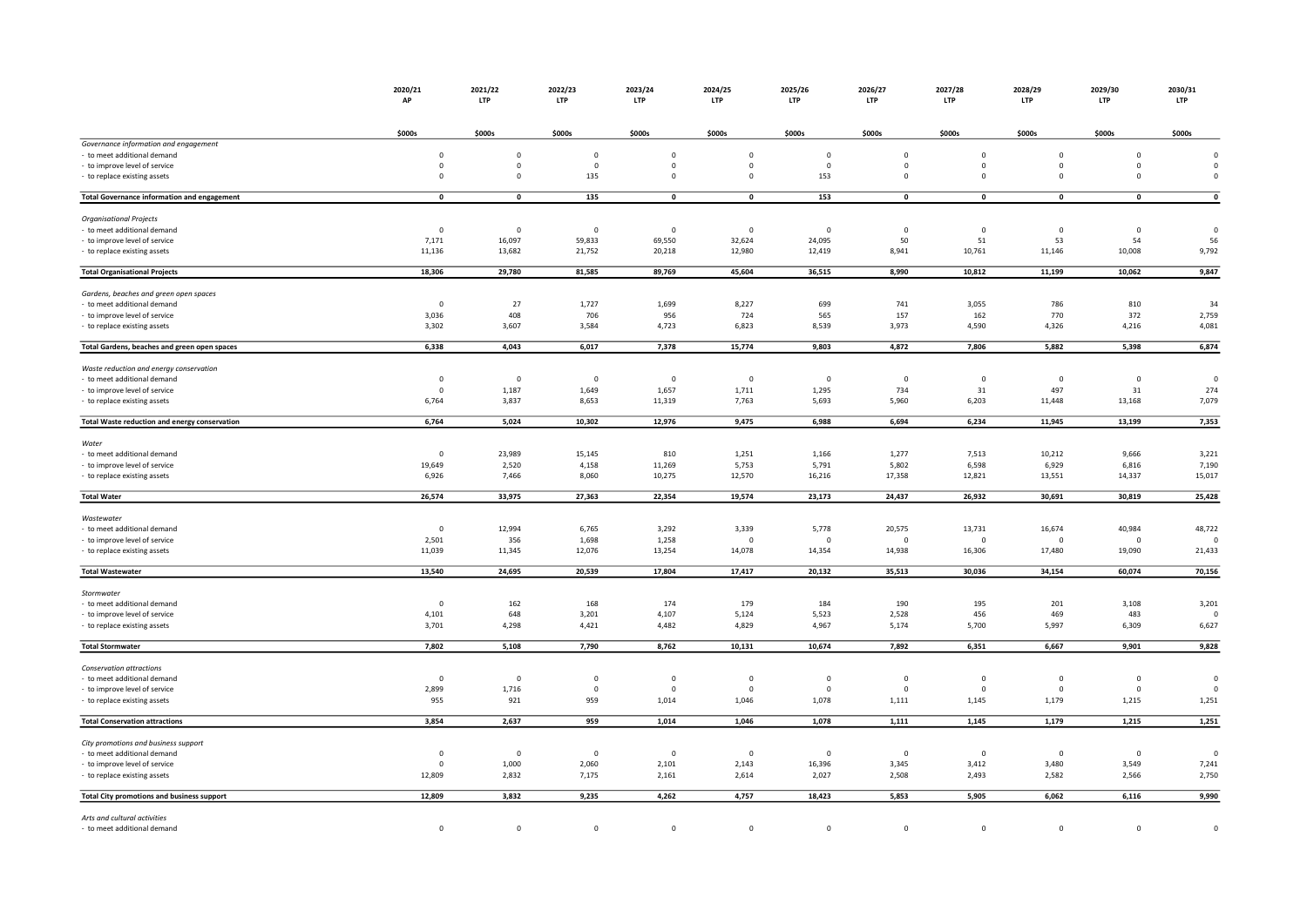|                                                    | 2020/21<br>AP      | 2021/22<br>LTP          | 2022/23<br><b>LTP</b> | 2023/24<br><b>LTP</b> | 2024/25<br><b>LTP</b> | 2025/26<br><b>LTP</b> | 2026/27<br><b>LTP</b> |                    | 2027/28<br>2028/29<br><b>LTP</b><br><b>LTP</b> | 2029/30<br>LTP          | 2030/31<br><b>LTP</b> |
|----------------------------------------------------|--------------------|-------------------------|-----------------------|-----------------------|-----------------------|-----------------------|-----------------------|--------------------|------------------------------------------------|-------------------------|-----------------------|
|                                                    |                    |                         |                       |                       |                       |                       |                       |                    |                                                |                         |                       |
| Governance information and engagement              | \$000s             | \$000s                  | \$000s                | \$000s                | \$000s                | \$000s                | \$000s                | \$000s             | \$000s                                         | \$000s                  | \$000s                |
| - to meet additional demand                        | $\mathsf 0$        | $\mathbf 0$             | $\mathbf 0$           | $\mathbf 0$           | $\mathbf 0$           | $\mathbf 0$           | $\mathbf 0$           | $\pmb{0}$          | $\mathbf 0$                                    | $\mathbf 0$             | $\mathbf{0}$          |
| - to improve level of service                      | $\mathsf 0$        | $\overline{0}$          | $\mathbf 0$           | $\mathbf 0$           | $\mathbf 0$           | $\mathbf 0$           | $\mathsf 0$           | $\mathsf 0$        | $\mathbf 0$                                    | $\mathbf 0$             | $\mathbf{0}$          |
| - to replace existing assets                       | $\mathbf 0$        | $^{\circ}$              | 135                   | $\mathbf 0$           | $\mathbf 0$           | 153                   | $\mathbf 0$           | $\mathbf 0$        | $\mathbf 0$                                    | $^{\circ}$              | $\mathbf 0$           |
| <b>Total Governance information and engagement</b> | $\pmb{\mathsf{o}}$ | $\mathbf 0$             | 135                   | $\pmb{0}$             | $\mathbf 0$           | 153                   | $\mathbf 0$           | $\pmb{\mathsf{o}}$ | $\mathbf 0$                                    | $\pmb{0}$               | $\pmb{\mathsf{o}}$    |
| <b>Organisational Projects</b>                     |                    |                         |                       |                       |                       |                       |                       |                    |                                                |                         |                       |
| - to meet additional demand                        | $\mathbf 0$        | $\overline{0}$          | $\mathbf 0$           | $\mathbf 0$           | $\mathbf 0$           | $\mathbf 0$           | $\mathbf 0$           | $\mathbf 0$        | $\mathbf 0$                                    | $\overline{\mathbf{0}}$ | $\overline{0}$        |
| - to improve level of service                      | 7,171              | 16,097                  | 59,833                | 69,550                | 32,624                | 24,095                | 50                    | 51                 | 53                                             | 54                      | 56                    |
| - to replace existing assets                       | 11,136             | 13,682                  | 21,752                | 20,218                | 12,980                | 12,419                | 8,941                 | 10,761             | 11,146                                         | 10,008                  | 9,792                 |
| <b>Total Organisational Projects</b>               | 18,306             | 29,780                  | 81,585                | 89,769                | 45,604                | 36,515                | 8,990                 | 10,812             | 11,199                                         | 10,062                  | 9,847                 |
| Gardens, beaches and green open spaces             |                    |                         |                       |                       |                       |                       |                       |                    |                                                |                         |                       |
| to meet additional demand                          | $\mathbf 0$        | 27                      | 1,727                 | 1,699                 | 8,227                 | 699                   | 741                   | 3,055              | 786                                            | 810                     | 34                    |
| to improve level of service                        | 3,036              | 408                     | 706                   | 956                   | 724                   | 565                   | 157                   | 162                | 770                                            | 372                     | 2,759                 |
| - to replace existing assets                       | 3,302              | 3,607                   | 3,584                 | 4,723                 | 6,823                 | 8,539                 | 3,973                 | 4,590              | 4,326                                          | 4,216                   | 4,081                 |
| Total Gardens, beaches and green open spaces       | 6,338              | 4,043                   | 6,017                 | 7,378                 | 15,774                | 9,803                 | 4,872                 | 7,806              | 5,882                                          | 5,398                   | 6,874                 |
| Waste reduction and energy conservation            |                    |                         |                       |                       |                       |                       |                       |                    |                                                |                         |                       |
| - to meet additional demand                        | $\mathbf 0$        | $\overline{\mathbf{0}}$ | $\overline{0}$        | $\mathbf 0$           | $\mathbf 0$           | $\mathbf 0$           | $\mathbf 0$           | $\mathbf 0$        | $\mathbf 0$                                    | $\overline{0}$          | $\mathbf 0$           |
| - to improve level of service                      | $\mathsf 0$        | 1,187                   | 1,649                 | 1,657                 | 1,711                 | 1,295                 | 734                   | 31                 | 497                                            | 31                      | 274                   |
| - to replace existing assets                       | 6,764              | 3,837                   | 8,653                 | 11,319                | 7,763                 | 5,693                 | 5,960                 | 6,203              | 11,448                                         | 13,168                  | 7,079                 |
| Total Waste reduction and energy conservation      | 6,764              | 5,024                   | 10,302                | 12,976                | 9,475                 | 6,988                 | 6,694                 | 6,234              | 11,945                                         | 13,199                  | 7,353                 |
| Water                                              |                    |                         |                       |                       |                       |                       |                       |                    |                                                |                         |                       |
| to meet additional demand                          | $\mathsf 0$        | 23,989                  | 15,145                | 810                   | 1,251                 | 1,166                 | 1,277                 | 7,513              | 10,212                                         | 9,666                   | 3,221                 |
| to improve level of service                        | 19,649             | 2,520                   | 4,158                 | 11,269                | 5,753                 | 5,791                 | 5,802                 | 6,598              | 6,929                                          | 6,816                   | 7,190                 |
| to replace existing assets                         | 6,926              | 7,466                   | 8,060                 | 10,275                | 12,570                | 16,216                | 17,358                | 12,821             | 13,551                                         | 14,337                  | 15,017                |
| <b>Total Water</b>                                 | 26,574             | 33,975                  | 27,363                | 22,354                | 19,574                | 23,173                | 24,437                | 26,932             | 30,691                                         | 30,819                  | 25,428                |
| Wastewater                                         |                    |                         |                       |                       |                       |                       |                       |                    |                                                |                         |                       |
| - to meet additional demand                        | $\mathsf 0$        | 12,994                  | 6,765                 | 3,292                 | 3,339                 | 5,778                 | 20,575                | 13,731             | 16,674                                         | 40,984                  | 48,722                |
| to improve level of service                        | 2,501              | 356                     | 1,698                 | 1,258                 | $\mathbf 0$           | $\mathbf 0$           | $\mathbf 0$           | $\mathbf 0$        | $\mathbf 0$                                    | $\mathbf 0$             | $\mathbf 0$           |
| - to replace existing assets                       | 11,039             | 11,345                  | 12,076                | 13,254                | 14,078                | 14,354                | 14,938                | 16,306             | 17,480                                         | 19,090                  | 21,433                |
| <b>Total Wastewater</b>                            | 13,540             | 24,695                  | 20,539                | 17,804                | 17,417                | 20,132                | 35,513                | 30,036             | 34,154                                         | 60,074                  | 70,156                |
| Stormwater                                         |                    |                         |                       |                       |                       |                       |                       |                    |                                                |                         |                       |
| - to meet additional demand                        | $\mathsf 0$        | 162                     | 168                   | 174                   | 179                   | 184                   | 190                   | 195                | 201                                            | 3,108                   | 3,201                 |
| - to improve level of service                      | 4,101              | 648                     | 3,201                 | 4,107                 | 5,124                 | 5,523                 | 2,528                 | 456                | 469                                            | 483                     | $\Omega$              |
| to replace existing assets                         | 3,701              | 4,298                   | 4,421                 | 4,482                 | 4,829                 | 4,967                 | 5,174                 | 5,700              | 5,997                                          | 6,309                   | 6,627                 |
| <b>Total Stormwater</b>                            | 7,802              | 5,108                   | 7,790                 | 8,762                 | 10,131                | 10,674                | 7,892                 | 6,351              | 6,667                                          | 9,901                   | 9,828                 |
| Conservation attractions                           |                    |                         |                       |                       |                       |                       |                       |                    |                                                |                         |                       |
| - to meet additional demand                        | $\mathbf{0}$       | $\overline{\mathbf{0}}$ | $\mathbf{0}$          | $\Omega$              | $\overline{0}$        | $\Omega$              | $\Omega$              | $\mathbf 0$        | $\mathbf 0$                                    | $\mathbf 0$             | $\overline{0}$        |
| - to improve level of service                      | 2,899              | 1,716                   | $^{\circ}$            | $\Omega$              | $\mathbf 0$           | 0                     | $\Omega$              | $\mathbf{0}$       | $\mathbf 0$                                    | $^{\circ}$              | $\Omega$              |
| to replace existing assets                         | 955                | 921                     | 959                   | 1,014                 | 1,046                 | 1,078                 | 1,111                 | 1,145              | 1,179                                          | 1,215                   | 1,251                 |
| <b>Total Conservation attractions</b>              | 3,854              | 2,637                   | 959                   | 1,014                 | 1,046                 | 1,078                 | 1,111                 | 1,145              | 1,179                                          | 1,215                   | 1,251                 |
| City promotions and business support               |                    |                         |                       |                       |                       |                       |                       |                    |                                                |                         |                       |
| - to meet additional demand                        | $\mathsf 0$        | $\overline{\mathbf{0}}$ | $\overline{0}$        | $\mathbf 0$           | $\mathbf 0$           | $\mathbf 0$           | $\mathbf 0$           | $\mathbf 0$        | $\mathbf 0$                                    | $\mathbf 0$             | $\mathbf 0$           |
| - to improve level of service                      | $\mathsf 0$        | 1,000                   | 2,060                 | 2,101                 | 2,143                 | 16,396                | 3,345                 | 3,412              | 3,480                                          | 3,549                   | 7,241                 |
| - to replace existing assets                       | 12,809             | 2,832                   | 7,175                 | 2,161                 | 2,614                 | 2,027                 | 2,508                 | 2,493              | 2,582                                          | 2,566                   | 2,750                 |
| Total City promotions and business support         | 12,809             | 3,832                   | 9,235                 | 4,262                 | 4,757                 | 18,423                | 5,853                 | 5,905              | 6,062                                          | 6,116                   | 9,990                 |
| Arts and cultural activities                       |                    |                         |                       |                       |                       |                       |                       |                    |                                                |                         |                       |
| - to meet additional demand                        | $\mathbf 0$        | $\mathbf 0$             | $\mathbf 0$           | $\mathbf 0$           | $\mathbf 0$           | $\mathbf 0$           | $\mathbf 0$           | $\mathbf 0$        | $\mathbf 0$                                    | $\mathbf 0$             | $\mathbf{0}$          |